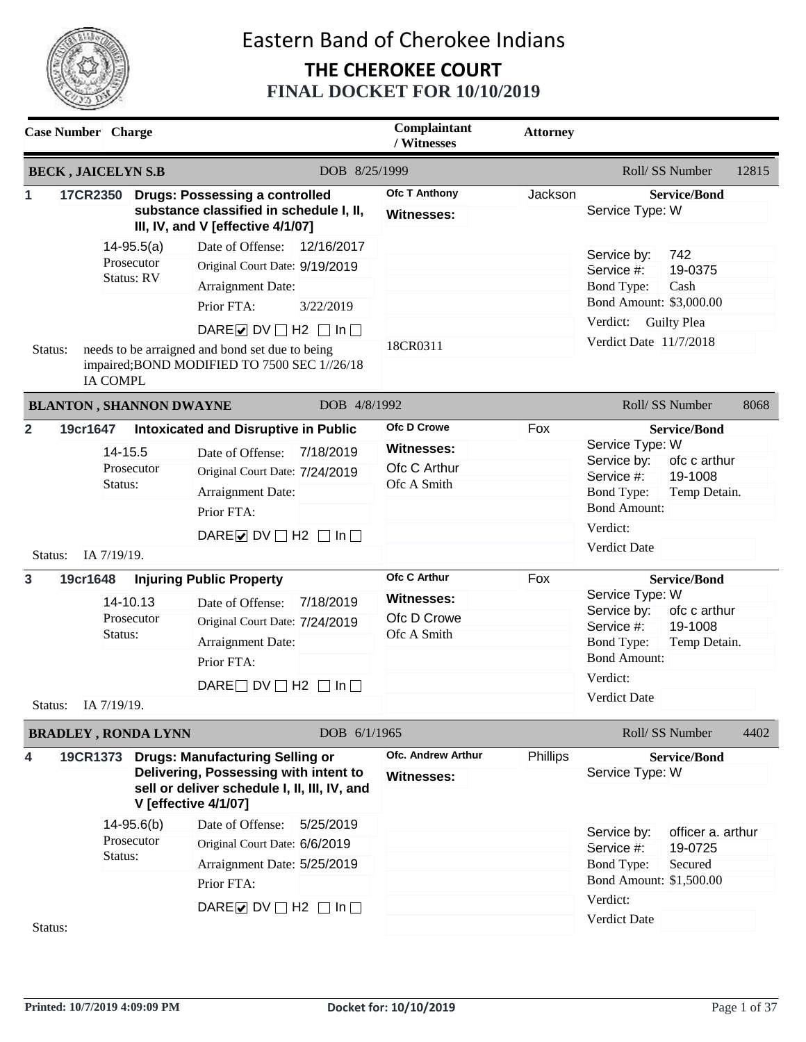

|                           | <b>Case Number</b> Charge                                    |                                                                                                                                                                                                                   | Complaintant<br>/ Witnesses                                            | <b>Attorney</b> |                                                                                                                                                                                        |
|---------------------------|--------------------------------------------------------------|-------------------------------------------------------------------------------------------------------------------------------------------------------------------------------------------------------------------|------------------------------------------------------------------------|-----------------|----------------------------------------------------------------------------------------------------------------------------------------------------------------------------------------|
|                           | <b>BECK, JAICELYN S.B</b>                                    | DOB 8/25/1999                                                                                                                                                                                                     |                                                                        |                 | Roll/ SS Number<br>12815                                                                                                                                                               |
| 1                         | <b>17CR2350</b>                                              | <b>Drugs: Possessing a controlled</b><br>substance classified in schedule I, II,<br>III, IV, and V [effective 4/1/07]                                                                                             | Ofc T Anthony<br><b>Witnesses:</b>                                     | Jackson         | <b>Service/Bond</b><br>Service Type: W                                                                                                                                                 |
|                           | $14 - 95.5(a)$<br>Prosecutor<br><b>Status: RV</b>            | Date of Offense:<br>12/16/2017<br>Original Court Date: 9/19/2019<br>Arraignment Date:<br>Prior FTA:<br>3/22/2019<br>DAREØDV□H2 □In□                                                                               | 18CR0311                                                               |                 | 742<br>Service by:<br>19-0375<br>Service #:<br><b>Bond Type:</b><br>Cash<br>Bond Amount: \$3,000.00<br>Verdict:<br><b>Guilty Plea</b><br>Verdict Date 11/7/2018                        |
| Status:                   | <b>IA COMPL</b>                                              | needs to be arraigned and bond set due to being<br>impaired; BOND MODIFIED TO 7500 SEC 1//26/18                                                                                                                   |                                                                        |                 |                                                                                                                                                                                        |
|                           | <b>BLANTON, SHANNON DWAYNE</b>                               | DOB 4/8/1992                                                                                                                                                                                                      |                                                                        |                 | Roll/SS Number<br>8068                                                                                                                                                                 |
| $\overline{2}$<br>Status: | 19cr1647<br>14-15.5<br>Prosecutor<br>Status:<br>IA 7/19/19.  | <b>Intoxicated and Disruptive in Public</b><br>Date of Offense:<br>7/18/2019<br>Original Court Date: 7/24/2019<br>Arraignment Date:<br>Prior FTA:<br>DARE $\triangleright$ DV $\square$ H2 $\square$ In $\square$ | Ofc D Crowe<br><b>Witnesses:</b><br>Ofc C Arthur<br>Ofc A Smith        | Fox             | <b>Service/Bond</b><br>Service Type: W<br>Service by:<br>ofc c arthur<br>Service #:<br>19-1008<br><b>Bond Type:</b><br>Temp Detain.<br><b>Bond Amount:</b><br>Verdict:<br>Verdict Date |
| $\mathbf{3}$<br>Status:   | 19cr1648<br>14-10.13<br>Prosecutor<br>Status:<br>IA 7/19/19. | <b>Injuring Public Property</b><br>7/18/2019<br>Date of Offense:<br>Original Court Date: 7/24/2019<br>Arraignment Date:<br>Prior FTA:<br>DARE $\Box$ DV $\Box$ H2 $\Box$ In $\Box$                                | <b>Ofc C Arthur</b><br><b>Witnesses:</b><br>Ofc D Crowe<br>Ofc A Smith | Fox             | <b>Service/Bond</b><br>Service Type: W<br>Service by:<br>ofc c arthur<br>Service #:<br>19-1008<br><b>Bond Type:</b><br>Temp Detain.<br><b>Bond Amount:</b><br>Verdict:<br>Verdict Date |
|                           | <b>BRADLEY, RONDA LYNN</b>                                   | DOB 6/1/1965                                                                                                                                                                                                      |                                                                        |                 | Roll/ SS Number<br>4402                                                                                                                                                                |
| 4                         |                                                              | 19CR1373 Drugs: Manufacturing Selling or<br>Delivering, Possessing with intent to<br>sell or deliver schedule I, II, III, IV, and<br><b>V</b> [effective 4/1/07]                                                  | <b>Ofc. Andrew Arthur</b><br><b>Witnesses:</b>                         | Phillips        | <b>Service/Bond</b><br>Service Type: W                                                                                                                                                 |
| Status:                   | $14 - 95.6(b)$<br>Prosecutor<br>Status:                      | 5/25/2019<br>Date of Offense:<br>Original Court Date: 6/6/2019<br>Arraignment Date: 5/25/2019<br>Prior FTA:<br>DARE O DV $\Box$ H2 $\Box$ In $\Box$                                                               |                                                                        |                 | officer a. arthur<br>Service by:<br>19-0725<br>Service #:<br><b>Bond Type:</b><br>Secured<br>Bond Amount: \$1,500.00<br>Verdict:<br><b>Verdict Date</b>                                |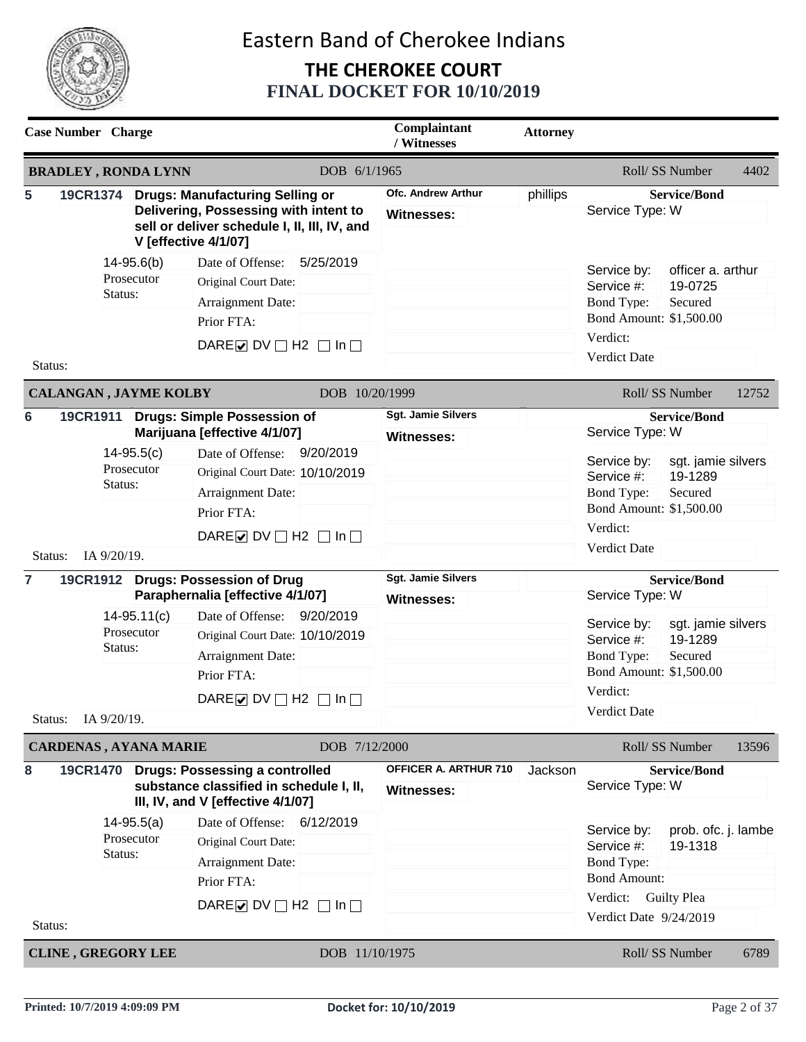

| <b>Case Number</b> Charge                 |                                                  |                                                           |                                                                                                                                                                                                                                                                                                                                                                                                                                          |                        | Complaintant<br>/ Witnesses                                                                      | <b>Attorney</b> |                                                                                                                                                                                                                                                             |                                                                                                                                    |       |
|-------------------------------------------|--------------------------------------------------|-----------------------------------------------------------|------------------------------------------------------------------------------------------------------------------------------------------------------------------------------------------------------------------------------------------------------------------------------------------------------------------------------------------------------------------------------------------------------------------------------------------|------------------------|--------------------------------------------------------------------------------------------------|-----------------|-------------------------------------------------------------------------------------------------------------------------------------------------------------------------------------------------------------------------------------------------------------|------------------------------------------------------------------------------------------------------------------------------------|-------|
| <b>BRADLEY, RONDA LYNN</b>                |                                                  |                                                           |                                                                                                                                                                                                                                                                                                                                                                                                                                          | DOB 6/1/1965           |                                                                                                  |                 |                                                                                                                                                                                                                                                             | Roll/ SS Number                                                                                                                    | 4402  |
| 5                                         |                                                  |                                                           | 19CR1374 Drugs: Manufacturing Selling or<br>Delivering, Possessing with intent to<br>sell or deliver schedule I, II, III, IV, and<br><b>V</b> [effective 4/1/07]                                                                                                                                                                                                                                                                         |                        | <b>Ofc. Andrew Arthur</b><br><b>Witnesses:</b>                                                   | phillips        | Service Type: W                                                                                                                                                                                                                                             | <b>Service/Bond</b>                                                                                                                |       |
| Status:                                   | Status:                                          | $14 - 95.6(b)$<br>Prosecutor                              | Date of Offense:<br>Original Court Date:<br>Arraignment Date:<br>Prior FTA:<br>DARE $\triangleright$ DV $\square$ H2 $\square$ In $\square$                                                                                                                                                                                                                                                                                              | 5/25/2019              |                                                                                                  |                 | Service by:<br>Service #:<br><b>Bond Type:</b><br>Bond Amount: \$1,500.00<br>Verdict:<br><b>Verdict Date</b>                                                                                                                                                | officer a. arthur<br>19-0725<br>Secured                                                                                            |       |
| <b>CALANGAN, JAYME KOLBY</b>              |                                                  |                                                           |                                                                                                                                                                                                                                                                                                                                                                                                                                          | DOB 10/20/1999         |                                                                                                  |                 |                                                                                                                                                                                                                                                             | Roll/ SS Number                                                                                                                    | 12752 |
| 6<br>Status:<br>$\overline{7}$<br>Status: | Status:<br>IA 9/20/19.<br>Status:<br>IA 9/20/19. | $14-95.5(c)$<br>Prosecutor<br>$14-95.11(c)$<br>Prosecutor | 19CR1911 Drugs: Simple Possession of<br>Marijuana [effective 4/1/07]<br>Date of Offense:<br>Original Court Date: 10/10/2019<br>Arraignment Date:<br>Prior FTA:<br>DARE $\triangleright$ DV $\square$ H2 $\square$ In $\square$<br>19CR1912 Drugs: Possession of Drug<br>Paraphernalia [effective 4/1/07]<br>Date of Offense:<br>Original Court Date: 10/10/2019<br>Arraignment Date:<br>Prior FTA:<br>DARE OV $\Box$ H2 $\Box$ In $\Box$ | 9/20/2019<br>9/20/2019 | <b>Sgt. Jamie Silvers</b><br><b>Witnesses:</b><br><b>Sgt. Jamie Silvers</b><br><b>Witnesses:</b> |                 | Service Type: W<br>Service by:<br>Service #:<br><b>Bond Type:</b><br>Bond Amount: \$1,500.00<br>Verdict:<br><b>Verdict Date</b><br>Service Type: W<br>Service by:<br>Service #:<br><b>Bond Type:</b><br>Bond Amount: \$1,500.00<br>Verdict:<br>Verdict Date | <b>Service/Bond</b><br>sgt. jamie silvers<br>19-1289<br>Secured<br><b>Service/Bond</b><br>sgt. jamie silvers<br>19-1289<br>Secured |       |
| <b>CARDENAS, AYANA MARIE</b>              |                                                  |                                                           |                                                                                                                                                                                                                                                                                                                                                                                                                                          | DOB 7/12/2000          |                                                                                                  |                 |                                                                                                                                                                                                                                                             | Roll/ SS Number                                                                                                                    | 13596 |
| 8                                         | 19CR1470                                         |                                                           | <b>Drugs: Possessing a controlled</b><br>substance classified in schedule I, II,<br>III, IV, and V [effective 4/1/07]                                                                                                                                                                                                                                                                                                                    |                        | OFFICER A. ARTHUR 710<br><b>Witnesses:</b>                                                       | Jackson         | Service Type: W                                                                                                                                                                                                                                             | <b>Service/Bond</b>                                                                                                                |       |
|                                           | Status:                                          | $14 - 95.5(a)$<br>Prosecutor                              | Date of Offense:<br>Original Court Date:<br>Arraignment Date:<br>Prior FTA:<br>DARE DV $\Box$ H2 $\Box$ In $\Box$                                                                                                                                                                                                                                                                                                                        | 6/12/2019              |                                                                                                  |                 | Service by:<br>Service #:<br><b>Bond Type:</b><br><b>Bond Amount:</b><br>Verdict:<br>Verdict Date 9/24/2019                                                                                                                                                 | prob. ofc. j. lambe<br>19-1318<br><b>Guilty Plea</b>                                                                               |       |
| Status:                                   |                                                  |                                                           |                                                                                                                                                                                                                                                                                                                                                                                                                                          |                        |                                                                                                  |                 |                                                                                                                                                                                                                                                             |                                                                                                                                    |       |
| <b>CLINE, GREGORY LEE</b>                 |                                                  |                                                           |                                                                                                                                                                                                                                                                                                                                                                                                                                          | DOB 11/10/1975         |                                                                                                  |                 |                                                                                                                                                                                                                                                             | Roll/SS Number                                                                                                                     | 6789  |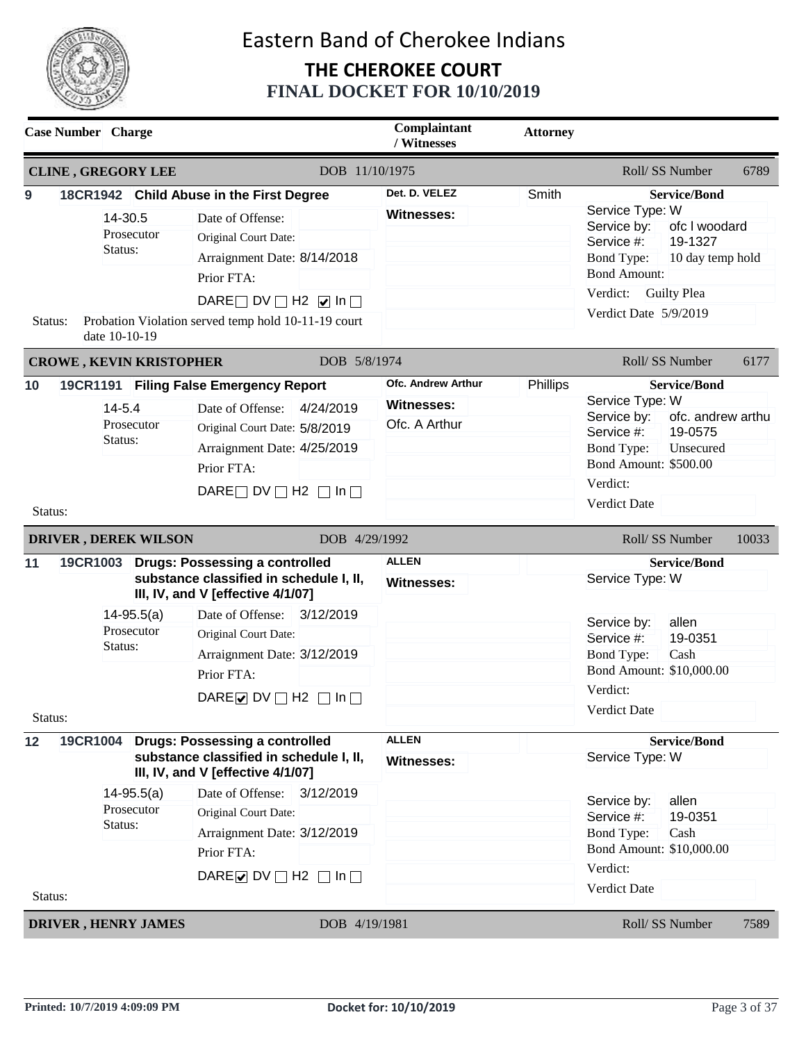

|               | <b>Case Number</b> Charge |                                |                                                                                                                                                                                                                                                                                             | Complaintant<br>/ Witnesses                                     | <b>Attorney</b> |                                                                                                                                                                                                                            |
|---------------|---------------------------|--------------------------------|---------------------------------------------------------------------------------------------------------------------------------------------------------------------------------------------------------------------------------------------------------------------------------------------|-----------------------------------------------------------------|-----------------|----------------------------------------------------------------------------------------------------------------------------------------------------------------------------------------------------------------------------|
|               |                           | <b>CLINE, GREGORY LEE</b>      | DOB 11/10/1975                                                                                                                                                                                                                                                                              |                                                                 |                 | Roll/SS Number<br>6789                                                                                                                                                                                                     |
| 9<br>Status:  | Status:<br>date 10-10-19  | 14-30.5<br>Prosecutor          | 18CR1942 Child Abuse in the First Degree<br>Date of Offense:<br>Original Court Date:<br>Arraignment Date: 8/14/2018<br>Prior FTA:<br>DARE DV $\Box$ H2 $\Box$ In $\Box$<br>Probation Violation served temp hold 10-11-19 court                                                              | Det. D. VELEZ<br><b>Witnesses:</b>                              | Smith           | <b>Service/Bond</b><br>Service Type: W<br>ofc I woodard<br>Service by:<br>Service #:<br>19-1327<br><b>Bond Type:</b><br>10 day temp hold<br><b>Bond Amount:</b><br>Verdict:<br><b>Guilty Plea</b><br>Verdict Date 5/9/2019 |
|               |                           | <b>CROWE, KEVIN KRISTOPHER</b> | DOB 5/8/1974                                                                                                                                                                                                                                                                                |                                                                 |                 | Roll/SS Number<br>6177                                                                                                                                                                                                     |
| 10<br>Status: | Status:                   | $14 - 5.4$<br>Prosecutor       | 19CR1191 Filing False Emergency Report<br>4/24/2019<br>Date of Offense:<br>Original Court Date: 5/8/2019<br>Arraignment Date: 4/25/2019<br>Prior FTA:<br>DARE $\Box$ DV $\Box$ H2 $\Box$ In $\Box$                                                                                          | <b>Ofc. Andrew Arthur</b><br><b>Witnesses:</b><br>Ofc. A Arthur | Phillips        | <b>Service/Bond</b><br>Service Type: W<br>Service by:<br>ofc. andrew arthu<br>Service #:<br>19-0575<br><b>Bond Type:</b><br>Unsecured<br><b>Bond Amount: \$500.00</b><br>Verdict:<br>Verdict Date                          |
|               |                           | <b>DRIVER, DEREK WILSON</b>    | DOB 4/29/1992                                                                                                                                                                                                                                                                               |                                                                 |                 | Roll/SS Number<br>10033                                                                                                                                                                                                    |
| 11<br>Status: | 19CR1003<br>Status:       | $14 - 95.5(a)$<br>Prosecutor   | <b>Drugs: Possessing a controlled</b><br>substance classified in schedule I, II,<br>III, IV, and V [effective 4/1/07]<br>3/12/2019<br>Date of Offense:<br>Original Court Date:<br>Arraignment Date: 3/12/2019<br>Prior FTA:<br>DARE $\triangleright$ DV $\square$ H2 $\square$ In $\square$ | <b>ALLEN</b><br><b>Witnesses:</b>                               |                 | <b>Service/Bond</b><br>Service Type: W<br>allen<br>Service by:<br>Service #:<br>19-0351<br>Cash<br><b>Bond Type:</b><br>Bond Amount: \$10,000.00<br>Verdict:<br>Verdict Date                                               |
| 12            | 19CR1004                  |                                | <b>Drugs: Possessing a controlled</b><br>substance classified in schedule I, II,<br>III, IV, and V [effective 4/1/07]                                                                                                                                                                       | <b>ALLEN</b><br><b>Witnesses:</b>                               |                 | <b>Service/Bond</b><br>Service Type: W                                                                                                                                                                                     |
| Status:       | Status:                   | $14 - 95.5(a)$<br>Prosecutor   | Date of Offense: 3/12/2019<br>Original Court Date:<br>Arraignment Date: 3/12/2019<br>Prior FTA:<br>DARE O DV $\Box$ H2 $\Box$ In $\Box$                                                                                                                                                     |                                                                 |                 | allen<br>Service by:<br>19-0351<br>Service #:<br><b>Bond Type:</b><br>Cash<br>Bond Amount: \$10,000.00<br>Verdict:<br>Verdict Date                                                                                         |
|               |                           | <b>DRIVER, HENRY JAMES</b>     | DOB 4/19/1981                                                                                                                                                                                                                                                                               |                                                                 |                 | Roll/ SS Number<br>7589                                                                                                                                                                                                    |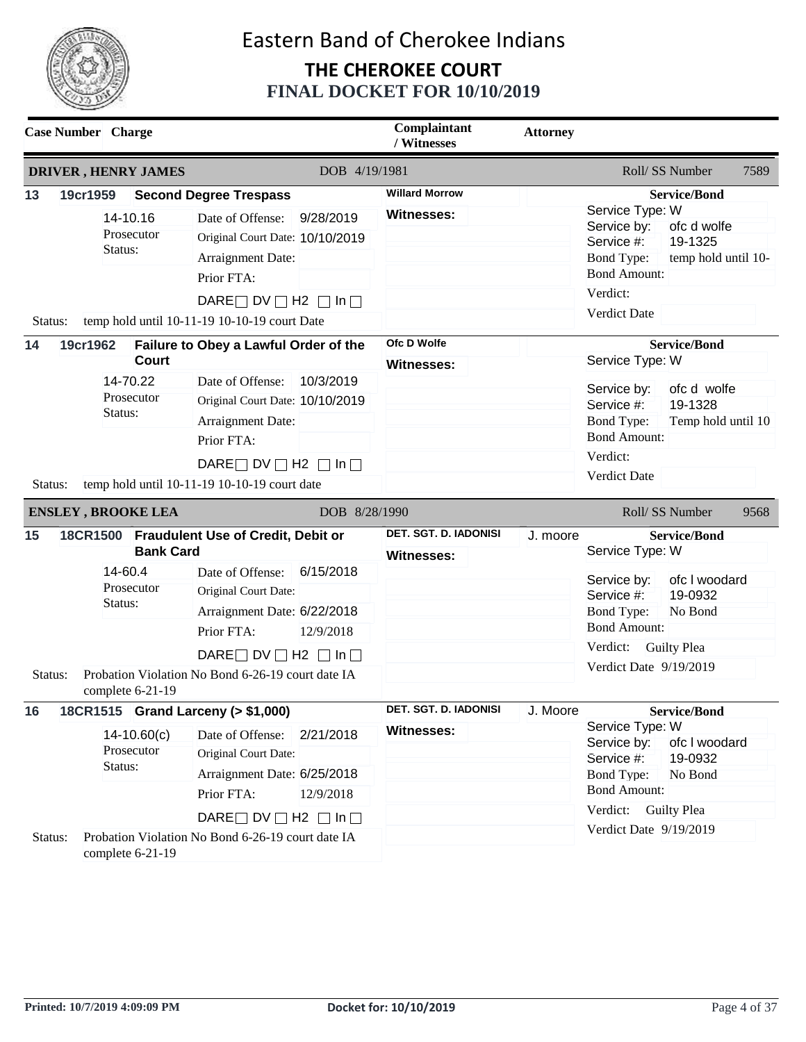

| <b>Case Number</b> Charge |                     |                                        |                                                                                                                                                                                                                              |                        | Complaintant<br>/ Witnesses                | <b>Attorney</b> |                                                                                                                                |                                                                                  |      |
|---------------------------|---------------------|----------------------------------------|------------------------------------------------------------------------------------------------------------------------------------------------------------------------------------------------------------------------------|------------------------|--------------------------------------------|-----------------|--------------------------------------------------------------------------------------------------------------------------------|----------------------------------------------------------------------------------|------|
|                           |                     | <b>DRIVER, HENRY JAMES</b>             |                                                                                                                                                                                                                              | DOB 4/19/1981          |                                            |                 |                                                                                                                                | Roll/SS Number                                                                   | 7589 |
| 13<br>Status:             | 19cr1959<br>Status: | 14-10.16<br>Prosecutor                 | <b>Second Degree Trespass</b><br>Date of Offense:<br>Original Court Date: 10/10/2019<br>Arraignment Date:<br>Prior FTA:<br>DARE $\Box$ DV $\Box$ H2 $\Box$ In $\Box$<br>temp hold until 10-11-19 10-10-19 court Date         | 9/28/2019              | <b>Willard Morrow</b><br><b>Witnesses:</b> |                 | Service Type: W<br>Service by:<br>Service #:<br><b>Bond Type:</b><br><b>Bond Amount:</b><br>Verdict:<br><b>Verdict Date</b>    | <b>Service/Bond</b><br>ofc d wolfe<br>19-1325<br>temp hold until 10-             |      |
| 14<br>Status:             | 19cr1962<br>Status: | <b>Court</b><br>14-70.22<br>Prosecutor | Failure to Obey a Lawful Order of the<br>Date of Offense:<br>Original Court Date: 10/10/2019<br>Arraignment Date:<br>Prior FTA:<br>DARE $\Box$ DV $\Box$ H2 $\Box$ In $\Box$<br>temp hold until 10-11-19 10-10-19 court date | 10/3/2019              | Ofc D Wolfe<br><b>Witnesses:</b>           |                 | Service Type: W<br>Service by:<br>Service #:<br><b>Bond Type:</b><br><b>Bond Amount:</b><br>Verdict:<br><b>Verdict Date</b>    | <b>Service/Bond</b><br>ofc d wolfe<br>19-1328<br>Temp hold until 10              |      |
|                           |                     | <b>ENSLEY, BROOKE LEA</b>              |                                                                                                                                                                                                                              | DOB 8/28/1990          |                                            |                 |                                                                                                                                | Roll/SS Number                                                                   | 9568 |
| 15                        | 14-60.4<br>Status:  | <b>Bank Card</b><br>Prosecutor         | 18CR1500 Fraudulent Use of Credit, Debit or<br>Date of Offense:<br>Original Court Date:<br>Arraignment Date: 6/22/2018<br>Prior FTA:<br>DARE $\Box$ DV $\Box$ H2 $\Box$ In $\Box$                                            | 6/15/2018<br>12/9/2018 | DET. SGT. D. IADONISI<br><b>Witnesses:</b> | J. moore        | Service Type: W<br>Service by:<br>Service #:<br><b>Bond Type:</b><br><b>Bond Amount:</b><br>Verdict:<br>Verdict Date 9/19/2019 | <b>Service/Bond</b><br>ofc I woodard<br>19-0932<br>No Bond<br><b>Guilty Plea</b> |      |
| Status:                   |                     | complete 6-21-19                       | Probation Violation No Bond 6-26-19 court date IA                                                                                                                                                                            |                        |                                            |                 |                                                                                                                                |                                                                                  |      |
| 16                        |                     |                                        | 18CR1515 Grand Larceny (> \$1,000)                                                                                                                                                                                           |                        | DET. SGT. D. IADONISI                      | J. Moore        |                                                                                                                                | <b>Service/Bond</b>                                                              |      |
|                           | Status:             | $14-10.60(c)$<br>Prosecutor            | Date of Offense:<br>Original Court Date:<br>Arraignment Date: 6/25/2018<br>Prior FTA:                                                                                                                                        | 2/21/2018<br>12/9/2018 | <b>Witnesses:</b>                          |                 | Service Type: W<br>Service by:<br>Service #:<br><b>Bond Type:</b><br><b>Bond Amount:</b>                                       | ofc I woodard<br>19-0932<br>No Bond                                              |      |
| Status:                   |                     | complete 6-21-19                       | DARE $\Box$ DV $\Box$ H2 $\Box$ In $\Box$<br>Probation Violation No Bond 6-26-19 court date IA                                                                                                                               |                        |                                            |                 | Verdict:<br>Verdict Date 9/19/2019                                                                                             | <b>Guilty Plea</b>                                                               |      |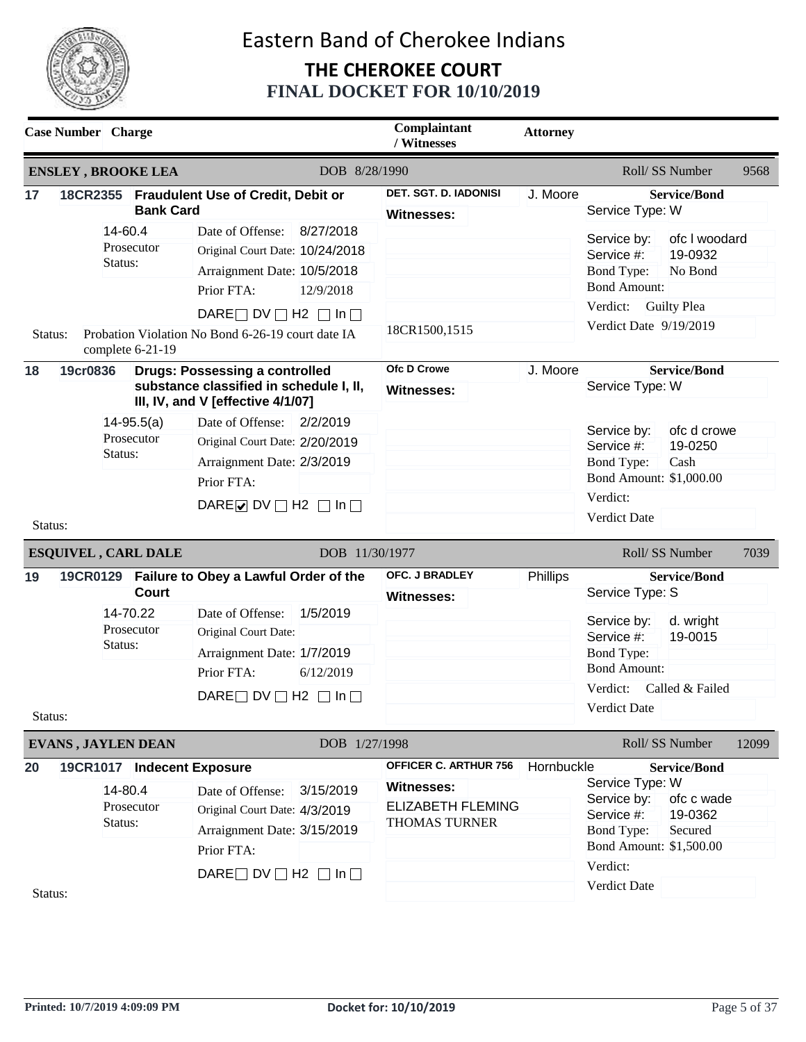

| <b>Case Number</b> Charge  |                                                                |                                                                                                                                                                                                                                                                                                     | Complaintant<br>/ Witnesses                                                             | <b>Attorney</b> |                                                                                                                                                                                               |
|----------------------------|----------------------------------------------------------------|-----------------------------------------------------------------------------------------------------------------------------------------------------------------------------------------------------------------------------------------------------------------------------------------------------|-----------------------------------------------------------------------------------------|-----------------|-----------------------------------------------------------------------------------------------------------------------------------------------------------------------------------------------|
| <b>ENSLEY, BROOKE LEA</b>  |                                                                | DOB 8/28/1990                                                                                                                                                                                                                                                                                       |                                                                                         |                 | Roll/ SS Number<br>9568                                                                                                                                                                       |
| 17                         | <b>Bank Card</b>                                               | 18CR2355 Fraudulent Use of Credit, Debit or                                                                                                                                                                                                                                                         | DET. SGT. D. IADONISI<br>Witnesses:                                                     | J. Moore        | <b>Service/Bond</b><br>Service Type: W                                                                                                                                                        |
| Status:                    | 14-60.4<br>Prosecutor<br>Status:<br>complete 6-21-19           | Date of Offense:<br>8/27/2018<br>Original Court Date: 10/24/2018<br>Arraignment Date: 10/5/2018<br>Prior FTA:<br>12/9/2018<br>DARE $\Box$ DV $\Box$ H2 $\Box$ In $\Box$<br>Probation Violation No Bond 6-26-19 court date IA                                                                        | 18CR1500,1515                                                                           |                 | Service by:<br>ofc I woodard<br>Service #:<br>19-0932<br>No Bond<br><b>Bond Type:</b><br><b>Bond Amount:</b><br>Verdict:<br><b>Guilty Plea</b><br>Verdict Date 9/19/2019                      |
| 19cr0836<br>18<br>Status:  | $14 - 95.5(a)$<br>Prosecutor<br>Status:                        | <b>Drugs: Possessing a controlled</b><br>substance classified in schedule I, II,<br>III, IV, and V [effective 4/1/07]<br>Date of Offense:<br>2/2/2019<br>Original Court Date: 2/20/2019<br>Arraignment Date: 2/3/2019<br>Prior FTA:<br>DARE $\triangleright$ DV $\square$ H2 $\square$ In $\square$ | <b>Ofc D Crowe</b><br><b>Witnesses:</b>                                                 | J. Moore        | <b>Service/Bond</b><br>Service Type: W<br>ofc d crowe<br>Service by:<br>Service #:<br>19-0250<br><b>Bond Type:</b><br>Cash<br>Bond Amount: \$1,000.00<br>Verdict:<br>Verdict Date             |
| <b>ESQUIVEL, CARL DALE</b> |                                                                |                                                                                                                                                                                                                                                                                                     | DOB 11/30/1977                                                                          |                 | Roll/ SS Number<br>7039                                                                                                                                                                       |
| 19<br>Status:              | <b>Court</b><br>14-70.22<br>Prosecutor<br>Status:              | 19CR0129 Failure to Obey a Lawful Order of the<br>Date of Offense:<br>1/5/2019<br>Original Court Date:<br>Arraignment Date: 1/7/2019<br>Prior FTA:<br>6/12/2019<br>DARE $\Box$ DV $\Box$ H2 $\Box$ In $\Box$                                                                                        | OFC. J BRADLEY<br><b>Witnesses:</b>                                                     | Phillips        | <b>Service/Bond</b><br>Service Type: S<br>Service by:<br>d. wright<br>19-0015<br>Service #:<br><b>Bond Type:</b><br><b>Bond Amount:</b><br>Verdict:<br>Called & Failed<br><b>Verdict Date</b> |
| <b>EVANS, JAYLEN DEAN</b>  |                                                                | DOB 1/27/1998                                                                                                                                                                                                                                                                                       |                                                                                         |                 | Roll/SS Number<br>12099                                                                                                                                                                       |
| 20<br>Status:              | 19CR1017 Indecent Exposure<br>14-80.4<br>Prosecutor<br>Status: | Date of Offense:<br>3/15/2019<br>Original Court Date: 4/3/2019<br>Arraignment Date: 3/15/2019<br>Prior FTA:<br>DARE $\Box$ DV $\Box$ H2 $\Box$ In $\Box$                                                                                                                                            | OFFICER C. ARTHUR 756<br><b>Witnesses:</b><br><b>ELIZABETH FLEMING</b><br>THOMAS TURNER | Hornbuckle      | <b>Service/Bond</b><br>Service Type: W<br>Service by:<br>ofc c wade<br>19-0362<br>Service #:<br><b>Bond Type:</b><br>Secured<br>Bond Amount: \$1,500.00<br>Verdict:<br>Verdict Date           |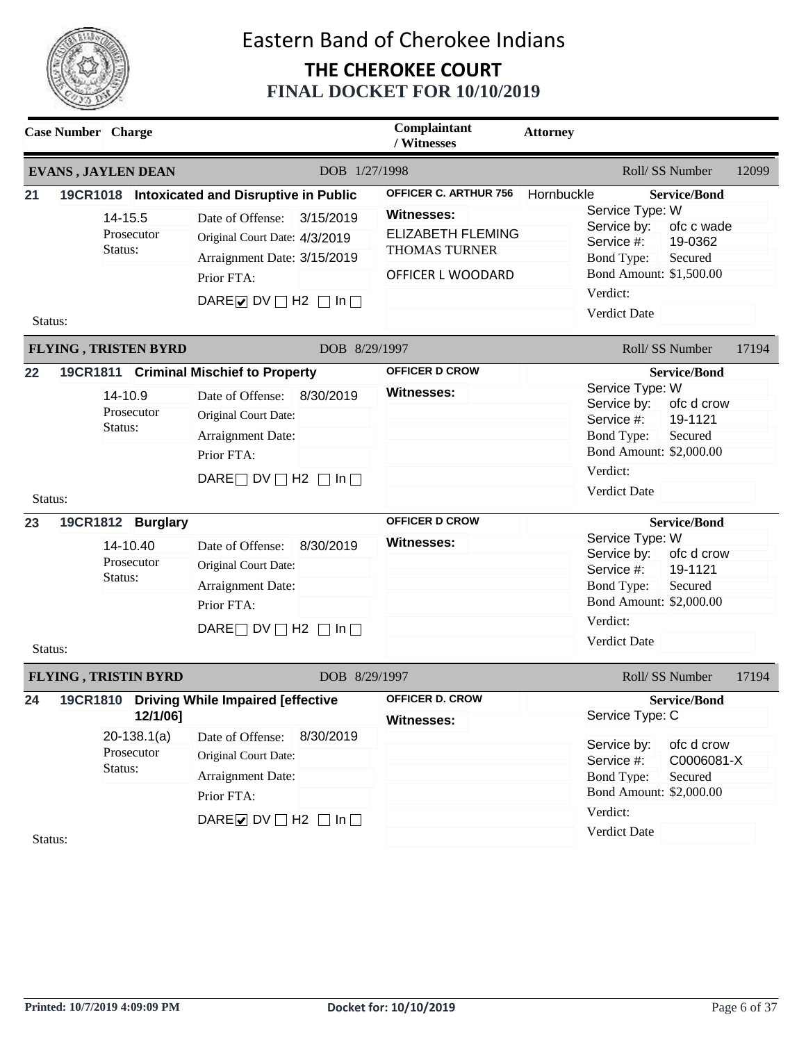

| <b>EVANS, JAYLEN DEAN</b>                                                                                                    |                                                                                                                                                                                                                                                                                                |                        |                                                                                                                            |                                                                                                                                                                                                                                                                                                                                                                            |
|------------------------------------------------------------------------------------------------------------------------------|------------------------------------------------------------------------------------------------------------------------------------------------------------------------------------------------------------------------------------------------------------------------------------------------|------------------------|----------------------------------------------------------------------------------------------------------------------------|----------------------------------------------------------------------------------------------------------------------------------------------------------------------------------------------------------------------------------------------------------------------------------------------------------------------------------------------------------------------------|
|                                                                                                                              |                                                                                                                                                                                                                                                                                                | DOB 1/27/1998          |                                                                                                                            | Roll/SS Number<br>12099                                                                                                                                                                                                                                                                                                                                                    |
| 21<br>14-15.5<br>Prosecutor<br>Status:<br>Status:                                                                            | 19CR1018 Intoxicated and Disruptive in Public<br>Date of Offense:<br>Original Court Date: 4/3/2019<br>Arraignment Date: 3/15/2019<br>Prior FTA:<br>DARE $\triangleright$ DV $\square$ H2 $\square$ In $\square$                                                                                | 3/15/2019              | <b>OFFICER C. ARTHUR 756</b><br><b>Witnesses:</b><br><b>ELIZABETH FLEMING</b><br><b>THOMAS TURNER</b><br>OFFICER L WOODARD | Hornbuckle<br><b>Service/Bond</b><br>Service Type: W<br>Service by:<br>ofc c wade<br>Service #:<br>19-0362<br><b>Bond Type:</b><br>Secured<br>Bond Amount: \$1,500.00<br>Verdict:<br><b>Verdict Date</b>                                                                                                                                                                   |
| <b>FLYING, TRISTEN BYRD</b>                                                                                                  |                                                                                                                                                                                                                                                                                                | DOB 8/29/1997          |                                                                                                                            | Roll/SS Number<br>17194                                                                                                                                                                                                                                                                                                                                                    |
| 22<br>14-10.9<br>Prosecutor<br>Status:<br>Status:<br>23<br>19CR1812 Burglary<br>14-10.40<br>Prosecutor<br>Status:<br>Status: | 19CR1811 Criminal Mischief to Property<br>Date of Offense:<br>Original Court Date:<br>Arraignment Date:<br>Prior FTA:<br>DARE $\Box$ DV $\Box$ H2 $\Box$ In $\Box$<br>Date of Offense:<br>Original Court Date:<br>Arraignment Date:<br>Prior FTA:<br>DARE $\Box$ DV $\Box$ H2 $\Box$ In $\Box$ | 8/30/2019<br>8/30/2019 | <b>OFFICER D CROW</b><br><b>Witnesses:</b><br><b>OFFICER D CROW</b><br><b>Witnesses:</b>                                   | <b>Service/Bond</b><br>Service Type: W<br>ofc d crow<br>Service by:<br>19-1121<br>Service #:<br><b>Bond Type:</b><br>Secured<br>Bond Amount: \$2,000.00<br>Verdict:<br>Verdict Date<br><b>Service/Bond</b><br>Service Type: W<br>Service by:<br>ofc d crow<br>19-1121<br>Service #:<br><b>Bond Type:</b><br>Secured<br>Bond Amount: \$2,000.00<br>Verdict:<br>Verdict Date |
| <b>FLYING, TRISTIN BYRD</b>                                                                                                  |                                                                                                                                                                                                                                                                                                | DOB 8/29/1997          |                                                                                                                            | Roll/ SS Number<br>17194                                                                                                                                                                                                                                                                                                                                                   |
| 24<br>$20-138.1(a)$<br>Prosecutor<br>Status:<br>Status:                                                                      | 19CR1810 Driving While Impaired [effective<br>12/1/06]<br>Date of Offense:<br>Original Court Date:<br>Arraignment Date:<br>Prior FTA:<br>DAREØDV□H2 □In□                                                                                                                                       | 8/30/2019              | <b>OFFICER D. CROW</b><br><b>Witnesses:</b>                                                                                | <b>Service/Bond</b><br>Service Type: C<br>Service by:<br>ofc d crow<br>C0006081-X<br>Service #:<br><b>Bond Type:</b><br>Secured<br>Bond Amount: \$2,000.00<br>Verdict:<br>Verdict Date                                                                                                                                                                                     |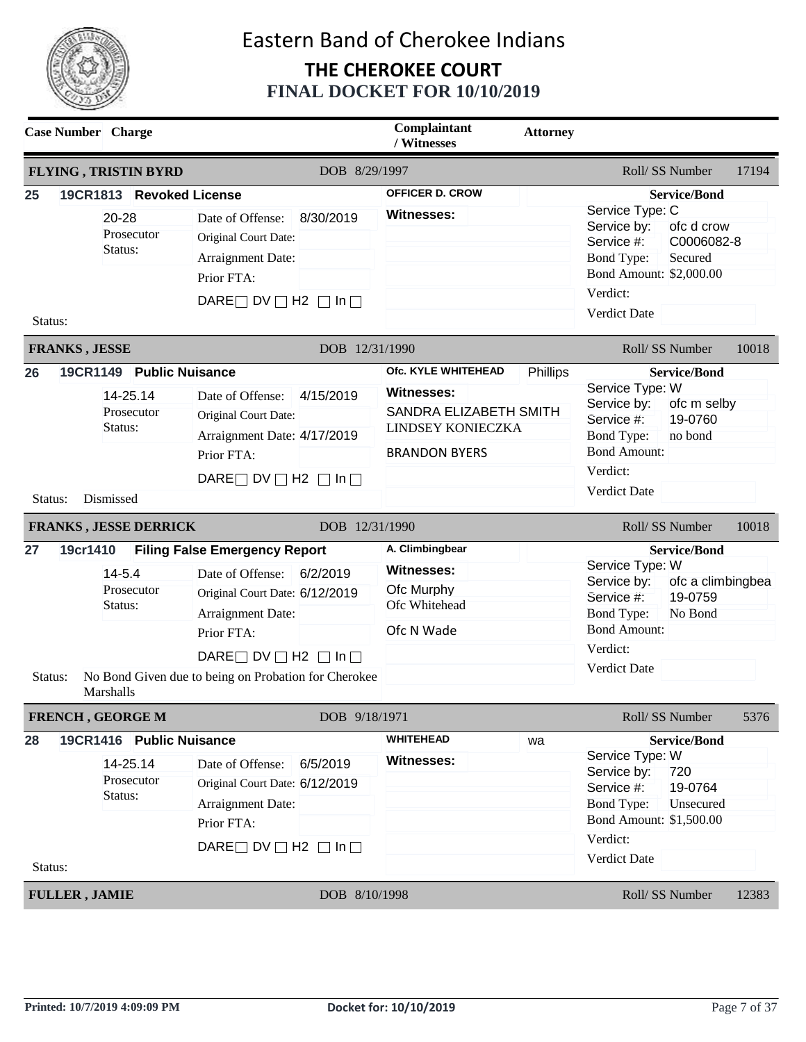

|               | <b>Case Number</b> Charge                                                                                  |                                                                                                                                                                                                                                             |                             | Complaintant<br>/ Witnesses                                                                                            | <b>Attorney</b> |                                                                                                                                                                                                           |       |
|---------------|------------------------------------------------------------------------------------------------------------|---------------------------------------------------------------------------------------------------------------------------------------------------------------------------------------------------------------------------------------------|-----------------------------|------------------------------------------------------------------------------------------------------------------------|-----------------|-----------------------------------------------------------------------------------------------------------------------------------------------------------------------------------------------------------|-------|
|               | <b>FLYING, TRISTIN BYRD</b>                                                                                |                                                                                                                                                                                                                                             | DOB 8/29/1997               |                                                                                                                        |                 | Roll/SS Number                                                                                                                                                                                            | 17194 |
| 25<br>Status: | 19CR1813 Revoked License<br>20-28<br>Prosecutor<br>Status:                                                 | Date of Offense:<br>Original Court Date:<br>Arraignment Date:<br>Prior FTA:<br>DARE $\Box$ DV $\Box$ H2 $\Box$ In $\Box$                                                                                                                    | 8/30/2019                   | <b>OFFICER D. CROW</b><br><b>Witnesses:</b>                                                                            |                 | <b>Service/Bond</b><br>Service Type: C<br>ofc d crow<br>Service by:<br>C0006082-8<br>Service #:<br><b>Bond Type:</b><br>Secured<br>Bond Amount: \$2,000.00<br>Verdict:<br>Verdict Date                    |       |
|               | <b>FRANKS, JESSE</b>                                                                                       |                                                                                                                                                                                                                                             | DOB 12/31/1990              |                                                                                                                        |                 | Roll/SS Number                                                                                                                                                                                            | 10018 |
| 26<br>Status: | 19CR1149 Public Nuisance<br>14-25.14<br>Prosecutor<br>Status:<br>Dismissed<br><b>FRANKS, JESSE DERRICK</b> | Date of Offense:<br>Original Court Date:<br>Arraignment Date: 4/17/2019<br>Prior FTA:<br>DARE $\Box$ DV $\Box$ H2 $\Box$ In $\Box$                                                                                                          | 4/15/2019<br>DOB 12/31/1990 | Ofc. KYLE WHITEHEAD<br><b>Witnesses:</b><br>SANDRA ELIZABETH SMITH<br><b>LINDSEY KONIECZKA</b><br><b>BRANDON BYERS</b> | Phillips        | <b>Service/Bond</b><br>Service Type: W<br>Service by:<br>ofc m selby<br>Service #:<br>19-0760<br><b>Bond Type:</b><br>no bond<br><b>Bond Amount:</b><br>Verdict:<br><b>Verdict Date</b><br>Roll/SS Number | 10018 |
| 27<br>Status: | 19cr1410<br>$14 - 5.4$<br>Prosecutor<br>Status:<br>Marshalls                                               | <b>Filing False Emergency Report</b><br>Date of Offense: 6/2/2019<br>Original Court Date: 6/12/2019<br>Arraignment Date:<br>Prior FTA:<br>DARE $\Box$ DV $\Box$ H2 $\Box$ In $\Box$<br>No Bond Given due to being on Probation for Cherokee |                             | A. Climbingbear<br><b>Witnesses:</b><br>Ofc Murphy<br>Ofc Whitehead<br>Ofc N Wade                                      |                 | <b>Service/Bond</b><br>Service Type: W<br>Service by:<br>ofc a climbingbea<br>19-0759<br>Service #:<br>No Bond<br><b>Bond Type:</b><br><b>Bond Amount:</b><br>Verdict:<br>Verdict Date                    |       |
|               | FRENCH, GEORGE M                                                                                           |                                                                                                                                                                                                                                             | DOB 9/18/1971               |                                                                                                                        |                 | Roll/SS Number                                                                                                                                                                                            | 5376  |
| 28<br>Status: | 19CR1416 Public Nuisance<br>14-25.14<br>Prosecutor<br>Status:                                              | Date of Offense:<br>Original Court Date: 6/12/2019<br>Arraignment Date:<br>Prior FTA:<br>DARE $\Box$ DV $\Box$ H2 $\Box$ In $\Box$                                                                                                          | 6/5/2019                    | <b>WHITEHEAD</b><br><b>Witnesses:</b>                                                                                  | wa              | <b>Service/Bond</b><br>Service Type: W<br>Service by:<br>720<br>Service #:<br>19-0764<br><b>Bond Type:</b><br>Unsecured<br>Bond Amount: \$1,500.00<br>Verdict:<br>Verdict Date                            |       |
|               | <b>FULLER, JAMIE</b>                                                                                       |                                                                                                                                                                                                                                             | DOB 8/10/1998               |                                                                                                                        |                 | Roll/SS Number                                                                                                                                                                                            | 12383 |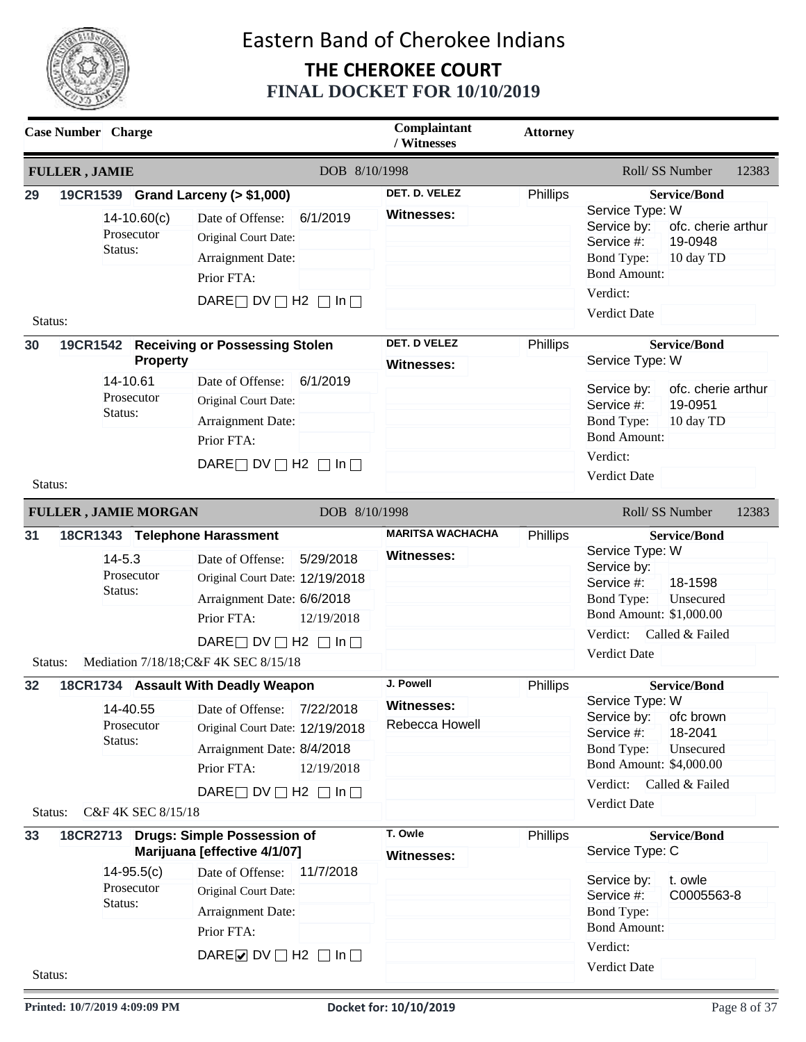

|               | <b>Case Number</b> Charge                   |                                                                                                                                                                                                                      | Complaintant<br>/ Witnesses                      | <b>Attorney</b> |                                                                                                                                                                                                      |
|---------------|---------------------------------------------|----------------------------------------------------------------------------------------------------------------------------------------------------------------------------------------------------------------------|--------------------------------------------------|-----------------|------------------------------------------------------------------------------------------------------------------------------------------------------------------------------------------------------|
|               | <b>FULLER, JAMIE</b>                        | DOB 8/10/1998                                                                                                                                                                                                        |                                                  |                 | Roll/ SS Number<br>12383                                                                                                                                                                             |
| 29            | 19CR1539 Grand Larceny (> \$1,000)          |                                                                                                                                                                                                                      | DET. D. VELEZ                                    | Phillips        | <b>Service/Bond</b><br>Service Type: W                                                                                                                                                               |
|               | $14 - 10.60(c)$<br>Prosecutor<br>Status:    | Date of Offense:<br>6/1/2019<br>Original Court Date:<br>Arraignment Date:<br>Prior FTA:<br>DARE $\Box$ DV $\Box$ H2 $\Box$ In $\Box$                                                                                 | Witnesses:                                       |                 | Service by:<br>ofc. cherie arthur<br>19-0948<br>Service #:<br><b>Bond Type:</b><br>10 day TD<br><b>Bond Amount:</b><br>Verdict:                                                                      |
| Status:       |                                             |                                                                                                                                                                                                                      |                                                  |                 | <b>Verdict Date</b>                                                                                                                                                                                  |
| 30            | <b>Property</b>                             | 19CR1542 Receiving or Possessing Stolen                                                                                                                                                                              | <b>DET. D VELEZ</b><br>Witnesses:                | Phillips        | <b>Service/Bond</b><br>Service Type: W                                                                                                                                                               |
| Status:       | 14-10.61<br>Prosecutor<br>Status:           | 6/1/2019<br>Date of Offense:<br>Original Court Date:<br>Arraignment Date:<br>Prior FTA:<br>DARE $\Box$ DV $\Box$ H2 $\Box$ In $\Box$                                                                                 |                                                  |                 | Service by:<br>ofc. cherie arthur<br>Service #:<br>19-0951<br><b>Bond Type:</b><br>10 day TD<br><b>Bond Amount:</b><br>Verdict:<br>Verdict Date                                                      |
|               | <b>FULLER, JAMIE MORGAN</b>                 | DOB 8/10/1998                                                                                                                                                                                                        |                                                  |                 | Roll/SS Number<br>12383                                                                                                                                                                              |
| 31            | 18CR1343 Telephone Harassment               |                                                                                                                                                                                                                      | <b>MARITSA WACHACHA</b>                          | <b>Phillips</b> | <b>Service/Bond</b>                                                                                                                                                                                  |
|               | $14 - 5.3$<br>Prosecutor<br>Status:         | 5/29/2018<br>Date of Offense:<br>Original Court Date: 12/19/2018<br>Arraignment Date: 6/6/2018<br>Prior FTA:<br>12/19/2018<br>DARE $\Box$ DV $\Box$ H2 $\Box$ In $\Box$                                              | <b>Witnesses:</b>                                |                 | Service Type: W<br>Service by:<br>Service #:<br>18-1598<br>Bond Type:<br>Unsecured<br>Bond Amount: \$1,000.00<br>Verdict:<br>Called & Failed<br><b>Verdict Date</b>                                  |
| Status:       |                                             | Mediation 7/18/18; C&F 4K SEC 8/15/18                                                                                                                                                                                |                                                  |                 |                                                                                                                                                                                                      |
| 32<br>Status: | Prosecutor<br>Status:<br>C&F 4K SEC 8/15/18 | 18CR1734 Assault With Deadly Weapon<br>14-40.55 Date of Offense: 7/22/2018<br>Original Court Date: 12/19/2018<br>Arraignment Date: 8/4/2018<br>Prior FTA:<br>12/19/2018<br>DARE $\Box$ DV $\Box$ H2 $\Box$ In $\Box$ | J. Powell<br><b>Witnesses:</b><br>Rebecca Howell | Phillips        | <b>Service/Bond</b><br>Service Type: W<br>Service by:<br>ofc brown<br>Service #:<br>18-2041<br>Bond Type:<br>Unsecured<br>Bond Amount: \$4,000.00<br>Verdict: Called & Failed<br><b>Verdict Date</b> |
| 33            |                                             | 18CR2713 Drugs: Simple Possession of<br>Marijuana [effective 4/1/07]                                                                                                                                                 | T. Owle<br><b>Witnesses:</b>                     | Phillips        | <b>Service/Bond</b><br>Service Type: C                                                                                                                                                               |
|               | $14 - 95.5(c)$<br>Prosecutor<br>Status:     | Date of Offense:<br>11/7/2018<br>Original Court Date:<br>Arraignment Date:<br>Prior FTA:<br>DARE $\triangleright$ DV $\square$ H2 $\square$ In $\square$                                                             |                                                  |                 | t. owle<br>Service by:<br>Service #:<br>C0005563-8<br><b>Bond Type:</b><br><b>Bond Amount:</b><br>Verdict:<br>Verdict Date                                                                           |
| Status:       |                                             |                                                                                                                                                                                                                      |                                                  |                 |                                                                                                                                                                                                      |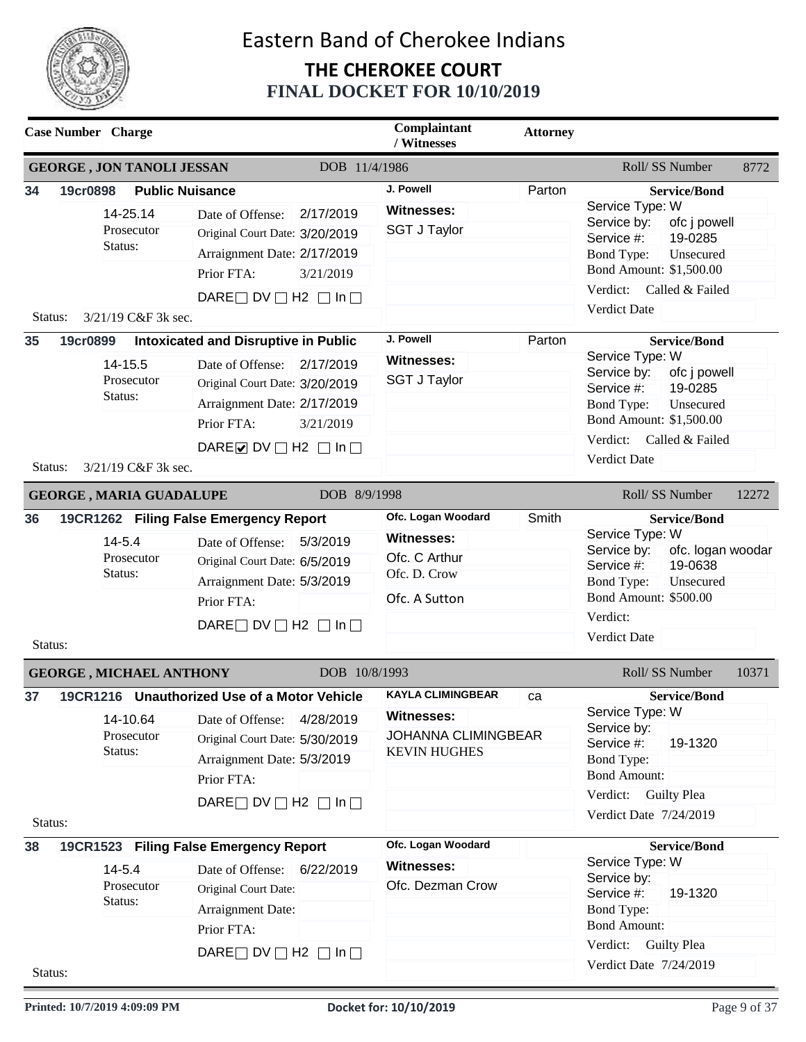

| <b>Case Number</b> Charge |                                                                                    |                                                                                                                                                                                             |                        | Complaintant<br>/ Witnesses                                                                 | <b>Attorney</b> |                                                                                                                                                                                                                |
|---------------------------|------------------------------------------------------------------------------------|---------------------------------------------------------------------------------------------------------------------------------------------------------------------------------------------|------------------------|---------------------------------------------------------------------------------------------|-----------------|----------------------------------------------------------------------------------------------------------------------------------------------------------------------------------------------------------------|
|                           | <b>GEORGE, JON TANOLI JESSAN</b>                                                   |                                                                                                                                                                                             | DOB 11/4/1986          |                                                                                             |                 | Roll/SS Number<br>8772                                                                                                                                                                                         |
| 34<br>19cr0898<br>Status: | <b>Public Nuisance</b><br>14-25.14<br>Prosecutor<br>Status:<br>3/21/19 C&F 3k sec. | Date of Offense:<br>Original Court Date: 3/20/2019<br>Arraignment Date: 2/17/2019<br>Prior FTA:<br>DARE $\Box$ DV $\Box$ H2 $\Box$ In $\Box$                                                | 2/17/2019<br>3/21/2019 | J. Powell<br><b>Witnesses:</b><br><b>SGT J Taylor</b>                                       | Parton          | <b>Service/Bond</b><br>Service Type: W<br>Service by:<br>ofc j powell<br>19-0285<br>Service #:<br>Unsecured<br><b>Bond Type:</b><br>Bond Amount: \$1,500.00<br>Verdict: Called & Failed<br><b>Verdict Date</b> |
| 35<br>19cr0899            |                                                                                    | <b>Intoxicated and Disruptive in Public</b>                                                                                                                                                 |                        | J. Powell                                                                                   | Parton          | <b>Service/Bond</b>                                                                                                                                                                                            |
| Status:                   | 14-15.5<br>Prosecutor<br>Status:<br>3/21/19 C&F 3k sec.                            | Date of Offense:<br>Original Court Date: 3/20/2019<br>Arraignment Date: 2/17/2019<br>Prior FTA:<br>DARE O DV $\Box$ H2 $\Box$ In $\Box$                                                     | 2/17/2019<br>3/21/2019 | <b>Witnesses:</b><br><b>SGT J Taylor</b>                                                    |                 | Service Type: W<br>Service by:<br>ofc j powell<br>19-0285<br>Service #:<br><b>Bond Type:</b><br>Unsecured<br>Bond Amount: \$1,500.00<br>Verdict:<br>Called & Failed<br><b>Verdict Date</b>                     |
|                           | <b>GEORGE, MARIA GUADALUPE</b>                                                     |                                                                                                                                                                                             | DOB 8/9/1998           |                                                                                             |                 | Roll/SS Number<br>12272                                                                                                                                                                                        |
| 36<br>Status:             | $14 - 5.4$<br>Prosecutor<br>Status:                                                | 19CR1262 Filing False Emergency Report<br>Date of Offense:<br>Original Court Date: 6/5/2019<br>Arraignment Date: 5/3/2019<br>Prior FTA:<br>DARE $\Box$ DV $\Box$ H2 $\Box$ In $\Box$        | 5/3/2019               | Ofc. Logan Woodard<br><b>Witnesses:</b><br>Ofc. C Arthur<br>Ofc. D. Crow<br>Ofc. A Sutton   | Smith           | <b>Service/Bond</b><br>Service Type: W<br>Service by:<br>ofc. logan woodar<br>19-0638<br>Service #:<br><b>Bond Type:</b><br>Unsecured<br><b>Bond Amount: \$500.00</b><br>Verdict:<br>Verdict Date              |
|                           | <b>GEORGE, MICHAEL ANTHONY</b>                                                     |                                                                                                                                                                                             | DOB 10/8/1993          |                                                                                             |                 | Roll/SS Number<br>10371                                                                                                                                                                                        |
| 37<br>Status:             | 14-10.64<br>Prosecutor<br>Status:                                                  | 19CR1216 Unauthorized Use of a Motor Vehicle<br>Date of Offense:<br>Original Court Date: 5/30/2019<br>Arraignment Date: 5/3/2019<br>Prior FTA:<br>DARE $\Box$ DV $\Box$ H2 $\Box$ In $\Box$ | 4/28/2019              | <b>KAYLA CLIMINGBEAR</b><br>Witnesses:<br><b>JOHANNA CLIMINGBEAR</b><br><b>KEVIN HUGHES</b> | ca              | <b>Service/Bond</b><br>Service Type: W<br>Service by:<br>Service #:<br>19-1320<br><b>Bond Type:</b><br><b>Bond Amount:</b><br>Verdict: Guilty Plea<br>Verdict Date 7/24/2019                                   |
| 38                        |                                                                                    | 19CR1523 Filing False Emergency Report                                                                                                                                                      |                        | Ofc. Logan Woodard                                                                          |                 | <b>Service/Bond</b>                                                                                                                                                                                            |
| Status:                   | $14 - 5.4$<br>Prosecutor<br>Status:                                                | Date of Offense: 6/22/2019<br>Original Court Date:<br>Arraignment Date:<br>Prior FTA:<br>DARE $\Box$ DV $\Box$ H2 $\Box$ In $\Box$                                                          |                        | <b>Witnesses:</b><br>Ofc. Dezman Crow                                                       |                 | Service Type: W<br>Service by:<br>Service #:<br>19-1320<br><b>Bond Type:</b><br><b>Bond Amount:</b><br>Verdict: Guilty Plea<br>Verdict Date 7/24/2019                                                          |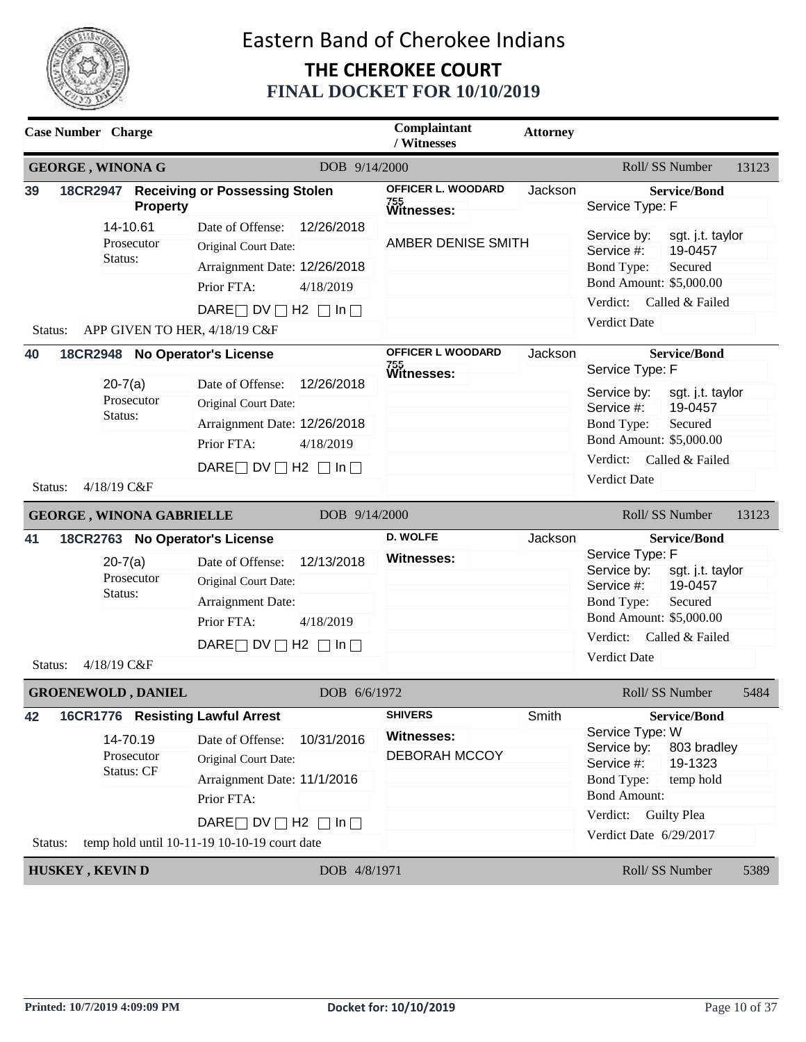

| <b>Case Number</b> Charge                                                                              |                                                                                                                                                                                                  | Complaintant<br>/ Witnesses                                 | <b>Attorney</b> |                                                                                                                                                                                                                    |
|--------------------------------------------------------------------------------------------------------|--------------------------------------------------------------------------------------------------------------------------------------------------------------------------------------------------|-------------------------------------------------------------|-----------------|--------------------------------------------------------------------------------------------------------------------------------------------------------------------------------------------------------------------|
| <b>GEORGE, WINONA G</b>                                                                                | DOB 9/14/2000                                                                                                                                                                                    |                                                             |                 | Roll/SS Number<br>13123                                                                                                                                                                                            |
| 39<br><b>Property</b>                                                                                  | 18CR2947 Receiving or Possessing Stolen                                                                                                                                                          | OFFICER L. WOODARD<br>755<br>Witnesses:                     | Jackson         | <b>Service/Bond</b><br>Service Type: F                                                                                                                                                                             |
| 14-10.61<br>Prosecutor<br>Status:<br>Status:                                                           | 12/26/2018<br>Date of Offense:<br>Original Court Date:<br>Arraignment Date: 12/26/2018<br>Prior FTA:<br>4/18/2019<br>DARE $\Box$ DV $\Box$ H2 $\Box$ In $\Box$<br>APP GIVEN TO HER, 4/18/19 C&F  | AMBER DENISE SMITH                                          |                 | Service by:<br>sgt. j.t. taylor<br>Service #:<br>19-0457<br>Secured<br><b>Bond Type:</b><br>Bond Amount: \$5,000.00<br>Verdict:<br>Called & Failed<br>Verdict Date                                                 |
| 40<br>18CR2948 No Operator's License                                                                   |                                                                                                                                                                                                  | OFFICER L WOODARD                                           | Jackson         | <b>Service/Bond</b>                                                                                                                                                                                                |
| $20 - 7(a)$<br>Prosecutor<br>Status:                                                                   | 12/26/2018<br>Date of Offense:<br>Original Court Date:<br>Arraignment Date: 12/26/2018<br>Prior FTA:<br>4/18/2019                                                                                | 755<br>Witnesses:                                           |                 | Service Type: F<br>Service by:<br>sgt. j.t. taylor<br>Service #:<br>19-0457<br><b>Bond Type:</b><br>Secured<br>Bond Amount: \$5,000.00                                                                             |
| 4/18/19 C&F<br>Status:                                                                                 | DARE $\Box$ DV $\Box$ H2 $\Box$ In $\Box$                                                                                                                                                        |                                                             |                 | Verdict: Called & Failed<br>Verdict Date                                                                                                                                                                           |
| <b>GEORGE, WINONA GABRIELLE</b>                                                                        | DOB 9/14/2000                                                                                                                                                                                    |                                                             |                 | Roll/ SS Number<br>13123                                                                                                                                                                                           |
| 18CR2763 No Operator's License<br>41<br>$20 - 7(a)$<br>Prosecutor<br>Status:<br>4/18/19 C&F<br>Status: | 12/13/2018<br>Date of Offense:<br>Original Court Date:<br>Arraignment Date:<br>Prior FTA:<br>4/18/2019<br>DARE $\Box$ DV $\Box$ H2 $\Box$ In $\Box$                                              | <b>D. WOLFE</b><br><b>Witnesses:</b>                        | Jackson         | <b>Service/Bond</b><br>Service Type: F<br>Service by:<br>sgt. j.t. taylor<br>Service #:<br>19-0457<br>Secured<br><b>Bond Type:</b><br>Bond Amount: \$5,000.00<br>Verdict:<br>Called & Failed<br>Verdict Date       |
| <b>GROENEWOLD, DANIEL</b>                                                                              | DOB 6/6/1972                                                                                                                                                                                     |                                                             |                 | Roll/SS Number<br>5484                                                                                                                                                                                             |
| 42<br>16CR1776 Resisting Lawful Arrest<br>14-70.19<br>Prosecutor<br><b>Status: CF</b><br>Status:       | 10/31/2016<br>Date of Offense:<br>Original Court Date:<br>Arraignment Date: 11/1/2016<br>Prior FTA:<br>DARE $\Box$ DV $\Box$ H2 $\Box$ In $\Box$<br>temp hold until 10-11-19 10-10-19 court date | <b>SHIVERS</b><br><b>Witnesses:</b><br><b>DEBORAH MCCOY</b> | Smith           | <b>Service/Bond</b><br>Service Type: W<br>Service by:<br>803 bradley<br>Service #:<br>19-1323<br><b>Bond Type:</b><br>temp hold<br><b>Bond Amount:</b><br>Verdict:<br><b>Guilty Plea</b><br>Verdict Date 6/29/2017 |
| <b>HUSKEY, KEVIN D</b>                                                                                 | DOB 4/8/1971                                                                                                                                                                                     |                                                             |                 | Roll/ SS Number<br>5389                                                                                                                                                                                            |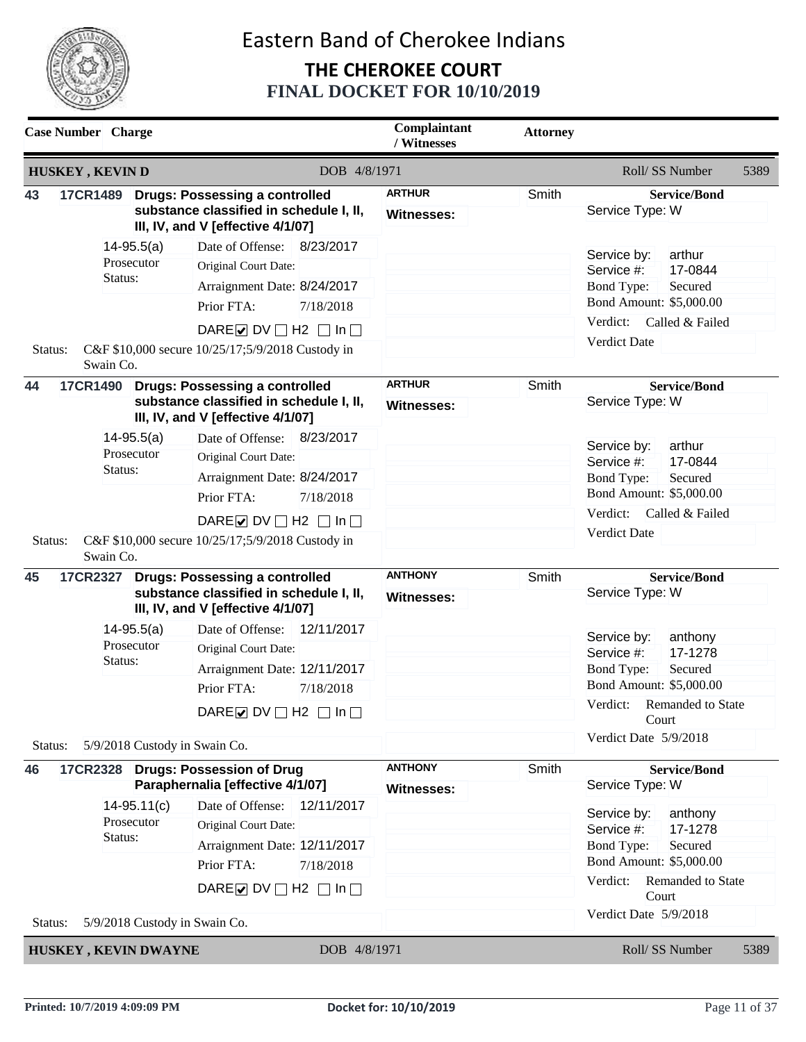

| <b>Case Number</b> Charge                |                             |                |                                                                              | Complaintant<br>/ Witnesses | <b>Attorney</b>       |                                        |
|------------------------------------------|-----------------------------|----------------|------------------------------------------------------------------------------|-----------------------------|-----------------------|----------------------------------------|
|                                          | <b>HUSKEY, KEVIND</b>       |                | DOB 4/8/1971                                                                 |                             |                       | Roll/SS Number<br>5389                 |
| 43                                       | 17CR1489                    |                | <b>Drugs: Possessing a controlled</b>                                        | <b>ARTHUR</b>               | Smith                 | <b>Service/Bond</b>                    |
|                                          |                             |                | substance classified in schedule I, II,<br>III, IV, and V [effective 4/1/07] | Witnesses:                  |                       | Service Type: W                        |
|                                          |                             | $14 - 95.5(a)$ | 8/23/2017<br>Date of Offense:                                                |                             |                       | arthur<br>Service by:                  |
|                                          |                             | Prosecutor     | Original Court Date:                                                         |                             |                       | 17-0844<br>Service #:                  |
|                                          | Status:                     |                | Arraignment Date: 8/24/2017                                                  |                             |                       | Secured<br><b>Bond Type:</b>           |
|                                          |                             |                | Prior FTA:<br>7/18/2018                                                      |                             |                       | Bond Amount: \$5,000.00                |
|                                          |                             |                | DARE $\triangleright$ DV $\square$ H2 $\square$ In $\square$                 |                             |                       | Verdict:<br>Called & Failed            |
| Status:                                  | Swain Co.                   |                | C&F \$10,000 secure 10/25/17;5/9/2018 Custody in                             |                             |                       | Verdict Date                           |
| 44                                       |                             |                | 17CR1490 Drugs: Possessing a controlled                                      | <b>ARTHUR</b>               | Smith                 | <b>Service/Bond</b>                    |
|                                          |                             |                | substance classified in schedule I, II,<br>III, IV, and V [effective 4/1/07] | <b>Witnesses:</b>           |                       | Service Type: W                        |
|                                          |                             | $14 - 95.5(a)$ | Date of Offense: 8/23/2017                                                   |                             |                       | arthur                                 |
|                                          |                             | Prosecutor     | Original Court Date:                                                         |                             |                       | Service by:<br>17-0844<br>Service #:   |
|                                          |                             | Status:        | Arraignment Date: 8/24/2017                                                  |                             |                       | Bond Type:<br>Secured                  |
|                                          |                             |                | Prior FTA:<br>7/18/2018                                                      |                             |                       | Bond Amount: \$5,000.00                |
|                                          |                             |                | DARE $\triangleright$ DV $\square$ H2 $\square$ In $\square$                 |                             |                       | Verdict:<br>Called & Failed            |
| Status:                                  | Swain Co.                   |                | C&F \$10,000 secure 10/25/17;5/9/2018 Custody in                             |                             |                       | Verdict Date                           |
| 45                                       | 17CR2327                    |                | <b>Drugs: Possessing a controlled</b>                                        | <b>ANTHONY</b>              | Smith                 | <b>Service/Bond</b>                    |
|                                          |                             |                | substance classified in schedule I, II,<br>III, IV, and V [effective 4/1/07] | <b>Witnesses:</b>           |                       | Service Type: W                        |
|                                          |                             | $14 - 95.5(a)$ | Date of Offense: 12/11/2017                                                  |                             |                       | Service by:<br>anthony                 |
|                                          |                             | Prosecutor     | Original Court Date:                                                         |                             |                       | 17-1278<br>Service #:                  |
|                                          | Status:                     |                | Arraignment Date: 12/11/2017                                                 |                             |                       | Bond Type:<br>Secured                  |
|                                          |                             |                | Prior FTA:<br>7/18/2018                                                      |                             |                       | Bond Amount: \$5,000.00                |
|                                          |                             |                | DARE DV $\Box$ H2 $\Box$ In $\Box$                                           |                             |                       | Verdict: Remanded to State<br>Court    |
| Status:                                  |                             |                | 5/9/2018 Custody in Swain Co.                                                |                             |                       | Verdict Date 5/9/2018                  |
| 46                                       | <b>17CR2328</b>             |                | <b>Drugs: Possession of Drug</b>                                             | <b>ANTHONY</b>              | Smith                 | <b>Service/Bond</b>                    |
|                                          |                             |                | Paraphernalia [effective 4/1/07]                                             | <b>Witnesses:</b>           |                       | Service Type: W                        |
|                                          |                             | $14-95.11(c)$  | 12/11/2017<br>Date of Offense:                                               |                             |                       | Service by:<br>anthony                 |
|                                          |                             | Prosecutor     | Original Court Date:                                                         |                             |                       | Service #:<br>17-1278                  |
|                                          | Status:                     |                | Arraignment Date: 12/11/2017                                                 |                             |                       | <b>Bond Type:</b><br>Secured           |
|                                          |                             |                | Prior FTA:<br>7/18/2018                                                      |                             |                       | Bond Amount: \$5,000.00                |
|                                          |                             |                | DARE $\triangleright$ DV $\square$ H2 $\square$ In $\square$                 |                             |                       | Verdict:<br>Remanded to State<br>Court |
| 5/9/2018 Custody in Swain Co.<br>Status: |                             |                |                                                                              |                             | Verdict Date 5/9/2018 |                                        |
|                                          | <b>HUSKEY, KEVIN DWAYNE</b> |                | DOB 4/8/1971                                                                 |                             |                       | Roll/SS Number<br>5389                 |
|                                          |                             |                |                                                                              |                             |                       |                                        |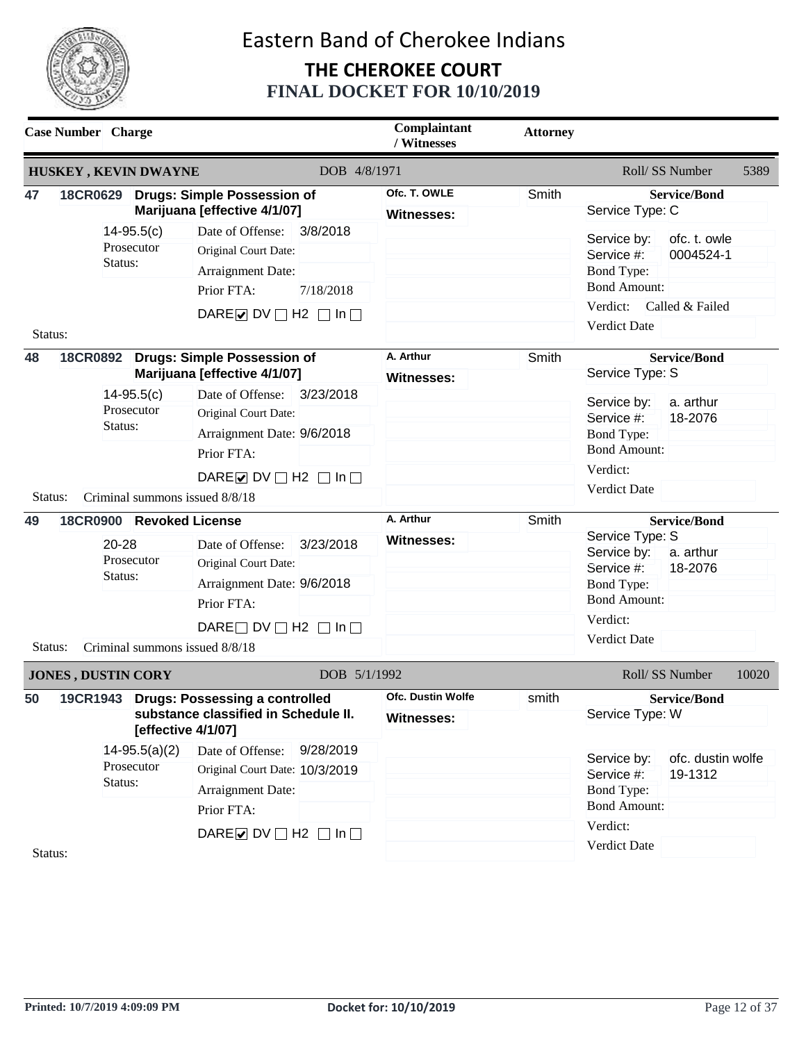

|                                                              | <b>Case Number</b> Charge                                                                             |                 |                                                                      | Complaintant<br>/ Witnesses | <b>Attorney</b>                        |                                                   |
|--------------------------------------------------------------|-------------------------------------------------------------------------------------------------------|-----------------|----------------------------------------------------------------------|-----------------------------|----------------------------------------|---------------------------------------------------|
|                                                              | HUSKEY, KEVIN DWAYNE                                                                                  |                 |                                                                      | DOB 4/8/1971                |                                        | Roll/ SS Number<br>5389                           |
| 47                                                           |                                                                                                       |                 | 18CR0629 Drugs: Simple Possession of<br>Marijuana [effective 4/1/07] | Ofc. T. OWLE<br>Witnesses:  | Smith                                  | <b>Service/Bond</b><br>Service Type: C            |
|                                                              |                                                                                                       | $14-95.5(c)$    | 3/8/2018<br>Date of Offense:                                         |                             |                                        | ofc. t. owle<br>Service by:                       |
|                                                              |                                                                                                       | Prosecutor      | Original Court Date:                                                 |                             |                                        | Service #:<br>0004524-1                           |
|                                                              | Status:                                                                                               |                 | Arraignment Date:                                                    |                             |                                        | <b>Bond Type:</b>                                 |
|                                                              |                                                                                                       |                 | Prior FTA:<br>7/18/2018                                              |                             |                                        | <b>Bond Amount:</b>                               |
|                                                              |                                                                                                       |                 | DARE O DV $\Box$ H2 $\Box$ In $\Box$                                 |                             |                                        | Verdict:<br>Called & Failed                       |
| Status:                                                      |                                                                                                       |                 |                                                                      |                             |                                        | <b>Verdict Date</b>                               |
| 48                                                           |                                                                                                       |                 | 18CR0892 Drugs: Simple Possession of                                 | A. Arthur                   | Smith                                  | <b>Service/Bond</b>                               |
|                                                              |                                                                                                       |                 | Marijuana [effective 4/1/07]                                         | Witnesses:                  |                                        | Service Type: S                                   |
|                                                              |                                                                                                       | $14-95.5(c)$    | Date of Offense: 3/23/2018                                           |                             |                                        | Service by:<br>a. arthur                          |
|                                                              | Status:                                                                                               | Prosecutor      | Original Court Date:                                                 |                             |                                        | 18-2076<br>Service #:                             |
|                                                              |                                                                                                       |                 | Arraignment Date: 9/6/2018                                           |                             |                                        | <b>Bond Type:</b>                                 |
|                                                              |                                                                                                       |                 | Prior FTA:                                                           |                             |                                        | <b>Bond Amount:</b>                               |
| DARE $\triangleright$ DV $\square$ H2 $\square$ In $\square$ |                                                                                                       |                 |                                                                      | Verdict:                    |                                        |                                                   |
| Status:                                                      |                                                                                                       |                 | Criminal summons issued 8/8/18                                       |                             |                                        | <b>Verdict Date</b>                               |
| 49                                                           | 18CR0900 Revoked License                                                                              |                 |                                                                      | A. Arthur                   | Smith                                  | <b>Service/Bond</b>                               |
|                                                              | 20-28                                                                                                 |                 | Date of Offense:<br>3/23/2018                                        | <b>Witnesses:</b>           |                                        | Service Type: S                                   |
|                                                              |                                                                                                       | Prosecutor      | Original Court Date:                                                 |                             |                                        | Service by:<br>a. arthur<br>18-2076<br>Service #: |
|                                                              | Status:                                                                                               |                 | Arraignment Date: 9/6/2018                                           |                             |                                        | Bond Type:                                        |
|                                                              |                                                                                                       |                 | Prior FTA:                                                           |                             |                                        | <b>Bond Amount:</b>                               |
|                                                              |                                                                                                       |                 | DARE $\Box$ DV $\Box$ H2 $\Box$ In $\Box$                            |                             |                                        | Verdict:                                          |
| Status:                                                      |                                                                                                       |                 | Criminal summons issued 8/8/18                                       |                             |                                        | Verdict Date                                      |
|                                                              | <b>JONES, DUSTIN CORY</b>                                                                             |                 |                                                                      | DOB 5/1/1992                |                                        | Roll/ SS Number<br>10020                          |
| 50                                                           |                                                                                                       |                 |                                                                      | <b>Ofc. Dustin Wolfe</b>    | smith                                  |                                                   |
|                                                              | 19CR1943 Drugs: Possessing a controlled<br>substance classified in Schedule II.<br>[effective 4/1/07] |                 | <b>Witnesses:</b>                                                    |                             | <b>Service/Bond</b><br>Service Type: W |                                                   |
|                                                              |                                                                                                       | $14-95.5(a)(2)$ | Date of Offense:<br>9/28/2019                                        |                             |                                        | Service by:<br>ofc. dustin wolfe                  |
|                                                              |                                                                                                       | Prosecutor      | Original Court Date: 10/3/2019                                       |                             |                                        | Service #:<br>19-1312                             |
|                                                              | Status:                                                                                               |                 | Arraignment Date:                                                    |                             |                                        | <b>Bond Type:</b>                                 |
|                                                              |                                                                                                       |                 | Prior FTA:                                                           |                             |                                        | <b>Bond Amount:</b>                               |
|                                                              |                                                                                                       |                 | DARE $\triangleright$ DV $\square$ H2 $\square$ In $\square$         |                             |                                        | Verdict:                                          |
| Status:                                                      |                                                                                                       |                 |                                                                      |                             |                                        | Verdict Date                                      |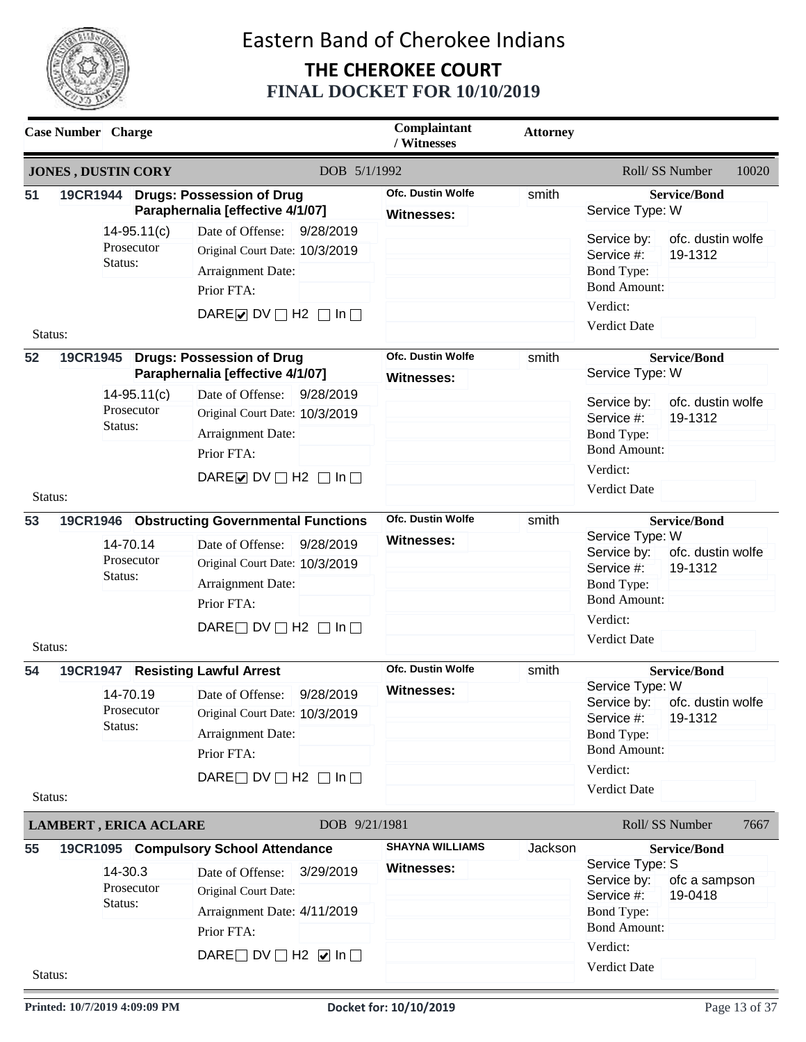

|               | <b>Case Number</b> Charge    |                             |                                                                                                                                                                                     | Complaintant<br>/ Witnesses                   | <b>Attorney</b> |                                                                                                                      |                                                     |       |
|---------------|------------------------------|-----------------------------|-------------------------------------------------------------------------------------------------------------------------------------------------------------------------------------|-----------------------------------------------|-----------------|----------------------------------------------------------------------------------------------------------------------|-----------------------------------------------------|-------|
|               | <b>JONES, DUSTIN CORY</b>    |                             |                                                                                                                                                                                     | DOB 5/1/1992                                  |                 |                                                                                                                      | Roll/ SS Number                                     | 10020 |
| 51            |                              |                             | 19CR1944 Drugs: Possession of Drug<br>Paraphernalia [effective 4/1/07]                                                                                                              | <b>Ofc. Dustin Wolfe</b><br><b>Witnesses:</b> | smith           | Service Type: W                                                                                                      | <b>Service/Bond</b>                                 |       |
| Status:       | Status:                      | $14-95.11(c)$<br>Prosecutor | 9/28/2019<br>Date of Offense:<br>Original Court Date: 10/3/2019<br>Arraignment Date:<br>Prior FTA:<br>DARE U DV $\Box$ H2 $\Box$ In $\Box$                                          |                                               |                 | Service by:<br>Service #:<br><b>Bond Type:</b><br><b>Bond Amount:</b><br>Verdict:<br><b>Verdict Date</b>             | ofc. dustin wolfe<br>19-1312                        |       |
| 52            |                              |                             | 19CR1945 Drugs: Possession of Drug<br>Paraphernalia [effective 4/1/07]                                                                                                              | <b>Ofc. Dustin Wolfe</b><br><b>Witnesses:</b> | smith           | Service Type: W                                                                                                      | <b>Service/Bond</b>                                 |       |
|               | Status:<br>Status:           | $14-95.11(c)$<br>Prosecutor | Date of Offense: 9/28/2019<br>Original Court Date: 10/3/2019<br>Arraignment Date:<br>Prior FTA:<br>DARE $\triangleright$ DV $\square$ H2 $\square$ In $\square$                     |                                               |                 | Service by:<br>Service #:<br><b>Bond Type:</b><br><b>Bond Amount:</b><br>Verdict:<br>Verdict Date                    | ofc. dustin wolfe<br>19-1312                        |       |
| 53            |                              |                             | 19CR1946 Obstructing Governmental Functions                                                                                                                                         | <b>Ofc. Dustin Wolfe</b>                      | smith           |                                                                                                                      | <b>Service/Bond</b>                                 |       |
|               | Status:                      | 14-70.14<br>Prosecutor      | Date of Offense:<br>9/28/2019<br>Original Court Date: 10/3/2019<br>Arraignment Date:<br>Prior FTA:<br>DARE $\Box$ DV $\Box$ H2 $\Box$ In $\Box$                                     | <b>Witnesses:</b>                             |                 | Service Type: W<br>Service by:<br>Service #:<br><b>Bond Type:</b><br><b>Bond Amount:</b><br>Verdict:                 | ofc. dustin wolfe<br>19-1312                        |       |
| Status:       |                              |                             |                                                                                                                                                                                     |                                               |                 | <b>Verdict Date</b>                                                                                                  |                                                     |       |
| 54<br>Status: | Status:                      | 14-70.19<br>Prosecutor      | 19CR1947 Resisting Lawful Arrest<br>Date of Offense:<br>9/28/2019<br>Original Court Date: 10/3/2019<br>Arraignment Date:<br>Prior FTA:<br>DARE $\Box$ DV $\Box$ H2 $\Box$ In $\Box$ | <b>Ofc. Dustin Wolfe</b><br><b>Witnesses:</b> | smith           | Service Type: W<br>Service by:<br>Service #:<br>Bond Type:<br><b>Bond Amount:</b><br>Verdict:<br>Verdict Date        | <b>Service/Bond</b><br>ofc. dustin wolfe<br>19-1312 |       |
|               | <b>LAMBERT, ERICA ACLARE</b> |                             |                                                                                                                                                                                     | DOB 9/21/1981                                 |                 |                                                                                                                      | Roll/ SS Number                                     | 7667  |
| 55<br>Status: | 14-30.3<br>Status:           | Prosecutor                  | 19CR1095 Compulsory School Attendance<br>Date of Offense:<br>3/29/2019<br>Original Court Date:<br>Arraignment Date: 4/11/2019<br>Prior FTA:<br>DARE DV $\Box$ H2 $\Box$ In $\Box$   | <b>SHAYNA WILLIAMS</b><br><b>Witnesses:</b>   | Jackson         | Service Type: S<br>Service by:<br>Service #:<br><b>Bond Type:</b><br><b>Bond Amount:</b><br>Verdict:<br>Verdict Date | <b>Service/Bond</b><br>ofc a sampson<br>19-0418     |       |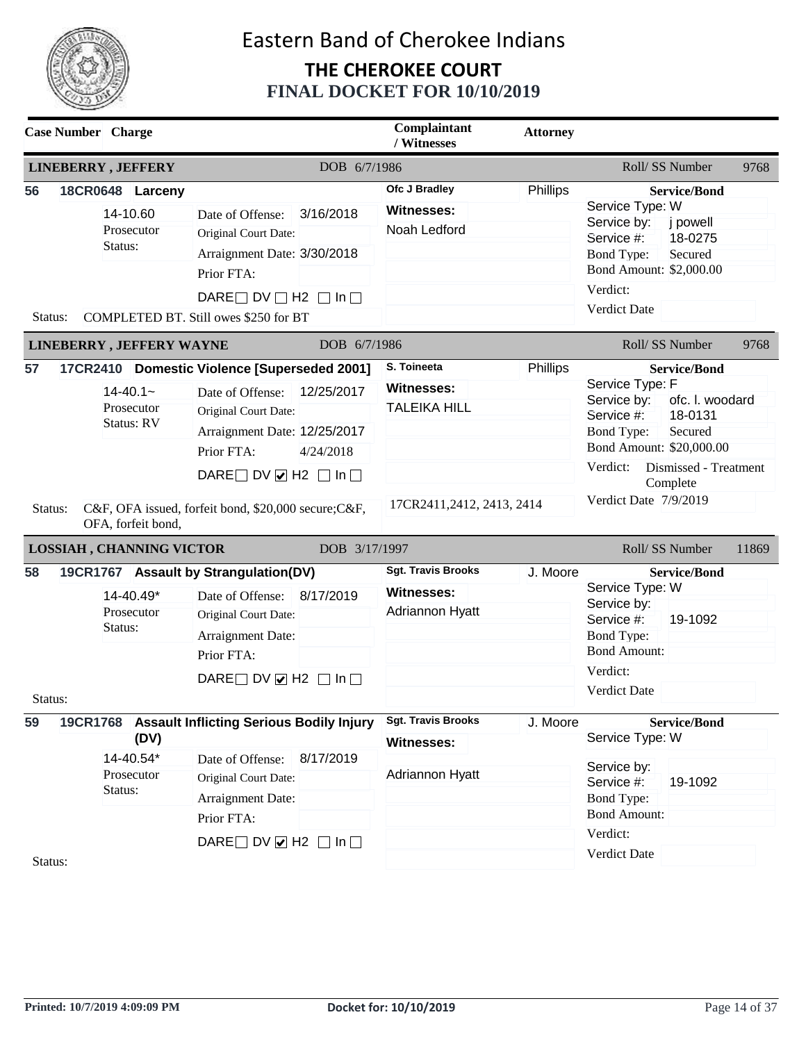

| <b>Case Number</b> Charge |                                                       |                                                                                                                                                                             |                         | Complaintant<br>/ Witnesses                                       | <b>Attorney</b> |                                                                                                                                                                                          |       |
|---------------------------|-------------------------------------------------------|-----------------------------------------------------------------------------------------------------------------------------------------------------------------------------|-------------------------|-------------------------------------------------------------------|-----------------|------------------------------------------------------------------------------------------------------------------------------------------------------------------------------------------|-------|
|                           | <b>LINEBERRY, JEFFERY</b>                             |                                                                                                                                                                             | DOB 6/7/1986            |                                                                   |                 | Roll/ SS Number                                                                                                                                                                          | 9768  |
| 56<br>Status:             | 18CR0648 Larceny<br>14-10.60<br>Prosecutor<br>Status: | Date of Offense:<br>Original Court Date:<br>Arraignment Date: 3/30/2018<br>Prior FTA:<br>DARE $\Box$ DV $\Box$ H2 $\Box$ In $\Box$<br>COMPLETED BT. Still owes \$250 for BT | 3/16/2018               | Ofc J Bradley<br><b>Witnesses:</b><br>Noah Ledford                | Phillips        | <b>Service/Bond</b><br>Service Type: W<br>j powell<br>Service by:<br>18-0275<br>Service #:<br><b>Bond Type:</b><br>Secured<br>Bond Amount: \$2,000.00<br>Verdict:<br><b>Verdict Date</b> |       |
|                           | <b>LINEBERRY, JEFFERY WAYNE</b>                       |                                                                                                                                                                             | DOB 6/7/1986            |                                                                   |                 | Roll/ SS Number                                                                                                                                                                          | 9768  |
| 57                        | $14 - 40.1 -$<br>Prosecutor<br>Status: RV             | 17CR2410 Domestic Violence [Superseded 2001]<br>Date of Offense:<br>Original Court Date:<br>Arraignment Date: 12/25/2017<br>Prior FTA:                                      | 12/25/2017<br>4/24/2018 | S. Toineeta<br><b>Witnesses:</b><br><b>TALEIKA HILL</b>           | Phillips        | <b>Service/Bond</b><br>Service Type: F<br>ofc. I. woodard<br>Service by:<br>Service #:<br>18-0131<br><b>Bond Type:</b><br>Secured<br>Bond Amount: \$20,000.00                            |       |
| Status:                   | OFA, forfeit bond,<br>LOSSIAH, CHANNING VICTOR        | DARE DV $\vee$ H2 $\Box$ In $\Box$<br>C&F, OFA issued, forfeit bond, \$20,000 secure; C&F,                                                                                  | DOB 3/17/1997           | 17CR2411,2412, 2413, 2414                                         |                 | Verdict:<br>Dismissed - Treatment<br>Complete<br>Verdict Date 7/9/2019<br>Roll/SS Number                                                                                                 | 11869 |
| 58                        |                                                       | 19CR1767 Assault by Strangulation(DV)                                                                                                                                       |                         | <b>Sgt. Travis Brooks</b>                                         | J. Moore        | <b>Service/Bond</b>                                                                                                                                                                      |       |
|                           | 14-40.49*<br>Prosecutor<br>Status:                    | Date of Offense:<br>Original Court Date:<br>Arraignment Date:<br>Prior FTA:<br>DARE DV $\vee$ H2 $\Box$ In $\Box$                                                           | 8/17/2019               | <b>Witnesses:</b><br>Adriannon Hyatt                              |                 | Service Type: W<br>Service by:<br>Service #:<br>19-1092<br><b>Bond Type:</b><br><b>Bond Amount:</b><br>Verdict:                                                                          |       |
| Status:                   |                                                       |                                                                                                                                                                             |                         |                                                                   |                 | <b>Verdict Date</b>                                                                                                                                                                      |       |
| 59                        | (DV)<br>14-40.54*<br>Prosecutor<br>Status:            | 19CR1768 Assault Inflicting Serious Bodily Injury<br>Date of Offense:<br>Original Court Date:<br>Arraignment Date:<br>Prior FTA:                                            | 8/17/2019               | <b>Sgt. Travis Brooks</b><br><b>Witnesses:</b><br>Adriannon Hyatt | J. Moore        | <b>Service/Bond</b><br>Service Type: W<br>Service by:<br>Service #:<br>19-1092<br><b>Bond Type:</b><br><b>Bond Amount:</b>                                                               |       |
|                           |                                                       |                                                                                                                                                                             |                         |                                                                   |                 | Verdict:                                                                                                                                                                                 |       |
| Status:                   |                                                       | DARE DV $\vee$ H2 $\Box$ In $\Box$                                                                                                                                          |                         |                                                                   |                 | Verdict Date                                                                                                                                                                             |       |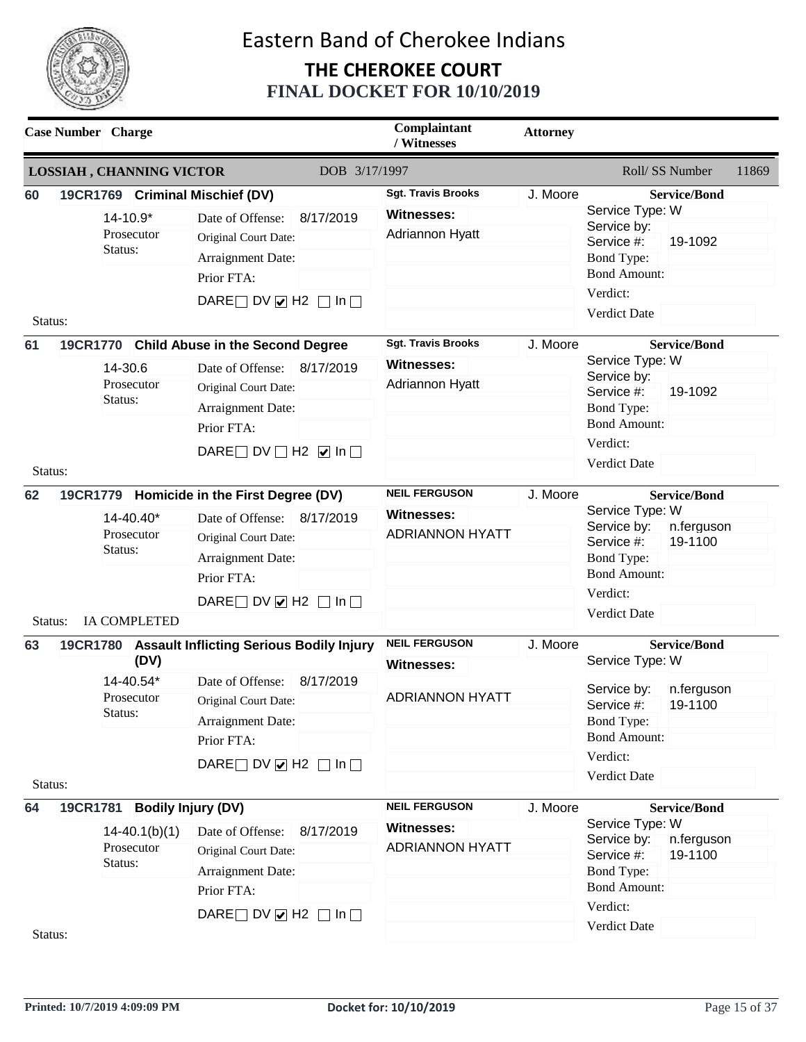

| <b>Case Number</b> Charge |                                                                         |                                                                                                                                                                                                                                                                         | Complaintant<br>/ Witnesses                                                                                                            | <b>Attorney</b>      |                                                                                                                                                                      |                                                                  |       |
|---------------------------|-------------------------------------------------------------------------|-------------------------------------------------------------------------------------------------------------------------------------------------------------------------------------------------------------------------------------------------------------------------|----------------------------------------------------------------------------------------------------------------------------------------|----------------------|----------------------------------------------------------------------------------------------------------------------------------------------------------------------|------------------------------------------------------------------|-------|
|                           | <b>LOSSIAH, CHANNING VICTOR</b>                                         | DOB 3/17/1997                                                                                                                                                                                                                                                           |                                                                                                                                        |                      | Roll/SS Number                                                                                                                                                       |                                                                  | 11869 |
| 60<br>Status:<br>61       | 14-10.9*<br>Prosecutor<br>Status:<br>14-30.6<br>Prosecutor<br>Status:   | 19CR1769 Criminal Mischief (DV)<br>8/17/2019<br>Date of Offense:<br>Original Court Date:<br>Arraignment Date:<br>Prior FTA:<br>DARE DV $\vee$ H2 $\Box$ In $\Box$<br>19CR1770 Child Abuse in the Second Degree<br>8/17/2019<br>Date of Offense:<br>Original Court Date: | <b>Sgt. Travis Brooks</b><br><b>Witnesses:</b><br>Adriannon Hyatt<br><b>Sgt. Travis Brooks</b><br><b>Witnesses:</b><br>Adriannon Hyatt | J. Moore<br>J. Moore | Service Type: W<br>Service by:<br>Service #:<br>Bond Type:<br><b>Bond Amount:</b><br>Verdict:<br><b>Verdict Date</b><br>Service Type: W<br>Service by:<br>Service #: | <b>Service/Bond</b><br>19-1092<br><b>Service/Bond</b><br>19-1092 |       |
| Status:                   |                                                                         | Arraignment Date:<br>Prior FTA:<br>DARE DV $\Box$ H2 $\Box$ In $\Box$                                                                                                                                                                                                   |                                                                                                                                        |                      | <b>Bond Type:</b><br><b>Bond Amount:</b><br>Verdict:<br><b>Verdict Date</b>                                                                                          |                                                                  |       |
| 62<br>Status:             | 14-40.40*<br>Prosecutor<br>Status:<br><b>IA COMPLETED</b>               | 19CR1779 Homicide in the First Degree (DV)<br>Date of Offense:<br>8/17/2019<br>Original Court Date:<br>Arraignment Date:<br>Prior FTA:<br>DARE DV $\vee$ H2 $\Box$ In $\Box$                                                                                            | <b>NEIL FERGUSON</b><br><b>Witnesses:</b><br><b>ADRIANNON HYATT</b>                                                                    | J. Moore             | Service Type: W<br>Service by:<br>Service #:<br>Bond Type:<br><b>Bond Amount:</b><br>Verdict:<br>Verdict Date                                                        | <b>Service/Bond</b><br>n.ferguson<br>19-1100                     |       |
| 63<br>Status:             | <b>19CR1780</b><br>(DV)<br>14-40.54*<br>Prosecutor<br>Status:           | <b>Assault Inflicting Serious Bodily Injury</b><br>Date of Offense:<br>8/17/2019<br>Original Court Date:<br>Arraignment Date:<br>Prior FTA:<br>DARE DV $\vee$ H2 $\Box$ In $\Box$                                                                                       | <b>NEIL FERGUSON</b><br>Witnesses:<br><b>ADRIANNON HYATT</b>                                                                           | J. Moore             | Service Type: W<br>Service by:<br>Service #:<br>Bond Type:<br><b>Bond Amount:</b><br>Verdict:<br>Verdict Date                                                        | <b>Service/Bond</b><br>n.ferguson<br>19-1100                     |       |
| 64<br>Status:             | 19CR1781 Bodily Injury (DV)<br>$14-40.1(b)(1)$<br>Prosecutor<br>Status: | Date of Offense:<br>8/17/2019<br>Original Court Date:<br>Arraignment Date:<br>Prior FTA:<br>DARE DV $\vee$ H2 $\Box$ In $\Box$                                                                                                                                          | <b>NEIL FERGUSON</b><br><b>Witnesses:</b><br><b>ADRIANNON HYATT</b>                                                                    | J. Moore             | Service Type: W<br>Service by:<br>Service #:<br>Bond Type:<br><b>Bond Amount:</b><br>Verdict:<br>Verdict Date                                                        | <b>Service/Bond</b><br>n.ferguson<br>19-1100                     |       |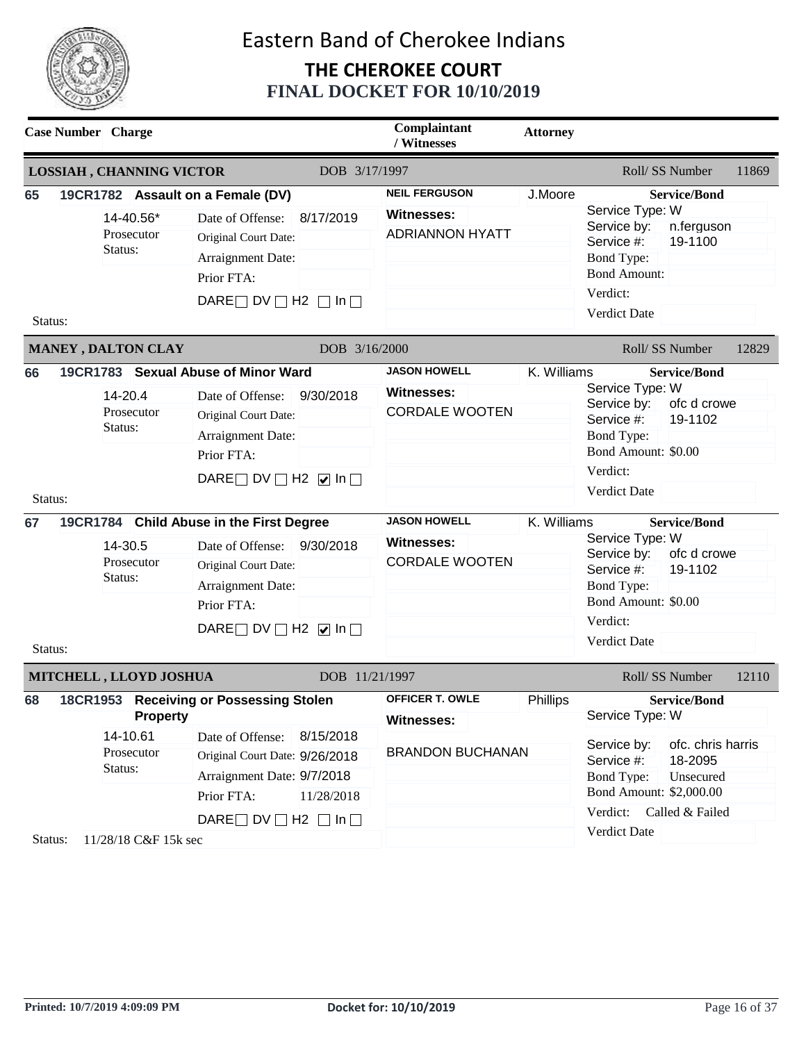

|                                | <b>Case Number</b> Charge                                            |                                                                                                                                                                                                                                                                                                                                                     | Complaintant<br>/ Witnesses                                                                                                            | <b>Attorney</b>            |                                                                                                                                                                                                                                                                                                                                                       |
|--------------------------------|----------------------------------------------------------------------|-----------------------------------------------------------------------------------------------------------------------------------------------------------------------------------------------------------------------------------------------------------------------------------------------------------------------------------------------------|----------------------------------------------------------------------------------------------------------------------------------------|----------------------------|-------------------------------------------------------------------------------------------------------------------------------------------------------------------------------------------------------------------------------------------------------------------------------------------------------------------------------------------------------|
|                                | <b>LOSSIAH, CHANNING VICTOR</b>                                      | DOB 3/17/1997                                                                                                                                                                                                                                                                                                                                       |                                                                                                                                        |                            | Roll/SS Number<br>11869                                                                                                                                                                                                                                                                                                                               |
| 65<br>Status:                  | 14-40.56*<br>Prosecutor<br>Status:                                   | 19CR1782 Assault on a Female (DV)<br>8/17/2019<br>Date of Offense:<br>Original Court Date:<br>Arraignment Date:<br>Prior FTA:<br>DARE $\Box$ DV $\Box$ H2 $\Box$ In $\Box$                                                                                                                                                                          | <b>NEIL FERGUSON</b><br><b>Witnesses:</b><br><b>ADRIANNON HYATT</b>                                                                    | J.Moore                    | <b>Service/Bond</b><br>Service Type: W<br>Service by:<br>n.ferguson<br>Service #:<br>19-1100<br>Bond Type:<br><b>Bond Amount:</b><br>Verdict:<br>Verdict Date                                                                                                                                                                                         |
|                                | MANEY, DALTON CLAY                                                   | DOB 3/16/2000                                                                                                                                                                                                                                                                                                                                       |                                                                                                                                        |                            | Roll/ SS Number<br>12829                                                                                                                                                                                                                                                                                                                              |
| 66<br>Status:<br>67<br>Status: | 14-20.4<br>Prosecutor<br>Status:<br>14-30.5<br>Prosecutor<br>Status: | 19CR1783 Sexual Abuse of Minor Ward<br>9/30/2018<br>Date of Offense:<br>Original Court Date:<br>Arraignment Date:<br>Prior FTA:<br>DARE DV $\Box$ H2 $\Box$ In $\Box$<br>19CR1784 Child Abuse in the First Degree<br>9/30/2018<br>Date of Offense:<br>Original Court Date:<br>Arraignment Date:<br>Prior FTA:<br>DARE DV $\Box$ H2 $\Box$ In $\Box$ | <b>JASON HOWELL</b><br><b>Witnesses:</b><br><b>CORDALE WOOTEN</b><br><b>JASON HOWELL</b><br><b>Witnesses:</b><br><b>CORDALE WOOTEN</b> | K. Williams<br>K. Williams | <b>Service/Bond</b><br>Service Type: W<br>Service by:<br>ofc d crowe<br>19-1102<br>Service #:<br><b>Bond Type:</b><br>Bond Amount: \$0.00<br>Verdict:<br><b>Verdict Date</b><br><b>Service/Bond</b><br>Service Type: W<br>Service by:<br>ofc d crowe<br>Service #:<br>19-1102<br>Bond Type:<br>Bond Amount: \$0.00<br>Verdict:<br><b>Verdict Date</b> |
|                                | MITCHELL, LLOYD JOSHUA                                               | DOB 11/21/1997                                                                                                                                                                                                                                                                                                                                      |                                                                                                                                        |                            | Roll/SS Number<br>12110                                                                                                                                                                                                                                                                                                                               |
| 68                             | <b>Property</b><br>14-10.61<br>Prosecutor<br>Status:                 | 18CR1953 Receiving or Possessing Stolen<br>Date of Offense: 8/15/2018<br>Original Court Date: 9/26/2018<br>Arraignment Date: 9/7/2018<br>Prior FTA:<br>11/28/2018<br>DARE $\Box$ DV $\Box$ H2 $\Box$ In $\Box$                                                                                                                                      | <b>OFFICER T. OWLE</b><br><b>Witnesses:</b><br><b>BRANDON BUCHANAN</b>                                                                 | Phillips                   | <b>Service/Bond</b><br>Service Type: W<br>Service by:<br>ofc. chris harris<br>Service #:<br>18-2095<br><b>Bond Type:</b><br>Unsecured<br>Bond Amount: \$2,000.00<br>Verdict: Called & Failed                                                                                                                                                          |
| Status:                        | 11/28/18 C&F 15k sec                                                 |                                                                                                                                                                                                                                                                                                                                                     |                                                                                                                                        |                            | Verdict Date                                                                                                                                                                                                                                                                                                                                          |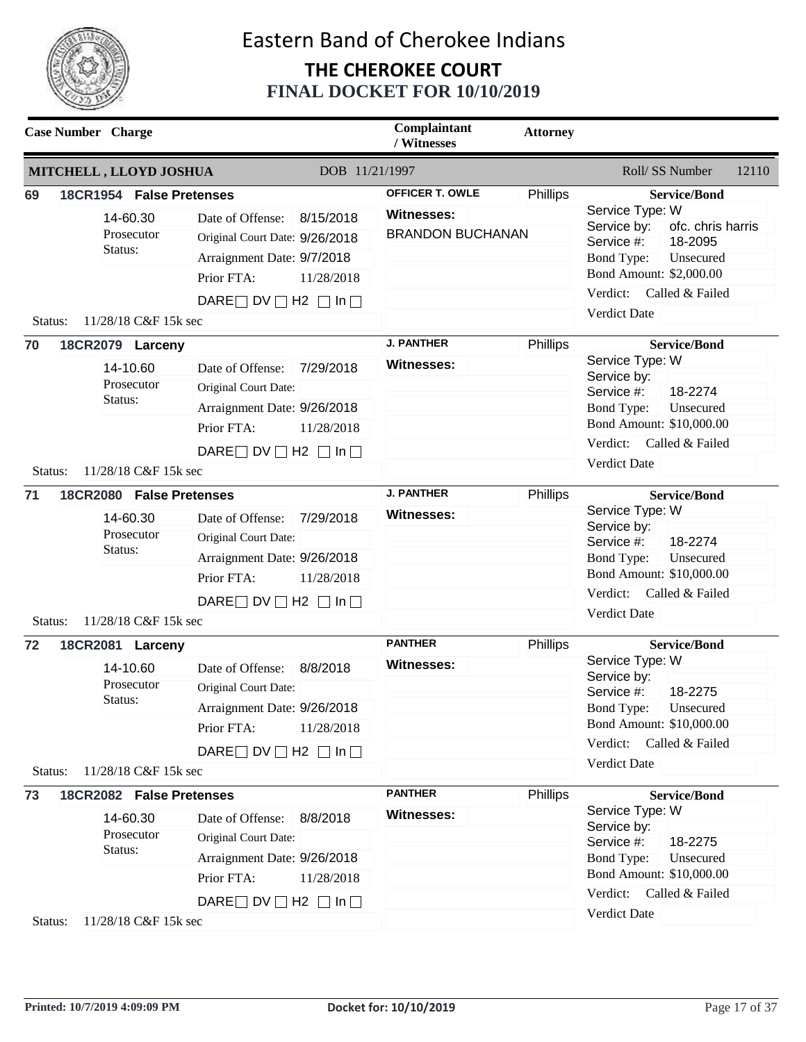

|               | <b>Case Number</b> Charge                                                             |                                                                                                                                                                        | Complaintant<br>/ Witnesses                                     | <b>Attorney</b> |                                                                                                                                                                                                                        |
|---------------|---------------------------------------------------------------------------------------|------------------------------------------------------------------------------------------------------------------------------------------------------------------------|-----------------------------------------------------------------|-----------------|------------------------------------------------------------------------------------------------------------------------------------------------------------------------------------------------------------------------|
|               | MITCHELL, LLOYD JOSHUA                                                                | DOB 11/21/1997                                                                                                                                                         |                                                                 |                 | Roll/ SS Number<br>12110                                                                                                                                                                                               |
| 69<br>Status: | 18CR1954 False Pretenses<br>14-60.30<br>Prosecutor<br>Status:<br>11/28/18 C&F 15k sec | Date of Offense:<br>8/15/2018<br>Original Court Date: 9/26/2018<br>Arraignment Date: 9/7/2018<br>Prior FTA:<br>11/28/2018<br>DARE $\Box$ DV $\Box$ H2 $\Box$ In $\Box$ | <b>OFFICER T. OWLE</b><br>Witnesses:<br><b>BRANDON BUCHANAN</b> | Phillips        | <b>Service/Bond</b><br>Service Type: W<br>ofc. chris harris<br>Service by:<br>18-2095<br>Service #:<br><b>Bond Type:</b><br>Unsecured<br>Bond Amount: \$2,000.00<br>Verdict:<br>Called & Failed<br><b>Verdict Date</b> |
| 70            | 18CR2079 Larceny                                                                      |                                                                                                                                                                        | <b>J. PANTHER</b>                                               | Phillips        | <b>Service/Bond</b>                                                                                                                                                                                                    |
|               | 14-10.60<br>Prosecutor<br>Status:                                                     | Date of Offense:<br>7/29/2018<br>Original Court Date:<br>Arraignment Date: 9/26/2018<br>Prior FTA:<br>11/28/2018<br>DARE $\Box$ DV $\Box$ H2 $\Box$ In $\Box$          | Witnesses:                                                      |                 | Service Type: W<br>Service by:<br>18-2274<br>Service #:<br><b>Bond Type:</b><br>Unsecured<br>Bond Amount: \$10,000.00<br>Verdict: Called & Failed<br><b>Verdict Date</b>                                               |
| Status:<br>71 | 11/28/18 C&F 15k sec<br>18CR2080 False Pretenses                                      |                                                                                                                                                                        | <b>J. PANTHER</b>                                               | Phillips        | <b>Service/Bond</b>                                                                                                                                                                                                    |
|               | 14-60.30<br>Prosecutor<br>Status:                                                     | 7/29/2018<br>Date of Offense:<br>Original Court Date:<br>Arraignment Date: 9/26/2018<br>Prior FTA:<br>11/28/2018<br>DARE $\Box$ DV $\Box$ H2 $\Box$ In $\Box$          | Witnesses:                                                      |                 | Service Type: W<br>Service by:<br>18-2274<br>Service #:<br>Bond Type:<br>Unsecured<br>Bond Amount: \$10,000.00<br>Verdict:<br>Called & Failed<br><b>Verdict Date</b>                                                   |
| Status:       | 11/28/18 C&F 15k sec                                                                  |                                                                                                                                                                        |                                                                 |                 |                                                                                                                                                                                                                        |
| 72<br>Status: | 18CR2081 Larceny<br>14-10.60<br>Prosecutor<br>Status:<br>11/28/18 C&F 15k sec         | Date of Offense: 8/8/2018<br>Original Court Date:<br>Arraignment Date: 9/26/2018<br>Prior FTA:<br>11/28/2018<br>DARE $\Box$ DV $\Box$ H2 $\Box$ In $\Box$              | <b>PANTHER</b><br><b>Witnesses:</b>                             | Phillips        | <b>Service/Bond</b><br>Service Type: W<br>Service by:<br>18-2275<br>Service #:<br><b>Bond Type:</b><br>Unsecured<br>Bond Amount: \$10,000.00<br>Verdict: Called & Failed<br>Verdict Date                               |
| 73            | 18CR2082 False Pretenses                                                              |                                                                                                                                                                        | <b>PANTHER</b>                                                  | Phillips        | <b>Service/Bond</b>                                                                                                                                                                                                    |
|               | 14-60.30<br>Prosecutor<br>Status:                                                     | Date of Offense: 8/8/2018<br>Original Court Date:<br>Arraignment Date: 9/26/2018<br>Prior FTA:<br>11/28/2018<br>DARE $\Box$ DV $\Box$ H2 $\Box$ In $\Box$              | <b>Witnesses:</b>                                               |                 | Service Type: W<br>Service by:<br>18-2275<br>Service #:<br><b>Bond Type:</b><br>Unsecured<br>Bond Amount: \$10,000.00<br>Verdict: Called & Failed<br>Verdict Date                                                      |
| Status:       | 11/28/18 C&F 15k sec                                                                  |                                                                                                                                                                        |                                                                 |                 |                                                                                                                                                                                                                        |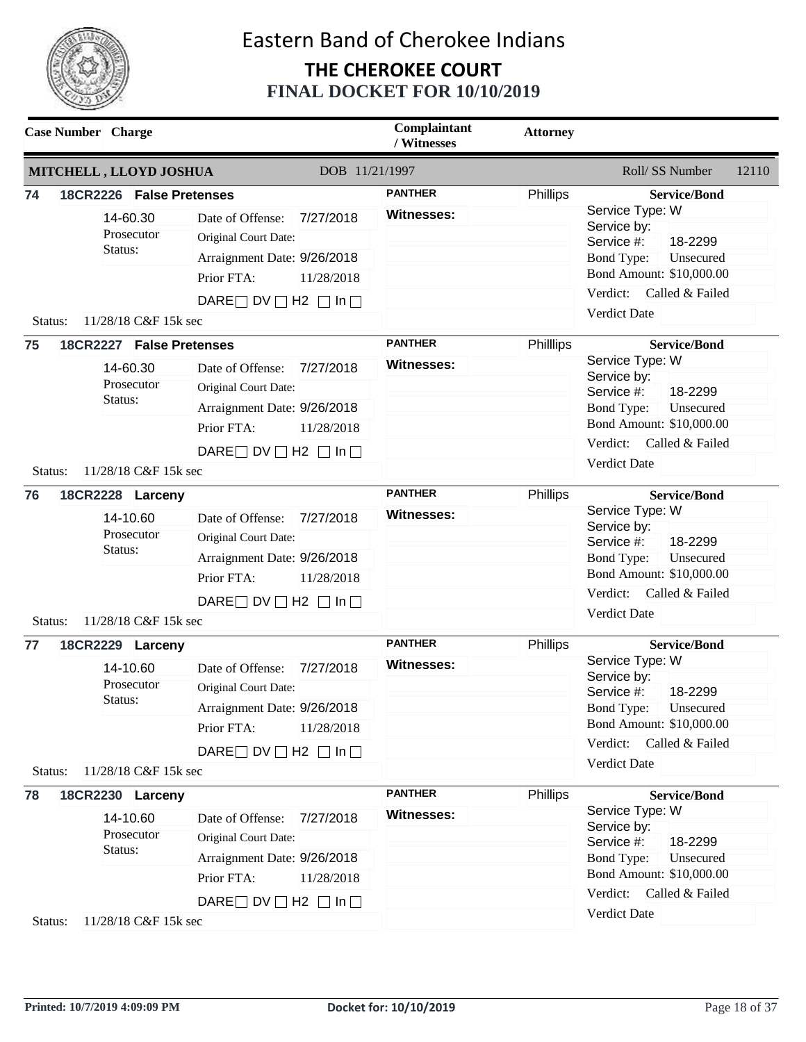

|               | <b>Case Number</b> Charge                                                             |                                                                                                                                                               | Complaintant<br>/ Witnesses         | <b>Attorney</b> |                                                                                                                                                                                                 |
|---------------|---------------------------------------------------------------------------------------|---------------------------------------------------------------------------------------------------------------------------------------------------------------|-------------------------------------|-----------------|-------------------------------------------------------------------------------------------------------------------------------------------------------------------------------------------------|
|               | MITCHELL, LLOYD JOSHUA                                                                | DOB 11/21/1997                                                                                                                                                |                                     |                 | Roll/ SS Number<br>12110                                                                                                                                                                        |
| 74            | 18CR2226 False Pretenses<br>14-60.30<br>Prosecutor<br>Status:                         | 7/27/2018<br>Date of Offense:<br>Original Court Date:<br>Arraignment Date: 9/26/2018<br>Prior FTA:<br>11/28/2018<br>DARE $\Box$ DV $\Box$ H2 $\Box$ In $\Box$ | <b>PANTHER</b><br><b>Witnesses:</b> | Phillips        | <b>Service/Bond</b><br>Service Type: W<br>Service by:<br>18-2299<br>Service #:<br><b>Bond Type:</b><br>Unsecured<br>Bond Amount: \$10,000.00<br>Verdict: Called & Failed<br><b>Verdict Date</b> |
| Status:       | 11/28/18 C&F 15k sec                                                                  |                                                                                                                                                               |                                     |                 |                                                                                                                                                                                                 |
| 75<br>Status: | 18CR2227 False Pretenses<br>14-60.30<br>Prosecutor<br>Status:<br>11/28/18 C&F 15k sec | Date of Offense:<br>7/27/2018<br>Original Court Date:<br>Arraignment Date: 9/26/2018<br>Prior FTA:<br>11/28/2018<br>DARE $\Box$ DV $\Box$ H2 $\Box$ In $\Box$ | <b>PANTHER</b><br><b>Witnesses:</b> | Phillips        | <b>Service/Bond</b><br>Service Type: W<br>Service by:<br>18-2299<br>Service #:<br>Unsecured<br><b>Bond Type:</b><br>Bond Amount: \$10,000.00<br>Verdict: Called & Failed<br><b>Verdict Date</b> |
| 76            | 18CR2228 Larceny                                                                      |                                                                                                                                                               | <b>PANTHER</b>                      | Phillips        | <b>Service/Bond</b>                                                                                                                                                                             |
|               | 14-10.60<br>Prosecutor<br>Status:                                                     | 7/27/2018<br>Date of Offense:<br>Original Court Date:<br>Arraignment Date: 9/26/2018<br>Prior FTA:<br>11/28/2018                                              | <b>Witnesses:</b>                   |                 | Service Type: W<br>Service by:<br>18-2299<br>Service #:<br>Bond Type:<br>Unsecured<br>Bond Amount: \$10,000.00                                                                                  |
| Status:       | 11/28/18 C&F 15k sec                                                                  | DARE $\Box$ DV $\Box$ H2 $\Box$ In $\Box$                                                                                                                     |                                     |                 | Verdict: Called & Failed<br><b>Verdict Date</b>                                                                                                                                                 |
| 77<br>Status: | 18CR2229 Larceny<br>14-10.60<br>Prosecutor<br>Status:<br>11/28/18 C&F 15k sec         | Date of Offense:<br>7/27/2018<br>Original Court Date:<br>Arraignment Date: 9/26/2018<br>Prior FTA:<br>11/28/2018<br>DARE $\Box$ DV $\Box$ H2 $\Box$ In $\Box$ | <b>PANTHER</b><br>Witnesses:        | <b>Phillips</b> | <b>Service/Bond</b><br>Service Type: W<br>Service by:<br>18-2299<br>Service #:<br>Bond Type:<br>Unsecured<br>Bond Amount: \$10,000.00<br>Verdict: Called & Failed<br>Verdict Date               |
| 78            | 18CR2230 Larceny                                                                      |                                                                                                                                                               | <b>PANTHER</b>                      | Phillips        | <b>Service/Bond</b>                                                                                                                                                                             |
|               | 14-10.60<br>Prosecutor<br>Status:                                                     | Date of Offense:<br>7/27/2018<br>Original Court Date:<br>Arraignment Date: 9/26/2018<br>Prior FTA:<br>11/28/2018<br>DARE $\Box$ DV $\Box$ H2 $\Box$ In $\Box$ | <b>Witnesses:</b>                   |                 | Service Type: W<br>Service by:<br>Service #:<br>18-2299<br><b>Bond Type:</b><br>Unsecured<br>Bond Amount: \$10,000.00<br>Verdict: Called & Failed<br>Verdict Date                               |
| Status:       | 11/28/18 C&F 15k sec                                                                  |                                                                                                                                                               |                                     |                 |                                                                                                                                                                                                 |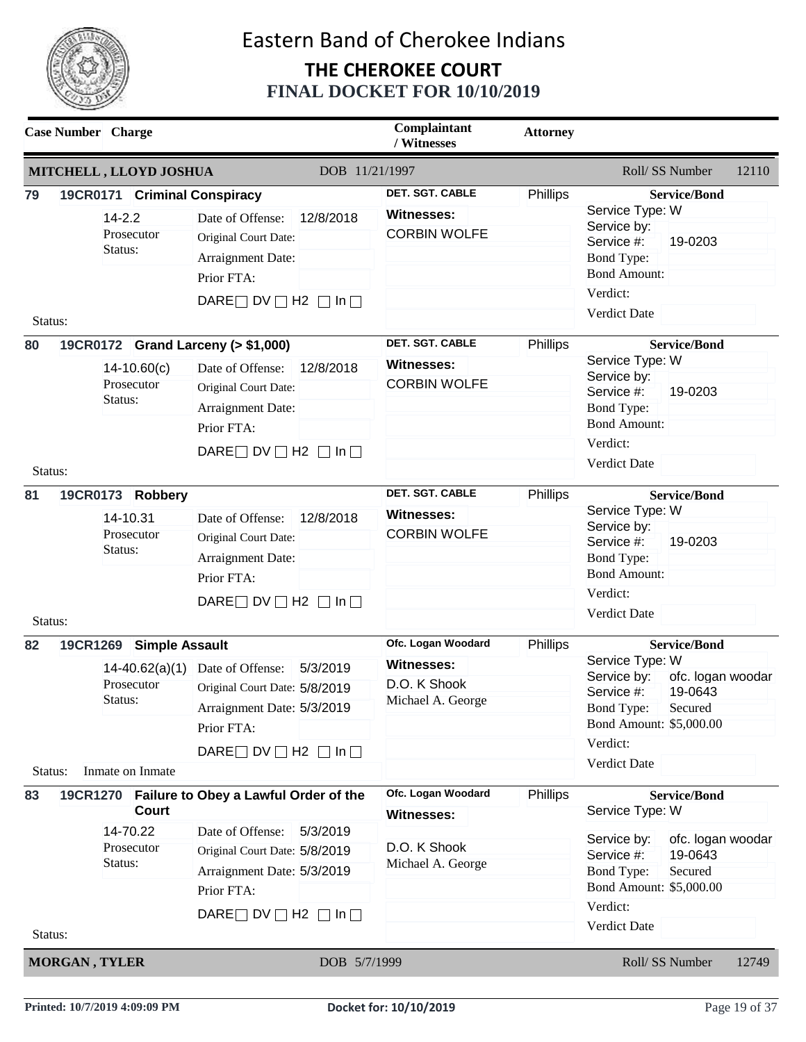

| MITCHELL, LLOYD JOSHUA<br>DOB 11/21/1997<br><b>DET. SGT. CABLE</b><br>Phillips<br>79<br>19CR0171 Criminal Conspiracy<br>Service Type: W<br><b>Witnesses:</b><br>$14 - 2.2$<br>12/8/2018<br>Date of Offense:<br>Service by:<br><b>CORBIN WOLFE</b><br>Prosecutor<br>Original Court Date:<br>Service #:<br>Status:<br><b>Bond Type:</b><br>Arraignment Date:<br><b>Bond Amount:</b><br>Prior FTA:<br>Verdict:<br>DARE $\Box$ DV $\Box$ H2 $\Box$ In $\Box$<br><b>Verdict Date</b><br>Status:<br><b>DET. SGT. CABLE</b><br>19CR0172 Grand Larceny (> \$1,000)<br>Phillips<br>80<br>Service Type: W<br><b>Witnesses:</b><br>12/8/2018<br>$14-10.60(c)$<br>Date of Offense:<br>Service by:<br><b>CORBIN WOLFE</b><br>Prosecutor<br>Original Court Date:<br>Service #:<br>Status:<br><b>Bond Type:</b><br>Arraignment Date:<br><b>Bond Amount:</b><br>Prior FTA:<br>Verdict:<br>DARE $\Box$ DV $\Box$ H2 $\Box$ In $\Box$<br><b>Verdict Date</b><br>Status:<br>DET. SGT. CABLE<br>Phillips<br>81<br>19CR0173 Robbery<br>Service Type: W<br><b>Witnesses:</b><br>14-10.31<br>12/8/2018<br>Date of Offense:<br>Service by:<br><b>CORBIN WOLFE</b><br>Prosecutor<br>Original Court Date:<br>Service #:<br>Status:<br>Bond Type:<br>Arraignment Date:<br><b>Bond Amount:</b><br>Prior FTA:<br>Verdict:<br>DARE $\Box$ DV $\Box$ H2 $\Box$ In $\Box$<br>Verdict Date<br>Status:<br>Ofc. Logan Woodard<br>19CR1269 Simple Assault<br>Phillips<br>82<br>Service Type: W<br><b>Witnesses:</b><br>Date of Offense:<br>5/3/2019<br>14-40.62(a)(1)<br>Service by:<br>ofc. logan woodar<br>D.O. K Shook<br>Prosecutor<br>Original Court Date: 5/8/2019<br>Service #:<br>Status:<br>Michael A. George<br>Arraignment Date: 5/3/2019<br>Bond Type:<br>Prior FTA:<br>Verdict:<br>DARE $\Box$ DV $\Box$ H2 $\Box$ In $\Box$<br>Verdict Date<br>Inmate on Inmate<br>Status:<br>Ofc. Logan Woodard<br>Phillips<br>19CR1270 Failure to Obey a Lawful Order of the<br>83<br>Service Type: W<br><b>Court</b><br><b>Witnesses:</b><br>14-70.22<br>Date of Offense:<br>5/3/2019<br>Service by:<br>D.O. K Shook<br>Prosecutor<br>Original Court Date: 5/8/2019 |                   |                                                             | <b>Attorney</b> | Complaintant<br>/ Witnesses |  |         | <b>Case Number</b> Charge |  |
|----------------------------------------------------------------------------------------------------------------------------------------------------------------------------------------------------------------------------------------------------------------------------------------------------------------------------------------------------------------------------------------------------------------------------------------------------------------------------------------------------------------------------------------------------------------------------------------------------------------------------------------------------------------------------------------------------------------------------------------------------------------------------------------------------------------------------------------------------------------------------------------------------------------------------------------------------------------------------------------------------------------------------------------------------------------------------------------------------------------------------------------------------------------------------------------------------------------------------------------------------------------------------------------------------------------------------------------------------------------------------------------------------------------------------------------------------------------------------------------------------------------------------------------------------------------------------------------------------------------------------------------------------------------------------------------------------------------------------------------------------------------------------------------------------------------------------------------------------------------------------------------------------------------------------------------------------------------------------------------------------------------------------------------------------------------------------------------------------------------------------------|-------------------|-------------------------------------------------------------|-----------------|-----------------------------|--|---------|---------------------------|--|
|                                                                                                                                                                                                                                                                                                                                                                                                                                                                                                                                                                                                                                                                                                                                                                                                                                                                                                                                                                                                                                                                                                                                                                                                                                                                                                                                                                                                                                                                                                                                                                                                                                                                                                                                                                                                                                                                                                                                                                                                                                                                                                                                  | 12110             | Roll/ SS Number                                             |                 |                             |  |         |                           |  |
|                                                                                                                                                                                                                                                                                                                                                                                                                                                                                                                                                                                                                                                                                                                                                                                                                                                                                                                                                                                                                                                                                                                                                                                                                                                                                                                                                                                                                                                                                                                                                                                                                                                                                                                                                                                                                                                                                                                                                                                                                                                                                                                                  |                   | <b>Service/Bond</b>                                         |                 |                             |  |         |                           |  |
|                                                                                                                                                                                                                                                                                                                                                                                                                                                                                                                                                                                                                                                                                                                                                                                                                                                                                                                                                                                                                                                                                                                                                                                                                                                                                                                                                                                                                                                                                                                                                                                                                                                                                                                                                                                                                                                                                                                                                                                                                                                                                                                                  |                   | 19-0203                                                     |                 |                             |  |         |                           |  |
|                                                                                                                                                                                                                                                                                                                                                                                                                                                                                                                                                                                                                                                                                                                                                                                                                                                                                                                                                                                                                                                                                                                                                                                                                                                                                                                                                                                                                                                                                                                                                                                                                                                                                                                                                                                                                                                                                                                                                                                                                                                                                                                                  |                   |                                                             |                 |                             |  |         |                           |  |
|                                                                                                                                                                                                                                                                                                                                                                                                                                                                                                                                                                                                                                                                                                                                                                                                                                                                                                                                                                                                                                                                                                                                                                                                                                                                                                                                                                                                                                                                                                                                                                                                                                                                                                                                                                                                                                                                                                                                                                                                                                                                                                                                  |                   |                                                             |                 |                             |  |         |                           |  |
|                                                                                                                                                                                                                                                                                                                                                                                                                                                                                                                                                                                                                                                                                                                                                                                                                                                                                                                                                                                                                                                                                                                                                                                                                                                                                                                                                                                                                                                                                                                                                                                                                                                                                                                                                                                                                                                                                                                                                                                                                                                                                                                                  |                   | <b>Service/Bond</b>                                         |                 |                             |  |         |                           |  |
|                                                                                                                                                                                                                                                                                                                                                                                                                                                                                                                                                                                                                                                                                                                                                                                                                                                                                                                                                                                                                                                                                                                                                                                                                                                                                                                                                                                                                                                                                                                                                                                                                                                                                                                                                                                                                                                                                                                                                                                                                                                                                                                                  |                   | 19-0203                                                     |                 |                             |  |         |                           |  |
|                                                                                                                                                                                                                                                                                                                                                                                                                                                                                                                                                                                                                                                                                                                                                                                                                                                                                                                                                                                                                                                                                                                                                                                                                                                                                                                                                                                                                                                                                                                                                                                                                                                                                                                                                                                                                                                                                                                                                                                                                                                                                                                                  |                   |                                                             |                 |                             |  |         |                           |  |
|                                                                                                                                                                                                                                                                                                                                                                                                                                                                                                                                                                                                                                                                                                                                                                                                                                                                                                                                                                                                                                                                                                                                                                                                                                                                                                                                                                                                                                                                                                                                                                                                                                                                                                                                                                                                                                                                                                                                                                                                                                                                                                                                  |                   | <b>Service/Bond</b>                                         |                 |                             |  |         |                           |  |
|                                                                                                                                                                                                                                                                                                                                                                                                                                                                                                                                                                                                                                                                                                                                                                                                                                                                                                                                                                                                                                                                                                                                                                                                                                                                                                                                                                                                                                                                                                                                                                                                                                                                                                                                                                                                                                                                                                                                                                                                                                                                                                                                  |                   | 19-0203                                                     |                 |                             |  |         |                           |  |
|                                                                                                                                                                                                                                                                                                                                                                                                                                                                                                                                                                                                                                                                                                                                                                                                                                                                                                                                                                                                                                                                                                                                                                                                                                                                                                                                                                                                                                                                                                                                                                                                                                                                                                                                                                                                                                                                                                                                                                                                                                                                                                                                  |                   |                                                             |                 |                             |  |         |                           |  |
|                                                                                                                                                                                                                                                                                                                                                                                                                                                                                                                                                                                                                                                                                                                                                                                                                                                                                                                                                                                                                                                                                                                                                                                                                                                                                                                                                                                                                                                                                                                                                                                                                                                                                                                                                                                                                                                                                                                                                                                                                                                                                                                                  |                   | <b>Service/Bond</b>                                         |                 |                             |  |         |                           |  |
|                                                                                                                                                                                                                                                                                                                                                                                                                                                                                                                                                                                                                                                                                                                                                                                                                                                                                                                                                                                                                                                                                                                                                                                                                                                                                                                                                                                                                                                                                                                                                                                                                                                                                                                                                                                                                                                                                                                                                                                                                                                                                                                                  |                   |                                                             |                 |                             |  |         |                           |  |
|                                                                                                                                                                                                                                                                                                                                                                                                                                                                                                                                                                                                                                                                                                                                                                                                                                                                                                                                                                                                                                                                                                                                                                                                                                                                                                                                                                                                                                                                                                                                                                                                                                                                                                                                                                                                                                                                                                                                                                                                                                                                                                                                  |                   | 19-0643<br>Secured<br>Bond Amount: \$5,000.00               |                 |                             |  |         |                           |  |
|                                                                                                                                                                                                                                                                                                                                                                                                                                                                                                                                                                                                                                                                                                                                                                                                                                                                                                                                                                                                                                                                                                                                                                                                                                                                                                                                                                                                                                                                                                                                                                                                                                                                                                                                                                                                                                                                                                                                                                                                                                                                                                                                  |                   |                                                             |                 |                             |  |         |                           |  |
|                                                                                                                                                                                                                                                                                                                                                                                                                                                                                                                                                                                                                                                                                                                                                                                                                                                                                                                                                                                                                                                                                                                                                                                                                                                                                                                                                                                                                                                                                                                                                                                                                                                                                                                                                                                                                                                                                                                                                                                                                                                                                                                                  |                   |                                                             |                 |                             |  |         |                           |  |
|                                                                                                                                                                                                                                                                                                                                                                                                                                                                                                                                                                                                                                                                                                                                                                                                                                                                                                                                                                                                                                                                                                                                                                                                                                                                                                                                                                                                                                                                                                                                                                                                                                                                                                                                                                                                                                                                                                                                                                                                                                                                                                                                  |                   | <b>Service/Bond</b>                                         |                 |                             |  |         |                           |  |
| Arraignment Date: 5/3/2019<br>Bond Type:<br>Prior FTA:<br>Verdict:<br>DARE $\Box$ DV $\Box$ H2 $\Box$ In $\Box$                                                                                                                                                                                                                                                                                                                                                                                                                                                                                                                                                                                                                                                                                                                                                                                                                                                                                                                                                                                                                                                                                                                                                                                                                                                                                                                                                                                                                                                                                                                                                                                                                                                                                                                                                                                                                                                                                                                                                                                                                  | ofc. logan woodar | 19-0643<br>Service #:<br>Secured<br>Bond Amount: \$5,000.00 |                 | Michael A. George           |  | Status: |                           |  |
| <b>Verdict Date</b><br>Status:<br>DOB 5/7/1999<br><b>MORGAN, TYLER</b>                                                                                                                                                                                                                                                                                                                                                                                                                                                                                                                                                                                                                                                                                                                                                                                                                                                                                                                                                                                                                                                                                                                                                                                                                                                                                                                                                                                                                                                                                                                                                                                                                                                                                                                                                                                                                                                                                                                                                                                                                                                           | 12749             | Roll/SS Number                                              |                 |                             |  |         |                           |  |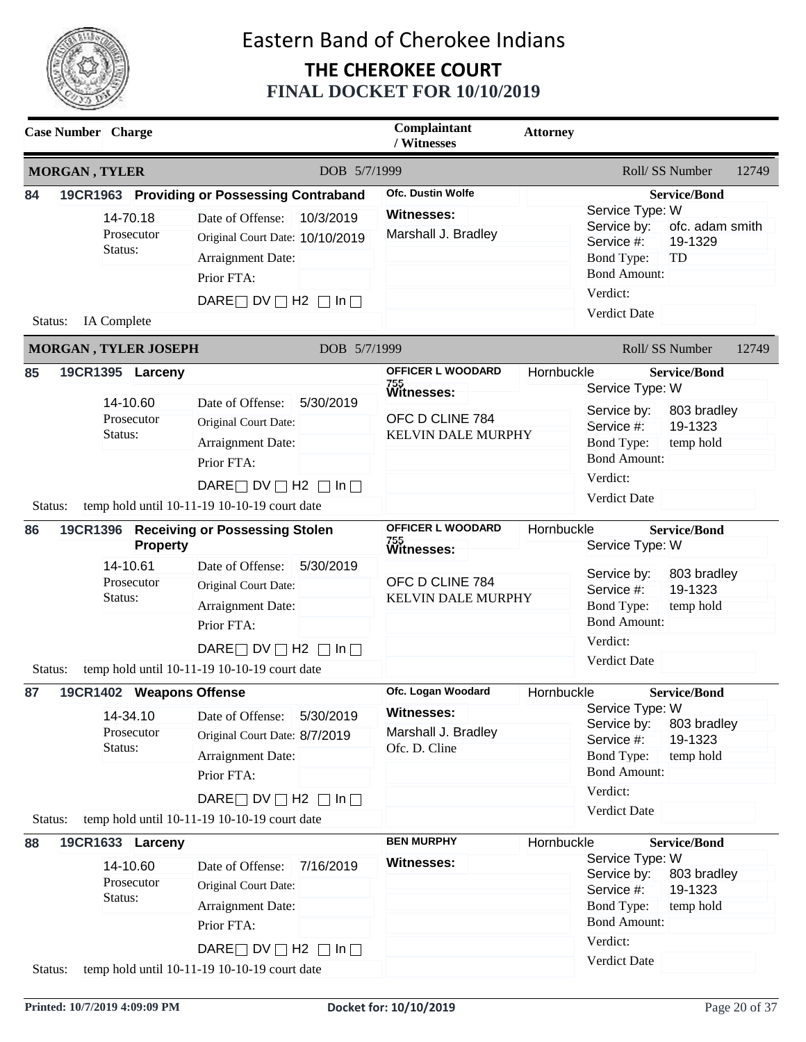

|                                                                                                                                       | <b>Case Number</b> Charge |                                            |                                                                                                                                                                                    | Complaintant<br>/ Witnesses | <b>Attorney</b>                                                                        |            |                                                                                                                             |                                                            |       |
|---------------------------------------------------------------------------------------------------------------------------------------|---------------------------|--------------------------------------------|------------------------------------------------------------------------------------------------------------------------------------------------------------------------------------|-----------------------------|----------------------------------------------------------------------------------------|------------|-----------------------------------------------------------------------------------------------------------------------------|------------------------------------------------------------|-------|
| <b>MORGAN, TYLER</b>                                                                                                                  |                           |                                            |                                                                                                                                                                                    | DOB 5/7/1999                |                                                                                        |            |                                                                                                                             | Roll/ SS Number                                            | 12749 |
| 84<br>Status:                                                                                                                         | Status:<br>IA Complete    | 14-70.18<br>Prosecutor                     | 19CR1963 Providing or Possessing Contraband<br>Date of Offense:<br>Original Court Date: 10/10/2019<br>Arraignment Date:<br>Prior FTA:<br>DARE $\Box$ DV $\Box$ H2 $\Box$ In $\Box$ | 10/3/2019                   | <b>Ofc. Dustin Wolfe</b><br><b>Witnesses:</b><br>Marshall J. Bradley                   |            | Service Type: W<br>Service by:<br>Service #:<br><b>Bond Type:</b><br><b>Bond Amount:</b><br>Verdict:<br><b>Verdict Date</b> | <b>Service/Bond</b><br>ofc. adam smith<br>19-1329<br>TD    |       |
|                                                                                                                                       |                           | MORGAN, TYLER JOSEPH                       |                                                                                                                                                                                    | DOB 5/7/1999                |                                                                                        |            |                                                                                                                             | Roll/SS Number                                             | 12749 |
| 85                                                                                                                                    | Status:                   | 19CR1395 Larceny<br>14-10.60<br>Prosecutor | Date of Offense:<br>Original Court Date:<br>Arraignment Date:<br>Prior FTA:<br>DARE $\Box$ DV $\Box$ H2 $\Box$ In $\Box$                                                           | 5/30/2019                   | OFFICER L WOODARD<br>755<br>Witnesses:<br>OFC D CLINE 784<br><b>KELVIN DALE MURPHY</b> | Hornbuckle | Service Type: W<br>Service by:<br>Service #:<br><b>Bond Type:</b><br><b>Bond Amount:</b><br>Verdict:<br>Verdict Date        | <b>Service/Bond</b><br>803 bradley<br>19-1323<br>temp hold |       |
| temp hold until 10-11-19 10-10-19 court date<br>Status:<br>86<br><b>Receiving or Possessing Stolen</b><br>19CR1396<br><b>Property</b> |                           |                                            | OFFICER L WOODARD<br><sup>755</sup><br>Witnesses:                                                                                                                                  |                             | Hornbuckle<br><b>Service/Bond</b><br>Service Type: W                                   |            |                                                                                                                             |                                                            |       |
|                                                                                                                                       | 14-10.61<br>Status:       | Prosecutor                                 | Date of Offense:<br>Original Court Date:<br>Arraignment Date:<br>Prior FTA:<br>DARE $\Box$ DV $\Box$ H2 $\Box$ In $\Box$                                                           | 5/30/2019                   | OFC D CLINE 784<br><b>KELVIN DALE MURPHY</b>                                           |            | Service by:<br>803 bradley<br>19-1323<br>Service #:<br><b>Bond Type:</b><br>temp hold<br><b>Bond Amount:</b><br>Verdict:    |                                                            |       |
| Status:                                                                                                                               |                           |                                            | temp hold until 10-11-19 10-10-19 court date                                                                                                                                       |                             |                                                                                        |            | <b>Verdict Date</b>                                                                                                         |                                                            |       |
| 87                                                                                                                                    |                           | 19CR1402 Weapons Offense<br>14-34.10       | Date of Offense:                                                                                                                                                                   | 5/30/2019                   | Ofc. Logan Woodard<br>Witnesses:                                                       | Hornbuckle | Service Type: W                                                                                                             | <b>Service/Bond</b>                                        |       |
| Status:                                                                                                                               | Status:                   | Prosecutor                                 | Original Court Date: 8/7/2019<br>Arraignment Date:<br>Prior FTA:<br>DARE $\Box$ DV $\Box$ H2 $\Box$ In $\Box$<br>temp hold until 10-11-19 10-10-19 court date                      |                             | Marshall J. Bradley<br>Ofc. D. Cline                                                   |            | Service by:<br>Service #:<br>Bond Type:<br><b>Bond Amount:</b><br>Verdict:<br>Verdict Date                                  | 803 bradley<br>19-1323<br>temp hold                        |       |
| 88                                                                                                                                    |                           | 19CR1633 Larceny                           |                                                                                                                                                                                    |                             | <b>BEN MURPHY</b>                                                                      | Hornbuckle |                                                                                                                             | <b>Service/Bond</b>                                        |       |
| Status:                                                                                                                               | Status:                   | 14-10.60<br>Prosecutor                     | Date of Offense:<br>Original Court Date:<br>Arraignment Date:<br>Prior FTA:<br>DARE $\Box$ DV $\Box$ H2 $\Box$ In $\Box$<br>temp hold until 10-11-19 10-10-19 court date           | 7/16/2019                   | <b>Witnesses:</b>                                                                      |            | Service Type: W<br>Service by:<br>Service #:<br><b>Bond Type:</b><br><b>Bond Amount:</b><br>Verdict:<br>Verdict Date        | 803 bradley<br>19-1323<br>temp hold                        |       |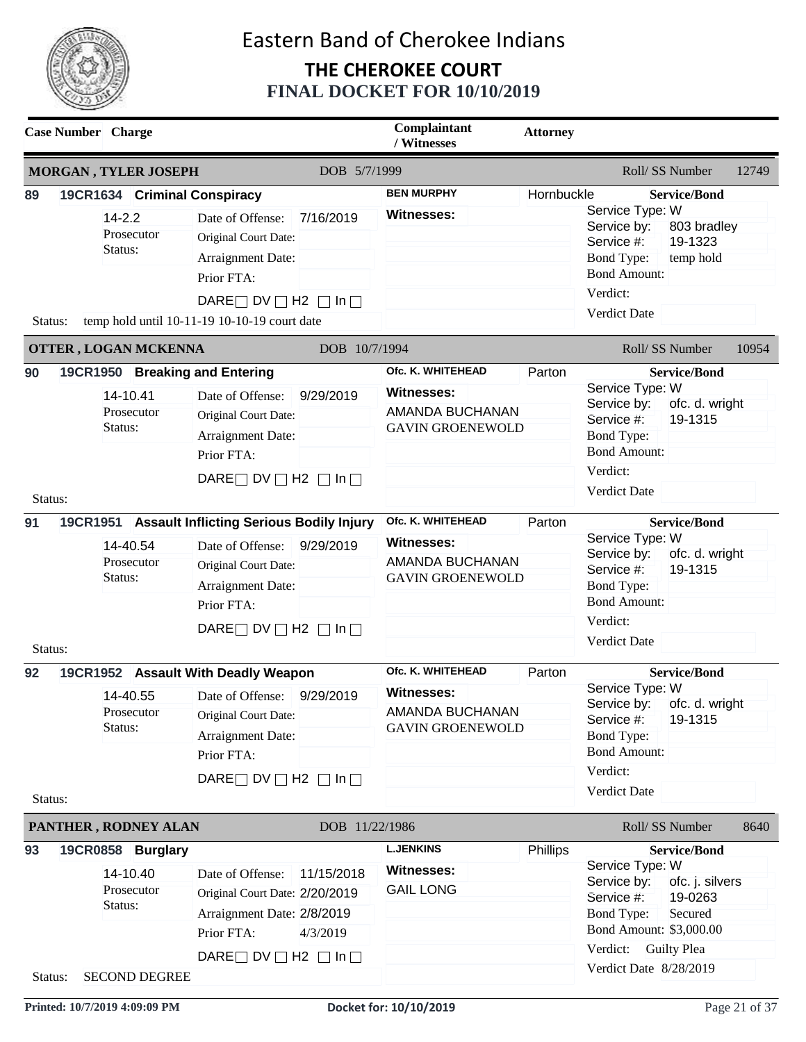

|                     | <b>Case Number</b> Charge                                                                                |                                                                                                                                                                                                                                                                                        | Complaintant<br>/ Witnesses                                                                                                                                                  | <b>Attorney</b>  |                                                                                                                                                                                                                                                                                                                                      |
|---------------------|----------------------------------------------------------------------------------------------------------|----------------------------------------------------------------------------------------------------------------------------------------------------------------------------------------------------------------------------------------------------------------------------------------|------------------------------------------------------------------------------------------------------------------------------------------------------------------------------|------------------|--------------------------------------------------------------------------------------------------------------------------------------------------------------------------------------------------------------------------------------------------------------------------------------------------------------------------------------|
|                     | <b>MORGAN, TYLER JOSEPH</b>                                                                              | DOB 5/7/1999                                                                                                                                                                                                                                                                           |                                                                                                                                                                              |                  | Roll/SS Number<br>12749                                                                                                                                                                                                                                                                                                              |
| 89<br>Status:       | 19CR1634 Criminal Conspiracy<br>$14 - 2.2$<br>Prosecutor<br>Status:                                      | 7/16/2019<br>Date of Offense:<br>Original Court Date:<br>Arraignment Date:<br>Prior FTA:<br>DARE $\Box$ DV $\Box$ H2 $\Box$ In $\Box$<br>temp hold until 10-11-19 10-10-19 court date                                                                                                  | <b>BEN MURPHY</b><br><b>Witnesses:</b>                                                                                                                                       | Hornbuckle       | <b>Service/Bond</b><br>Service Type: W<br>Service by:<br>803 bradley<br>19-1323<br>Service #:<br><b>Bond Type:</b><br>temp hold<br><b>Bond Amount:</b><br>Verdict:<br>Verdict Date                                                                                                                                                   |
|                     | <b>OTTER, LOGAN MCKENNA</b>                                                                              | DOB 10/7/1994                                                                                                                                                                                                                                                                          |                                                                                                                                                                              |                  | Roll/SS Number<br>10954                                                                                                                                                                                                                                                                                                              |
| 90<br>Status:<br>91 | 19CR1950 Breaking and Entering<br>14-10.41<br>Prosecutor<br>Status:<br>14-40.54<br>Prosecutor<br>Status: | Date of Offense:<br>9/29/2019<br>Original Court Date:<br>Arraignment Date:<br>Prior FTA:<br>DARE $\Box$ DV $\Box$ H2 $\Box$ In $\Box$<br>19CR1951 Assault Inflicting Serious Bodily Injury<br>9/29/2019<br>Date of Offense:<br>Original Court Date:<br>Arraignment Date:<br>Prior FTA: | Ofc. K. WHITEHEAD<br><b>Witnesses:</b><br>AMANDA BUCHANAN<br><b>GAVIN GROENEWOLD</b><br>Ofc. K. WHITEHEAD<br><b>Witnesses:</b><br>AMANDA BUCHANAN<br><b>GAVIN GROENEWOLD</b> | Parton<br>Parton | <b>Service/Bond</b><br>Service Type: W<br>Service by:<br>ofc. d. wright<br>19-1315<br>Service #:<br><b>Bond Type:</b><br><b>Bond Amount:</b><br>Verdict:<br>Verdict Date<br><b>Service/Bond</b><br>Service Type: W<br>Service by:<br>ofc. d. wright<br>19-1315<br>Service #:<br><b>Bond Type:</b><br><b>Bond Amount:</b><br>Verdict: |
| Status:             |                                                                                                          | DARE $\Box$ DV $\Box$ H2 $\Box$ In $\Box$                                                                                                                                                                                                                                              |                                                                                                                                                                              |                  | Verdict Date                                                                                                                                                                                                                                                                                                                         |
| 92<br>Status:       | 14-40.55<br>Prosecutor<br>Status:                                                                        | 19CR1952 Assault With Deadly Weapon<br>Date of Offense:<br>9/29/2019<br>Original Court Date:<br>Arraignment Date:<br>Prior FTA:<br>DARE $\Box$ DV $\Box$ H2 $\Box$ In $\Box$                                                                                                           | Ofc. K. WHITEHEAD<br><b>Witnesses:</b><br><b>AMANDA BUCHANAN</b><br><b>GAVIN GROENEWOLD</b>                                                                                  | Parton           | <b>Service/Bond</b><br>Service Type: W<br>Service by: ofc. d. wright<br>19-1315<br>Service #:<br>Bond Type:<br><b>Bond Amount:</b><br>Verdict:<br>Verdict Date                                                                                                                                                                       |
|                     | PANTHER, RODNEY ALAN                                                                                     | DOB 11/22/1986                                                                                                                                                                                                                                                                         |                                                                                                                                                                              |                  | Roll/SS Number<br>8640                                                                                                                                                                                                                                                                                                               |
| 93<br>Status:       | 19CR0858 Burglary<br>14-10.40<br>Prosecutor<br>Status:<br><b>SECOND DEGREE</b>                           | Date of Offense:<br>11/15/2018<br>Original Court Date: 2/20/2019<br>Arraignment Date: 2/8/2019<br>Prior FTA:<br>4/3/2019<br>DARE $\Box$ DV $\Box$ H2 $\Box$ In $\Box$                                                                                                                  | <b>L.JENKINS</b><br><b>Witnesses:</b><br><b>GAIL LONG</b>                                                                                                                    | Phillips         | <b>Service/Bond</b><br>Service Type: W<br>Service by:<br>ofc. j. silvers<br>Service #:<br>19-0263<br><b>Bond Type:</b><br>Secured<br>Bond Amount: \$3,000.00<br>Verdict: Guilty Plea<br>Verdict Date 8/28/2019                                                                                                                       |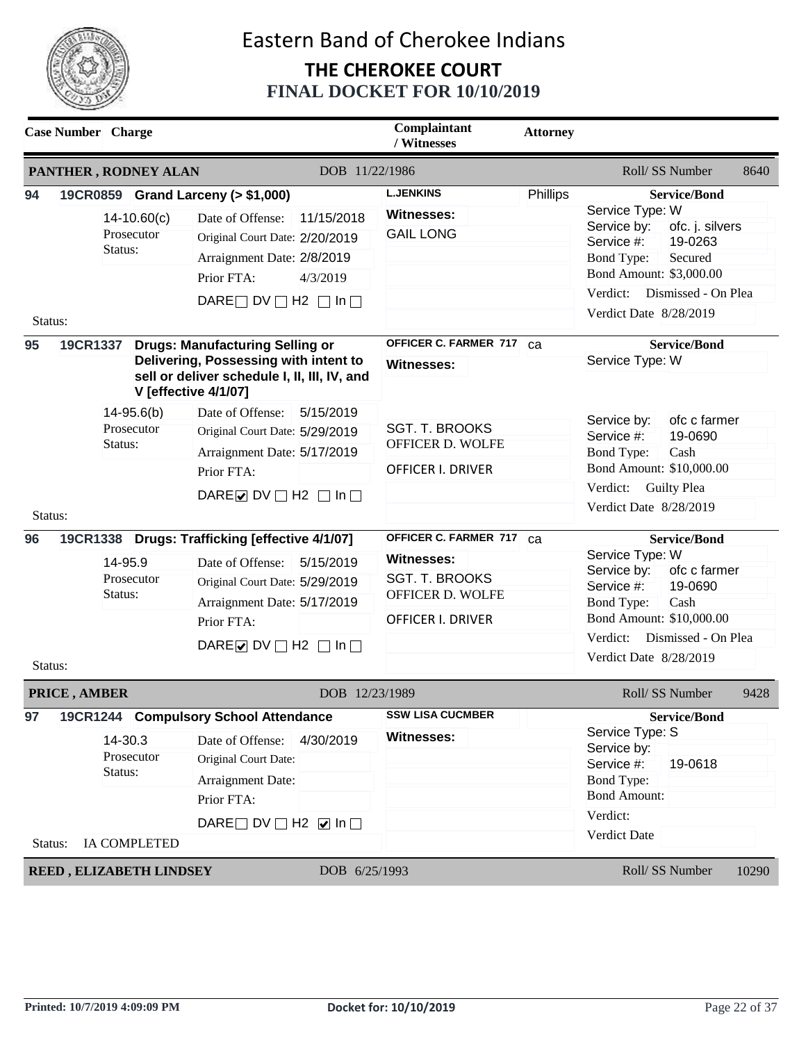

| <b>Case Number</b> Charge |                                         |                                                                                                                                                                |                | Complaintant<br>/ Witnesses                                                         | <b>Attorney</b> |                                                                                                                                  |
|---------------------------|-----------------------------------------|----------------------------------------------------------------------------------------------------------------------------------------------------------------|----------------|-------------------------------------------------------------------------------------|-----------------|----------------------------------------------------------------------------------------------------------------------------------|
| PANTHER, RODNEY ALAN      |                                         |                                                                                                                                                                | DOB 11/22/1986 |                                                                                     |                 | Roll/SS Number<br>8640                                                                                                           |
| 94                        | $14 - 10.60(c)$                         | 19CR0859 Grand Larceny (> \$1,000)<br>Date of Offense:                                                                                                         | 11/15/2018     | <b>L.JENKINS</b><br><b>Witnesses:</b>                                               | Phillips        | <b>Service/Bond</b><br>Service Type: W                                                                                           |
|                           | Prosecutor<br>Status:                   | Original Court Date: 2/20/2019<br>Arraignment Date: 2/8/2019                                                                                                   |                | <b>GAIL LONG</b>                                                                    |                 | Service by:<br>ofc. j. silvers<br>19-0263<br>Service #:<br><b>Bond Type:</b><br>Secured                                          |
|                           |                                         | Prior FTA:                                                                                                                                                     | 4/3/2019       |                                                                                     |                 | Bond Amount: \$3,000.00<br>Verdict:<br>Dismissed - On Plea                                                                       |
| Status:                   |                                         | DARE $\Box$ DV $\Box$ H2 $\Box$ In $\Box$                                                                                                                      |                |                                                                                     |                 | Verdict Date 8/28/2019                                                                                                           |
| 95<br>19CR1337            |                                         | <b>Drugs: Manufacturing Selling or</b><br>Delivering, Possessing with intent to<br>sell or deliver schedule I, II, III, IV, and<br><b>V</b> [effective 4/1/07] |                | OFFICER C. FARMER 717 Ca<br>Witnesses:                                              |                 | <b>Service/Bond</b><br>Service Type: W                                                                                           |
|                           | $14 - 95.6(b)$<br>Prosecutor<br>Status: | Date of Offense:<br>Original Court Date: 5/29/2019<br>Arraignment Date: 5/17/2019                                                                              | 5/15/2019      | <b>SGT. T. BROOKS</b><br>OFFICER D. WOLFE                                           |                 | ofc c farmer<br>Service by:<br>Service #:<br>19-0690<br><b>Bond Type:</b><br>Cash                                                |
| Status:                   |                                         | Prior FTA:<br>DARE O DV $\Box$ H2 $\Box$ In $\Box$                                                                                                             |                | OFFICER I. DRIVER                                                                   |                 | Bond Amount: \$10,000.00<br>Verdict:<br><b>Guilty Plea</b><br>Verdict Date 8/28/2019                                             |
| 96                        |                                         | 19CR1338 Drugs: Trafficking [effective 4/1/07]                                                                                                                 |                | OFFICER C. FARMER 717 Ca                                                            |                 | <b>Service/Bond</b>                                                                                                              |
|                           | 14-95.9<br>Prosecutor<br>Status:        | Date of Offense:<br>Original Court Date: 5/29/2019<br>Arraignment Date: 5/17/2019<br>Prior FTA:                                                                | 5/15/2019      | <b>Witnesses:</b><br><b>SGT. T. BROOKS</b><br>OFFICER D. WOLFE<br>OFFICER I. DRIVER |                 | Service Type: W<br>ofc c farmer<br>Service by:<br>Service #:<br>19-0690<br><b>Bond Type:</b><br>Cash<br>Bond Amount: \$10,000.00 |
| Status:                   |                                         | DARE $\triangleright$ DV $\square$ H2 $\square$ In $\square$                                                                                                   |                |                                                                                     |                 | Verdict:<br>Dismissed - On Plea<br>Verdict Date 8/28/2019                                                                        |
| PRICE, AMBER              |                                         |                                                                                                                                                                | DOB 12/23/1989 |                                                                                     |                 | Roll/ SS Number<br>9428                                                                                                          |
| 97                        | 14-30.3<br>Prosecutor                   | 19CR1244 Compulsory School Attendance<br>Date of Offense:<br>Original Court Date:                                                                              | 4/30/2019      | <b>SSW LISA CUCMBER</b><br><b>Witnesses:</b>                                        |                 | <b>Service/Bond</b><br>Service Type: S<br>Service by:<br>19-0618                                                                 |
|                           | Status:                                 | Arraignment Date:<br>Prior FTA:                                                                                                                                |                |                                                                                     |                 | Service #:<br><b>Bond Type:</b><br><b>Bond Amount:</b><br>Verdict:                                                               |
| Status:                   | IA COMPLETED                            | DARE $\Box$ DV $\Box$ H2 $\Box$ In $\Box$                                                                                                                      |                |                                                                                     |                 | Verdict Date                                                                                                                     |
| REED, ELIZABETH LINDSEY   |                                         |                                                                                                                                                                | DOB 6/25/1993  |                                                                                     |                 | 10290<br>Roll/ SS Number                                                                                                         |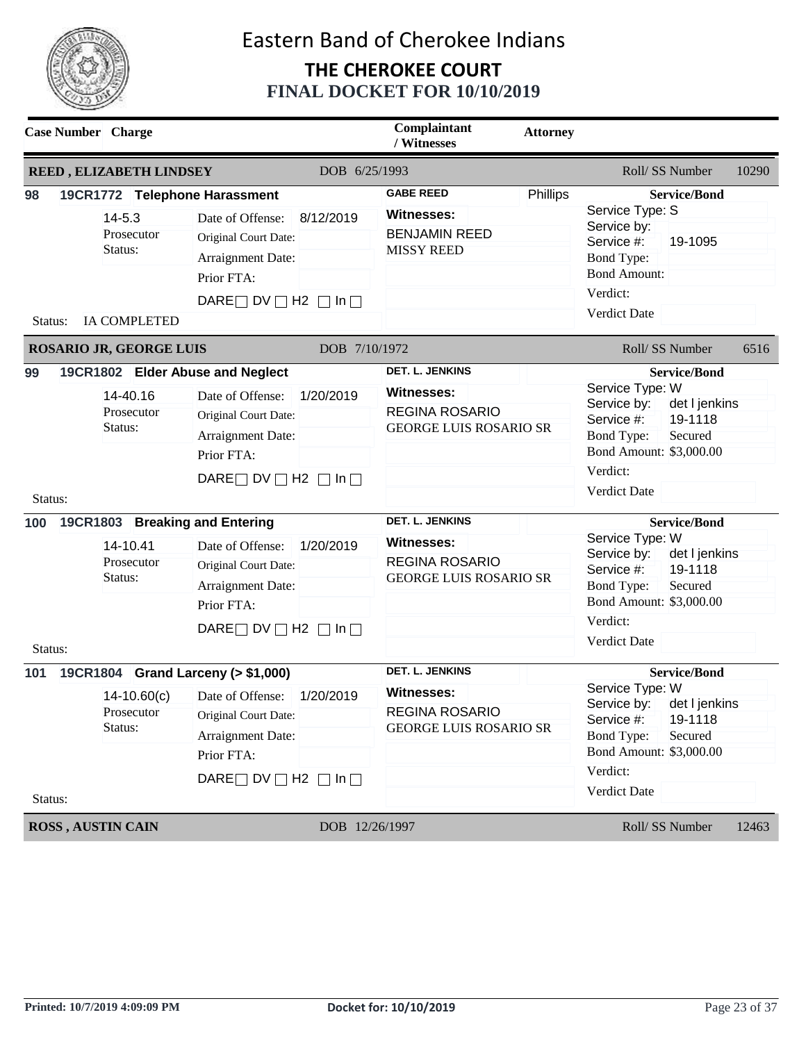

|                                 | <b>Case Number</b> Charge                                                                                |                                                                                                                                                                                                                                                                                                                    | Complaintant<br>/ Witnesses                                                                                                                                                                                    | <b>Attorney</b> |                                                                                                                                                                                                                                                                                                                                                                                  |
|---------------------------------|----------------------------------------------------------------------------------------------------------|--------------------------------------------------------------------------------------------------------------------------------------------------------------------------------------------------------------------------------------------------------------------------------------------------------------------|----------------------------------------------------------------------------------------------------------------------------------------------------------------------------------------------------------------|-----------------|----------------------------------------------------------------------------------------------------------------------------------------------------------------------------------------------------------------------------------------------------------------------------------------------------------------------------------------------------------------------------------|
|                                 | REED, ELIZABETH LINDSEY                                                                                  | DOB 6/25/1993                                                                                                                                                                                                                                                                                                      |                                                                                                                                                                                                                |                 | Roll/SS Number<br>10290                                                                                                                                                                                                                                                                                                                                                          |
| 98                              | 19CR1772 Telephone Harassment<br>$14 - 5.3$                                                              | Date of Offense:<br>8/12/2019                                                                                                                                                                                                                                                                                      | <b>GABE REED</b><br><b>Witnesses:</b>                                                                                                                                                                          | Phillips        | <b>Service/Bond</b><br>Service Type: S                                                                                                                                                                                                                                                                                                                                           |
|                                 | Prosecutor<br>Status:                                                                                    | Original Court Date:<br>Arraignment Date:<br>Prior FTA:                                                                                                                                                                                                                                                            | <b>BENJAMIN REED</b><br><b>MISSY REED</b>                                                                                                                                                                      |                 | Service by:<br>19-1095<br>Service #:<br><b>Bond Type:</b><br><b>Bond Amount:</b>                                                                                                                                                                                                                                                                                                 |
| Status:                         | <b>IA COMPLETED</b>                                                                                      | DARE $\Box$ DV $\Box$ H2 $\Box$ In $\Box$                                                                                                                                                                                                                                                                          |                                                                                                                                                                                                                |                 | Verdict:<br>Verdict Date                                                                                                                                                                                                                                                                                                                                                         |
|                                 | ROSARIO JR, GEORGE LUIS                                                                                  | DOB 7/10/1972                                                                                                                                                                                                                                                                                                      |                                                                                                                                                                                                                |                 | Roll/SS Number<br>6516                                                                                                                                                                                                                                                                                                                                                           |
| 99<br>Status:<br>100<br>Status: | 14-40.16<br>Prosecutor<br>Status:<br>19CR1803 Breaking and Entering<br>14-10.41<br>Prosecutor<br>Status: | 19CR1802 Elder Abuse and Neglect<br>1/20/2019<br>Date of Offense:<br>Original Court Date:<br>Arraignment Date:<br>Prior FTA:<br>DARE $\Box$ DV $\Box$ H2 $\Box$ In $\Box$<br>1/20/2019<br>Date of Offense:<br>Original Court Date:<br>Arraignment Date:<br>Prior FTA:<br>DARE $\Box$ DV $\Box$ H2 $\Box$ In $\Box$ | <b>DET. L. JENKINS</b><br><b>Witnesses:</b><br><b>REGINA ROSARIO</b><br><b>GEORGE LUIS ROSARIO SR</b><br><b>DET. L. JENKINS</b><br><b>Witnesses:</b><br><b>REGINA ROSARIO</b><br><b>GEORGE LUIS ROSARIO SR</b> |                 | <b>Service/Bond</b><br>Service Type: W<br>Service by:<br>det I jenkins<br>19-1118<br>Service #:<br>Bond Type:<br>Secured<br>Bond Amount: \$3,000.00<br>Verdict:<br>Verdict Date<br><b>Service/Bond</b><br>Service Type: W<br>Service by:<br>det I jenkins<br>19-1118<br>Service #:<br><b>Bond Type:</b><br>Secured<br>Bond Amount: \$3,000.00<br>Verdict:<br><b>Verdict Date</b> |
| 101<br>Status:                  | $14-10.60(c)$<br>Prosecutor<br>Status:                                                                   | 19CR1804 Grand Larceny (> \$1,000)<br>1/20/2019<br>Date of Offense:<br>Original Court Date:<br>Arraignment Date:<br>Prior FTA:<br>DARE $\Box$ DV $\Box$ H2 $\Box$ In $\Box$                                                                                                                                        | <b>DET. L. JENKINS</b><br><b>Witnesses:</b><br>REGINA ROSARIO<br><b>GEORGE LUIS ROSARIO SR</b>                                                                                                                 |                 | <b>Service/Bond</b><br>Service Type: W<br>Service by: det I jenkins<br>Service #:<br>19-1118<br><b>Bond Type:</b><br>Secured<br>Bond Amount: \$3,000.00<br>Verdict:<br>Verdict Date                                                                                                                                                                                              |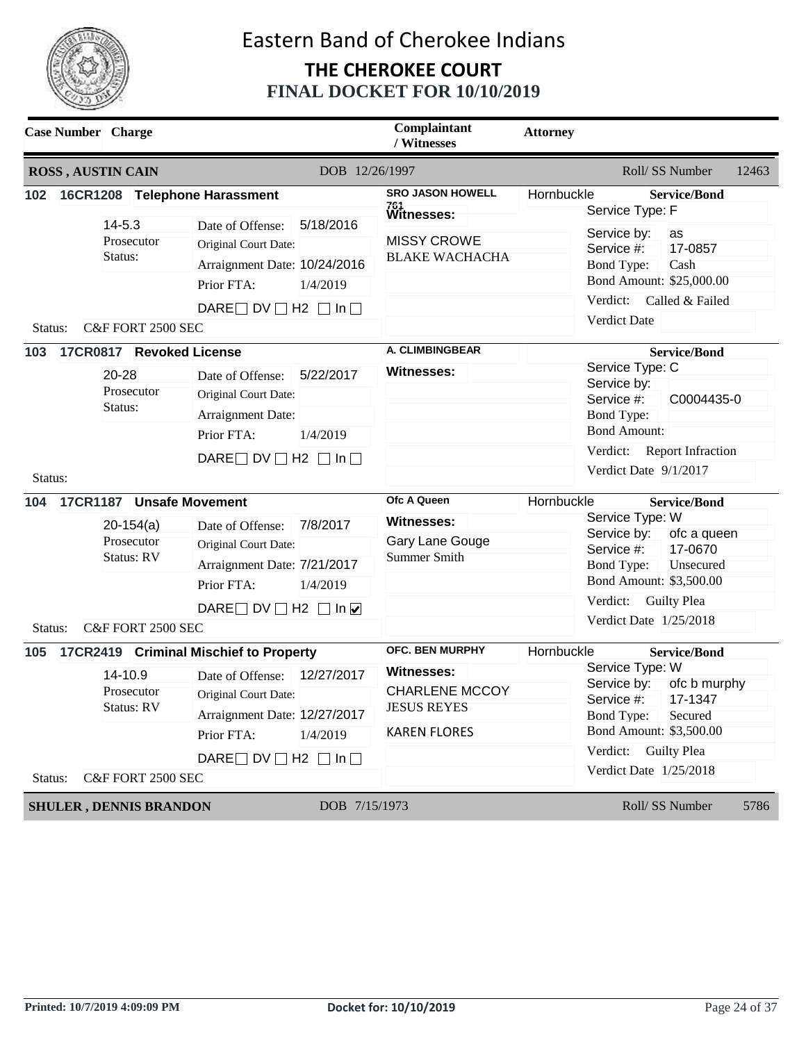

| <b>Case Number</b> Charge                                                  |                                                                                                                                                                                                         | Complaintant<br>/ Witnesses                                                                                       | <b>Attorney</b> |                                                                                                                                                                                                             |
|----------------------------------------------------------------------------|---------------------------------------------------------------------------------------------------------------------------------------------------------------------------------------------------------|-------------------------------------------------------------------------------------------------------------------|-----------------|-------------------------------------------------------------------------------------------------------------------------------------------------------------------------------------------------------------|
| <b>ROSS, AUSTIN CAIN</b>                                                   | DOB 12/26/1997                                                                                                                                                                                          |                                                                                                                   |                 | Roll/SS Number<br>12463                                                                                                                                                                                     |
| 16CR1208 Telephone Harassment<br>102                                       |                                                                                                                                                                                                         | <b>SRO JASON HOWELL</b><br><sup>761</sup><br>Witnesses:                                                           | Hornbuckle      | <b>Service/Bond</b><br>Service Type: F                                                                                                                                                                      |
| $14 - 5.3$<br>Prosecutor<br>Status:<br>C&F FORT 2500 SEC<br>Status:        | 5/18/2016<br>Date of Offense:<br>Original Court Date:<br>Arraignment Date: 10/24/2016<br>Prior FTA:<br>1/4/2019<br>DARE $\Box$ DV $\Box$ H2 $\Box$ In $\Box$                                            | <b>MISSY CROWE</b><br><b>BLAKE WACHACHA</b>                                                                       |                 | Service by:<br>as<br>17-0857<br>Service #:<br><b>Bond Type:</b><br>Cash<br>Bond Amount: \$25,000.00<br>Verdict:<br>Called & Failed<br><b>Verdict Date</b>                                                   |
| 17CR0817 Revoked License<br>103                                            |                                                                                                                                                                                                         | A. CLIMBINGBEAR                                                                                                   |                 | <b>Service/Bond</b>                                                                                                                                                                                         |
| 20-28<br>Prosecutor<br>Status:<br>Status:                                  | 5/22/2017<br>Date of Offense:<br>Original Court Date:<br>Arraignment Date:<br>Prior FTA:<br>1/4/2019<br>DARE $\Box$ DV $\Box$ H2 $\Box$ In $\Box$                                                       | <b>Witnesses:</b>                                                                                                 |                 | Service Type: C<br>Service by:<br>Service #:<br>C0004435-0<br><b>Bond Type:</b><br><b>Bond Amount:</b><br>Verdict: Report Infraction<br>Verdict Date 9/1/2017                                               |
| 17CR1187 Unsafe Movement<br>104                                            |                                                                                                                                                                                                         | Ofc A Queen                                                                                                       | Hornbuckle      | <b>Service/Bond</b>                                                                                                                                                                                         |
| $20-154(a)$<br>Prosecutor<br><b>Status: RV</b>                             | 7/8/2017<br>Date of Offense:<br>Original Court Date:<br>Arraignment Date: 7/21/2017<br>Prior FTA:<br>1/4/2019<br>DARE DV $\Box$ H2 $\Box$ In $\Box$                                                     | <b>Witnesses:</b><br>Gary Lane Gouge<br><b>Summer Smith</b>                                                       |                 | Service Type: W<br>Service by:<br>ofc a queen<br>17-0670<br>Service #:<br><b>Bond Type:</b><br>Unsecured<br>Bond Amount: \$3,500.00<br>Verdict: Guilty Plea<br>Verdict Date 1/25/2018                       |
| C&F FORT 2500 SEC<br>Status:                                               |                                                                                                                                                                                                         |                                                                                                                   |                 |                                                                                                                                                                                                             |
| 105<br>14-10.9<br>Prosecutor<br>Status: RV<br>Status:<br>C&F FORT 2500 SEC | 17CR2419 Criminal Mischief to Property<br>12/27/2017<br>Date of Offense:<br>Original Court Date:<br>Arraignment Date: 12/27/2017<br>Prior FTA:<br>1/4/2019<br>DARE $\Box$ DV $\Box$ H2 $\Box$ In $\Box$ | <b>OFC. BEN MURPHY</b><br><b>Witnesses:</b><br><b>CHARLENE MCCOY</b><br><b>JESUS REYES</b><br><b>KAREN FLORES</b> | Hornbuckle      | <b>Service/Bond</b><br>Service Type: W<br>Service by:<br>ofc b murphy<br>17-1347<br>Service #:<br><b>Bond Type:</b><br>Secured<br>Bond Amount: \$3,500.00<br>Verdict: Guilty Plea<br>Verdict Date 1/25/2018 |
| <b>SHULER, DENNIS BRANDON</b>                                              | DOB 7/15/1973                                                                                                                                                                                           |                                                                                                                   |                 | Roll/SS Number<br>5786                                                                                                                                                                                      |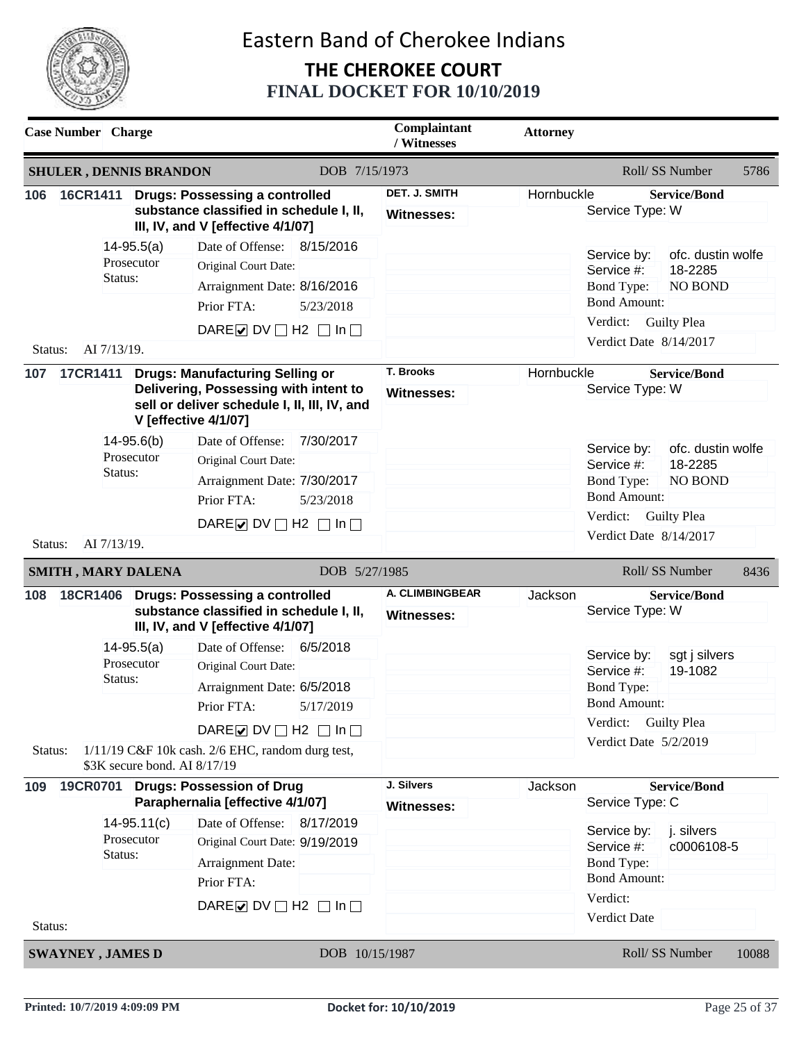

| <b>Case Number</b> Charge         |                               |                                                                                                                                                                                 | Complaintant<br>/ Witnesses                 | <b>Attorney</b> |                                                                                                                                                                                     |
|-----------------------------------|-------------------------------|---------------------------------------------------------------------------------------------------------------------------------------------------------------------------------|---------------------------------------------|-----------------|-------------------------------------------------------------------------------------------------------------------------------------------------------------------------------------|
| <b>SHULER, DENNIS BRANDON</b>     |                               | DOB 7/15/1973                                                                                                                                                                   |                                             |                 | Roll/ SS Number<br>5786                                                                                                                                                             |
| 16CR1411<br>106                   |                               | <b>Drugs: Possessing a controlled</b><br>substance classified in schedule I, II,<br>III, IV, and V [effective 4/1/07]                                                           | DET. J. SMITH<br>Witnesses:                 | Hornbuckle      | <b>Service/Bond</b><br>Service Type: W                                                                                                                                              |
| Status:<br>AI 7/13/19.<br>Status: | $14 - 95.5(a)$<br>Prosecutor  | 8/15/2016<br>Date of Offense:<br>Original Court Date:<br>Arraignment Date: 8/16/2016<br>Prior FTA:<br>5/23/2018<br>DARE $\triangleright$ DV $\square$ H2 $\square$ In $\square$ |                                             |                 | ofc. dustin wolfe<br>Service by:<br>Service #:<br>18-2285<br><b>Bond Type:</b><br><b>NO BOND</b><br><b>Bond Amount:</b><br>Verdict: Guilty Plea<br>Verdict Date 8/14/2017           |
| 107<br><b>17CR1411</b>            |                               | <b>Drugs: Manufacturing Selling or</b><br>Delivering, Possessing with intent to<br>sell or deliver schedule I, II, III, IV, and<br><b>V</b> [effective 4/1/07]                  | T. Brooks<br>Witnesses:                     | Hornbuckle      | <b>Service/Bond</b><br>Service Type: W                                                                                                                                              |
| Status:<br>AI 7/13/19.<br>Status: | $14 - 95.6(b)$<br>Prosecutor  | 7/30/2017<br>Date of Offense:<br>Original Court Date:<br>Arraignment Date: 7/30/2017<br>Prior FTA:<br>5/23/2018<br>DARE O DV $\Box$ H2 $\Box$ In $\Box$                         |                                             |                 | Service by:<br>ofc. dustin wolfe<br>18-2285<br>Service #:<br><b>Bond Type:</b><br><b>NO BOND</b><br><b>Bond Amount:</b><br>Verdict:<br><b>Guilty Plea</b><br>Verdict Date 8/14/2017 |
| <b>SMITH, MARY DALENA</b>         |                               | DOB 5/27/1985                                                                                                                                                                   |                                             |                 | Roll/SS Number<br>8436                                                                                                                                                              |
| 108<br><b>18CR1406</b>            |                               | <b>Drugs: Possessing a controlled</b><br>substance classified in schedule I, II,<br>III, IV, and V [effective 4/1/07]                                                           | <b>A. CLIMBINGBEAR</b><br><b>Witnesses:</b> | Jackson         | <b>Service/Bond</b><br>Service Type: W                                                                                                                                              |
| Status:                           | $14 - 95.5(a)$<br>Prosecutor  | Date of Offense:<br>6/5/2018<br>Original Court Date:<br>Arraignment Date: 6/5/2018<br>Prior FTA:<br>5/17/2019                                                                   |                                             |                 | Service by:<br>sgt j silvers<br>Service #:<br>19-1082<br>Bond Type:<br><b>Bond Amount:</b><br>Verdict:<br><b>Guilty Plea</b>                                                        |
| Status:                           | \$3K secure bond. AI 8/17/19  | DARE $\nabla$ DV $\nabla$ H2 $\nabla$ In $\nabla$<br>$1/11/19$ C&F 10k cash. 2/6 EHC, random durg test,                                                                         |                                             |                 | Verdict Date 5/2/2019                                                                                                                                                               |
| <b>19CR0701</b><br>109            |                               | <b>Drugs: Possession of Drug</b><br>Paraphernalia [effective 4/1/07]                                                                                                            | J. Silvers<br><b>Witnesses:</b>             | Jackson         | <b>Service/Bond</b><br>Service Type: C                                                                                                                                              |
| Status:                           | $14 - 95.11(c)$<br>Prosecutor | Date of Offense:<br>8/17/2019<br>Original Court Date: 9/19/2019<br>Arraignment Date:<br>Prior FTA:                                                                              |                                             |                 | j. silvers<br>Service by:<br>Service #:<br>c0006108-5<br><b>Bond Type:</b><br><b>Bond Amount:</b>                                                                                   |
| Status:                           |                               | DARE O DV $\Box$ H2 $\Box$ In $\Box$                                                                                                                                            |                                             |                 | Verdict:<br>Verdict Date                                                                                                                                                            |
| <b>SWAYNEY, JAMES D</b>           |                               | DOB 10/15/1987                                                                                                                                                                  |                                             |                 | Roll/SS Number<br>10088                                                                                                                                                             |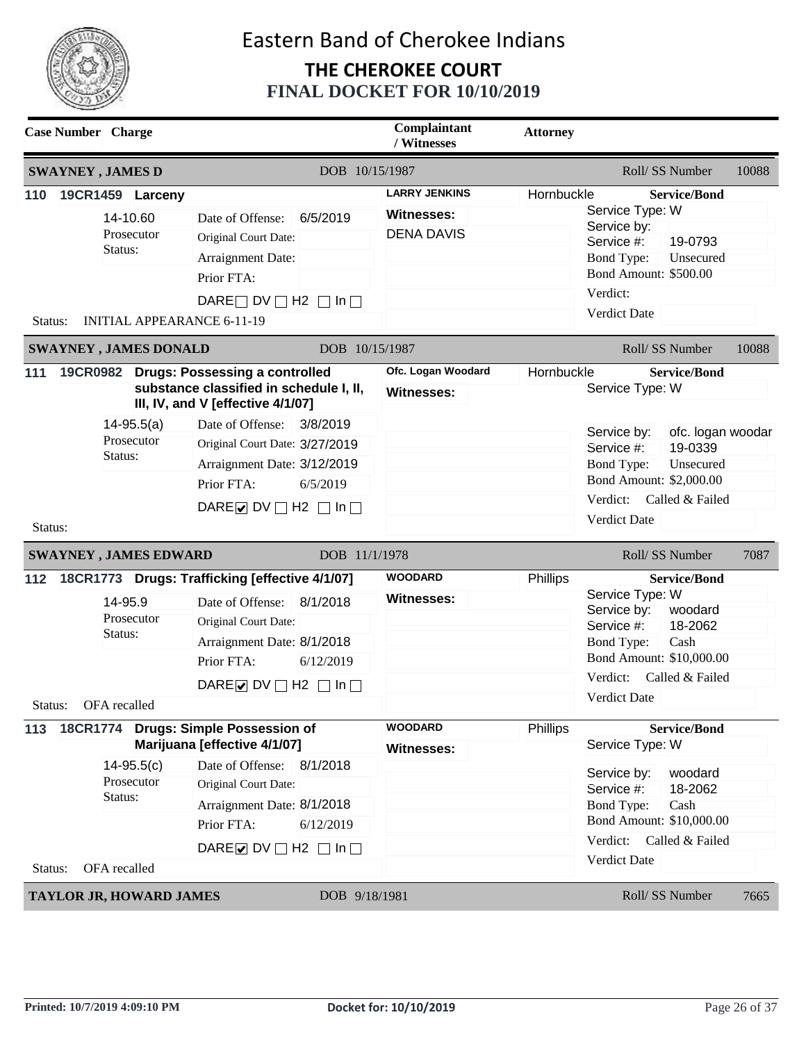

| <b>Case Number</b> Charge |                                                                                            |                                                                                                                                                                                                                                                    | Complaintant<br>/ Witnesses                                    | <b>Attorney</b> |                                                                                                                                                                              |
|---------------------------|--------------------------------------------------------------------------------------------|----------------------------------------------------------------------------------------------------------------------------------------------------------------------------------------------------------------------------------------------------|----------------------------------------------------------------|-----------------|------------------------------------------------------------------------------------------------------------------------------------------------------------------------------|
| <b>SWAYNEY, JAMES D</b>   |                                                                                            | DOB 10/15/1987                                                                                                                                                                                                                                     |                                                                |                 | Roll/SS Number<br>10088                                                                                                                                                      |
| 110<br>Status:            | 19CR1459 Larceny<br>14-10.60<br>Prosecutor<br>Status:<br><b>INITIAL APPEARANCE 6-11-19</b> | Date of Offense:<br>6/5/2019<br>Original Court Date:<br>Arraignment Date:<br>Prior FTA:<br>DARE $\Box$ DV $\Box$ H2 $\Box$ In $\Box$                                                                                                               | <b>LARRY JENKINS</b><br><b>Witnesses:</b><br><b>DENA DAVIS</b> | Hornbuckle      | <b>Service/Bond</b><br>Service Type: W<br>Service by:<br>Service #:<br>19-0793<br><b>Bond Type:</b><br>Unsecured<br><b>Bond Amount: \$500.00</b><br>Verdict:<br>Verdict Date |
|                           | <b>SWAYNEY, JAMES DONALD</b>                                                               | DOB 10/15/1987                                                                                                                                                                                                                                     |                                                                |                 | Roll/SS Number<br>10088                                                                                                                                                      |
| 111                       | $14 - 95.5(a)$<br>Prosecutor<br>Status:                                                    | 19CR0982 Drugs: Possessing a controlled<br>substance classified in schedule I, II,<br>III, IV, and V [effective 4/1/07]<br>Date of Offense:<br>3/8/2019<br>Original Court Date: 3/27/2019<br>Arraignment Date: 3/12/2019<br>Prior FTA:<br>6/5/2019 | Ofc. Logan Woodard<br><b>Witnesses:</b>                        | Hornbuckle      | <b>Service/Bond</b><br>Service Type: W<br>ofc. logan woodar<br>Service by:<br>19-0339<br>Service #:<br><b>Bond Type:</b><br>Unsecured<br>Bond Amount: \$2,000.00             |
| Status:                   | <b>SWAYNEY, JAMES EDWARD</b>                                                               | DARE $\triangleright$ DV $\square$ H2 $\square$ In $\square$<br>DOB 11/1/1978                                                                                                                                                                      |                                                                |                 | Verdict:<br>Called & Failed<br>Verdict Date<br>Roll/SS Number<br>7087                                                                                                        |
| 112                       |                                                                                            | 18CR1773 Drugs: Trafficking [effective 4/1/07]                                                                                                                                                                                                     | <b>WOODARD</b>                                                 | Phillips        | <b>Service/Bond</b>                                                                                                                                                          |
| Status: OFA recalled      | 14-95.9<br>Prosecutor<br>Status:                                                           | 8/1/2018<br>Date of Offense:<br>Original Court Date:<br>Arraignment Date: 8/1/2018<br>Prior FTA:<br>6/12/2019<br>DARE $\triangleright$ DV $\square$ H2 $\square$ In $\square$                                                                      | Witnesses:                                                     |                 | Service Type: W<br>Service by:<br>woodard<br>18-2062<br>Service #:<br>Cash<br><b>Bond Type:</b><br>Bond Amount: \$10,000.00<br>Verdict:<br>Called & Failed<br>Verdict Date   |
| 113                       |                                                                                            | 18CR1774 Drugs: Simple Possession of                                                                                                                                                                                                               | <b>WOODARD</b>                                                 | Phillips        | <b>Service/Bond</b>                                                                                                                                                          |
| Status:                   | $14 - 95.5(c)$<br>Prosecutor<br>Status:<br>OFA recalled                                    | Marijuana [effective 4/1/07]<br>Date of Offense:<br>8/1/2018<br>Original Court Date:<br>Arraignment Date: 8/1/2018<br>Prior FTA:<br>6/12/2019<br>DARE $\triangleright$ DV $\square$ H2 $\square$ In $\square$                                      | Witnesses:                                                     |                 | Service Type: W<br>Service by:<br>woodard<br>18-2062<br>Service #:<br><b>Bond Type:</b><br>Cash<br>Bond Amount: \$10,000.00<br>Verdict:<br>Called & Failed<br>Verdict Date   |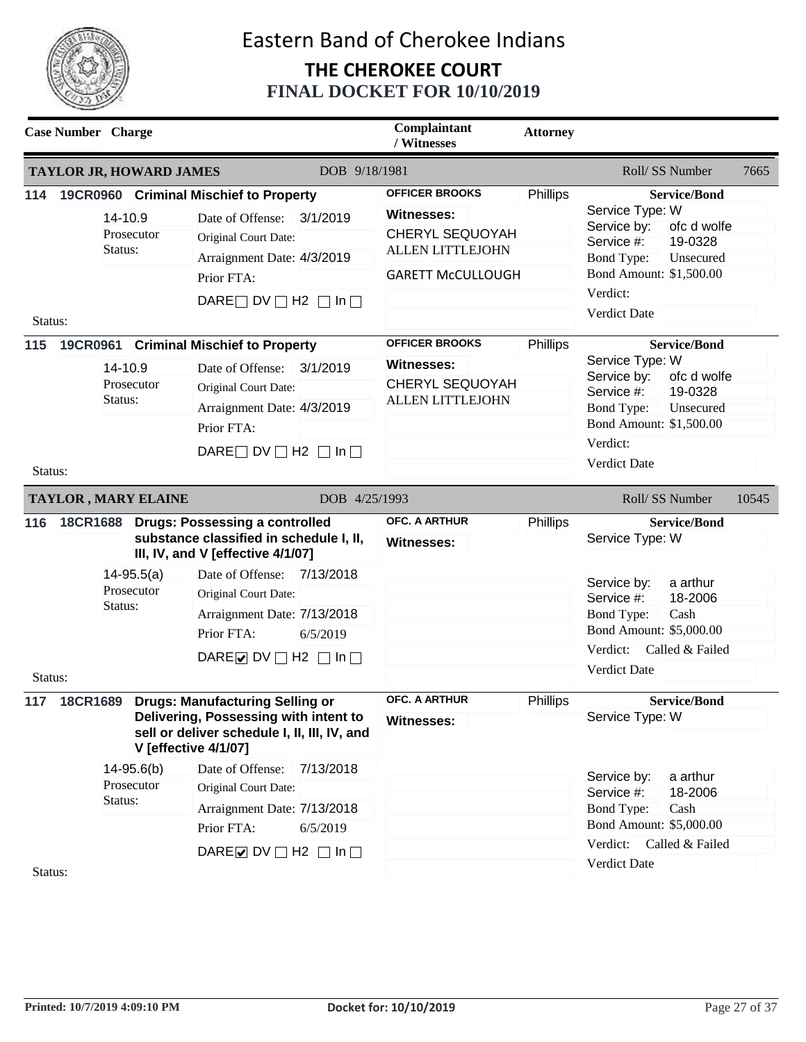

|                                                    | <b>Case Number</b> Charge                                                                                                                                                                                                                                                                                                                                                |                    | Complaintant<br>/ Witnesses                                                                                                                                                             | <b>Attorney</b>                                                                                                                                                                                                                                                                                                                                    |                                                                                                                                                                                            |                                                                                                                                                                                               |                                                                                                                                                                                        |
|----------------------------------------------------|--------------------------------------------------------------------------------------------------------------------------------------------------------------------------------------------------------------------------------------------------------------------------------------------------------------------------------------------------------------------------|--------------------|-----------------------------------------------------------------------------------------------------------------------------------------------------------------------------------------|----------------------------------------------------------------------------------------------------------------------------------------------------------------------------------------------------------------------------------------------------------------------------------------------------------------------------------------------------|--------------------------------------------------------------------------------------------------------------------------------------------------------------------------------------------|-----------------------------------------------------------------------------------------------------------------------------------------------------------------------------------------------|----------------------------------------------------------------------------------------------------------------------------------------------------------------------------------------|
|                                                    |                                                                                                                                                                                                                                                                                                                                                                          |                    | TAYLOR JR, HOWARD JAMES                                                                                                                                                                 | DOB 9/18/1981                                                                                                                                                                                                                                                                                                                                      |                                                                                                                                                                                            |                                                                                                                                                                                               | Roll/SS Number<br>7665                                                                                                                                                                 |
| 114<br>14-10.9<br>Prosecutor<br>Status:<br>Status: |                                                                                                                                                                                                                                                                                                                                                                          |                    | 19CR0960 Criminal Mischief to Property<br>Date of Offense:<br>3/1/2019<br>Original Court Date:<br>Arraignment Date: 4/3/2019<br>Prior FTA:<br>DARE $\Box$ DV $\Box$ H2 $\Box$ In $\Box$ | <b>OFFICER BROOKS</b><br><b>Witnesses:</b><br><b>CHERYL SEQUOYAH</b><br><b>ALLEN LITTLEJOHN</b><br><b>GARETT McCULLOUGH</b>                                                                                                                                                                                                                        | Phillips                                                                                                                                                                                   | <b>Service/Bond</b><br>Service Type: W<br>ofc d wolfe<br>Service by:<br>19-0328<br>Service #:<br><b>Bond Type:</b><br>Unsecured<br>Bond Amount: \$1,500.00<br>Verdict:<br><b>Verdict Date</b> |                                                                                                                                                                                        |
| 115<br>Status:                                     |                                                                                                                                                                                                                                                                                                                                                                          | 14-10.9<br>Status: | Prosecutor                                                                                                                                                                              | 19CR0961 Criminal Mischief to Property<br>Date of Offense: 3/1/2019<br>Original Court Date:<br>Arraignment Date: 4/3/2019<br>Prior FTA:<br>DARE $\Box$ DV $\Box$ H2 $\Box$ In $\Box$                                                                                                                                                               | <b>OFFICER BROOKS</b><br><b>Witnesses:</b><br><b>CHERYL SEQUOYAH</b><br><b>ALLEN LITTLEJOHN</b>                                                                                            | Phillips                                                                                                                                                                                      | <b>Service/Bond</b><br>Service Type: W<br>ofc d wolfe<br>Service by:<br>19-0328<br>Service #:<br><b>Bond Type:</b><br>Unsecured<br>Bond Amount: \$1,500.00<br>Verdict:<br>Verdict Date |
|                                                    |                                                                                                                                                                                                                                                                                                                                                                          |                    |                                                                                                                                                                                         |                                                                                                                                                                                                                                                                                                                                                    |                                                                                                                                                                                            |                                                                                                                                                                                               | Roll/SS Number<br>10545                                                                                                                                                                |
| 116                                                | <b>TAYLOR, MARY ELAINE</b><br>DOB 4/25/1993<br>18CR1688 Drugs: Possessing a controlled<br>substance classified in schedule I, II,<br>III, IV, and V [effective 4/1/07]<br>$14 - 95.5(a)$<br>Date of Offense: 7/13/2018<br>Prosecutor<br>Original Court Date:<br>Status:<br>Arraignment Date: 7/13/2018<br>Prior FTA:<br>6/5/2019<br>DARE U DV $\Box$ H2 $\Box$ In $\Box$ |                    | <b>OFC. A ARTHUR</b><br><b>Witnesses:</b>                                                                                                                                               | Phillips                                                                                                                                                                                                                                                                                                                                           | <b>Service/Bond</b><br>Service Type: W<br>a arthur<br>Service by:<br>Service #:<br>18-2006<br>Cash<br>Bond Type:<br>Bond Amount: \$5,000.00<br>Verdict:<br>Called & Failed<br>Verdict Date |                                                                                                                                                                                               |                                                                                                                                                                                        |
| Status:<br>117                                     |                                                                                                                                                                                                                                                                                                                                                                          | Status:            | $14 - 95.6(b)$<br>Prosecutor                                                                                                                                                            | 18CR1689 Drugs: Manufacturing Selling or<br>Delivering, Possessing with intent to<br>sell or deliver schedule I, II, III, IV, and<br><b>V</b> [effective 4/1/07]<br>Date of Offense:<br>7/13/2018<br>Original Court Date:<br>Arraignment Date: 7/13/2018<br>Prior FTA:<br>6/5/2019<br>DARE $\triangleright$ DV $\square$ H2 $\square$ In $\square$ | <b>OFC. A ARTHUR</b><br><b>Witnesses:</b>                                                                                                                                                  | Phillips                                                                                                                                                                                      | <b>Service/Bond</b><br>Service Type: W<br>Service by:<br>a arthur<br>Service #:<br>18-2006<br><b>Bond Type:</b><br>Cash<br>Bond Amount: \$5,000.00<br>Verdict:<br>Called & Failed      |
| Status:                                            |                                                                                                                                                                                                                                                                                                                                                                          |                    |                                                                                                                                                                                         |                                                                                                                                                                                                                                                                                                                                                    |                                                                                                                                                                                            |                                                                                                                                                                                               | Verdict Date                                                                                                                                                                           |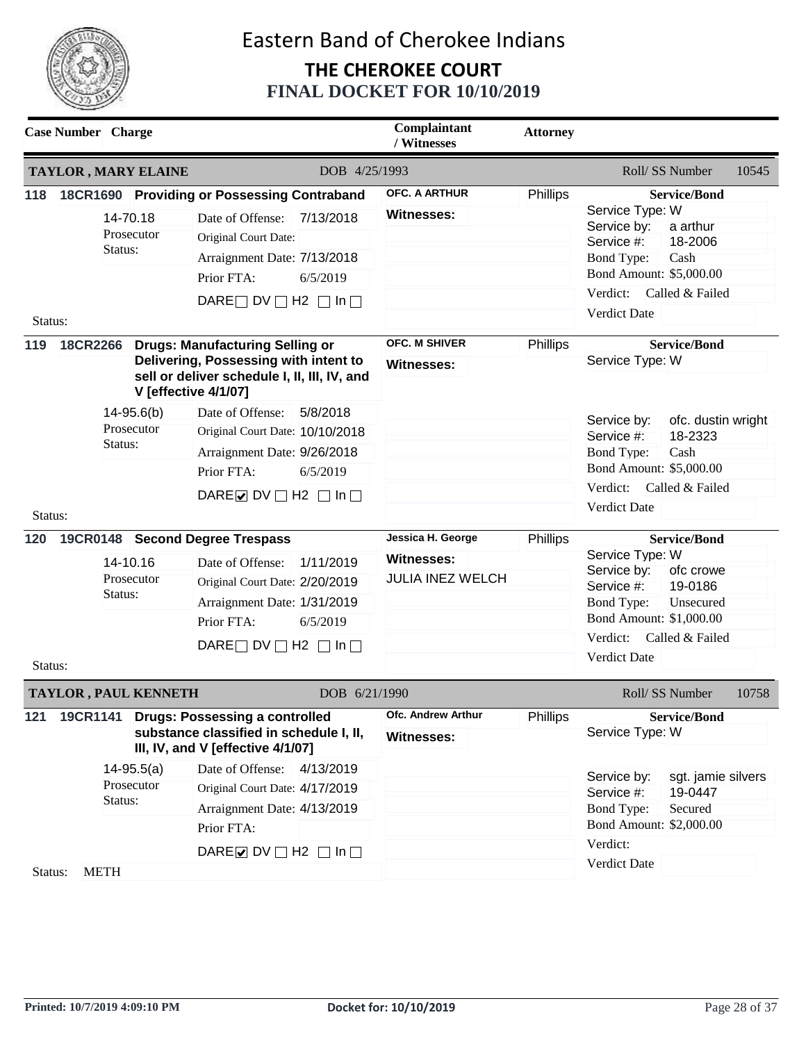

|         | <b>Case Number</b> Charge   |                            |                                                                                                                                                                       | Complaintant<br>/ Witnesses                    | <b>Attorney</b> |                                                                                                                                                                                  |
|---------|-----------------------------|----------------------------|-----------------------------------------------------------------------------------------------------------------------------------------------------------------------|------------------------------------------------|-----------------|----------------------------------------------------------------------------------------------------------------------------------------------------------------------------------|
|         | <b>TAYLOR, MARY ELAINE</b>  |                            | DOB 4/25/1993                                                                                                                                                         |                                                |                 | Roll/SS Number<br>10545                                                                                                                                                          |
|         |                             |                            | 118 18CR1690 Providing or Possessing Contraband                                                                                                                       | <b>OFC. A ARTHUR</b>                           | Phillips        | <b>Service/Bond</b>                                                                                                                                                              |
|         | Status:                     | 14-70.18<br>Prosecutor     | Date of Offense:<br>7/13/2018<br>Original Court Date:<br>Arraignment Date: 7/13/2018<br>Prior FTA:<br>6/5/2019                                                        | <b>Witnesses:</b>                              |                 | Service Type: W<br>Service by:<br>a arthur<br>18-2006<br>Service #:<br><b>Bond Type:</b><br>Cash<br>Bond Amount: \$5,000.00                                                      |
|         |                             |                            |                                                                                                                                                                       |                                                |                 | Verdict:<br>Called & Failed                                                                                                                                                      |
| Status: |                             |                            | DARE $\Box$ DV $\Box$ H2 $\Box$ In $\Box$                                                                                                                             |                                                |                 | <b>Verdict Date</b>                                                                                                                                                              |
| 119     |                             |                            | 18CR2266 Drugs: Manufacturing Selling or<br>Delivering, Possessing with intent to<br>sell or deliver schedule I, II, III, IV, and<br><b>V</b> [effective 4/1/07]      | <b>OFC. M SHIVER</b><br><b>Witnesses:</b>      | Phillips        | <b>Service/Bond</b><br>Service Type: W                                                                                                                                           |
|         | Status:                     | $14-95.6(b)$<br>Prosecutor | Date of Offense:<br>5/8/2018<br>Original Court Date: 10/10/2018<br>Arraignment Date: 9/26/2018                                                                        |                                                |                 | ofc. dustin wright<br>Service by:<br>18-2323<br>Service #:<br><b>Bond Type:</b><br>Cash                                                                                          |
|         |                             |                            | Prior FTA:<br>6/5/2019                                                                                                                                                |                                                |                 | Bond Amount: \$5,000.00                                                                                                                                                          |
| Status: |                             |                            | DARE $\triangledown$ DV $\square$ H2 $\square$ In $\square$                                                                                                           |                                                |                 | Verdict:<br>Called & Failed<br>Verdict Date                                                                                                                                      |
| 120     |                             |                            | 19CR0148 Second Degree Trespass                                                                                                                                       | Jessica H. George                              | Phillips        | <b>Service/Bond</b>                                                                                                                                                              |
| Status: | Status:                     | 14-10.16<br>Prosecutor     | Date of Offense:<br>1/11/2019<br>Original Court Date: 2/20/2019<br>Arraignment Date: 1/31/2019<br>Prior FTA:<br>6/5/2019<br>DARE $\Box$ DV $\Box$ H2 $\Box$ In $\Box$ | <b>Witnesses:</b><br><b>JULIA INEZ WELCH</b>   |                 | Service Type: W<br>Service by:<br>ofc crowe<br>19-0186<br>Service #:<br><b>Bond Type:</b><br>Unsecured<br>Bond Amount: \$1,000.00<br>Verdict:<br>Called & Failed<br>Verdict Date |
|         | <b>TAYLOR, PAUL KENNETH</b> |                            | DOB 6/21/1990                                                                                                                                                         |                                                |                 | Roll/SS Number<br>10758                                                                                                                                                          |
| 121     |                             |                            | 19CR1141 Drugs: Possessing a controlled<br>substance classified in schedule I, II,<br>III, IV, and V [effective 4/1/07]                                               | <b>Ofc. Andrew Arthur</b><br><b>Witnesses:</b> | Phillips        | <b>Service/Bond</b><br>Service Type: W                                                                                                                                           |
|         |                             | $14-95.5(a)$               | 4/13/2019<br>Date of Offense:                                                                                                                                         |                                                |                 | Service by:<br>sgt. jamie silvers                                                                                                                                                |
|         | Status:                     | Prosecutor                 | Original Court Date: 4/17/2019<br>Arraignment Date: 4/13/2019<br>Prior FTA:                                                                                           |                                                |                 | 19-0447<br>Service #:<br>Secured<br><b>Bond Type:</b><br>Bond Amount: \$2,000.00<br>Verdict:                                                                                     |
|         |                             |                            | DARE $\triangleright$ DV $\square$ H2 $\square$ In $\square$                                                                                                          |                                                |                 | Verdict Date                                                                                                                                                                     |
| Status: | <b>METH</b>                 |                            |                                                                                                                                                                       |                                                |                 |                                                                                                                                                                                  |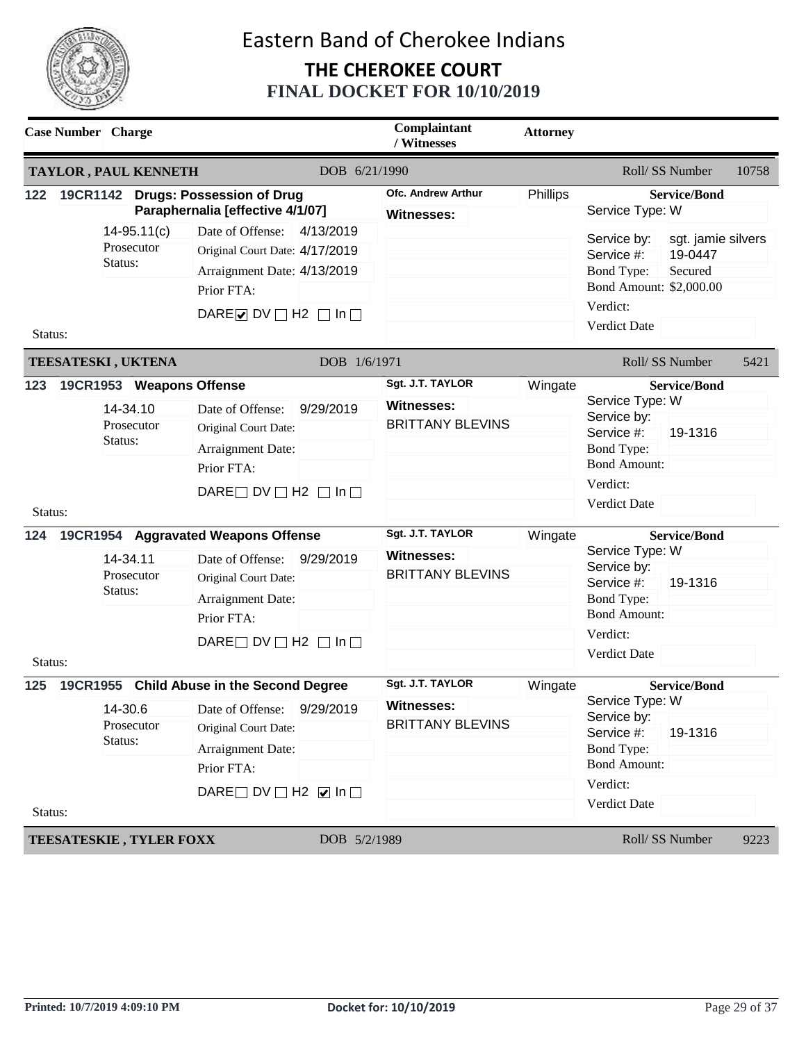

|                                  | <b>Case Number</b> Charge                                                                          | Complaintant<br>/ Witnesses                                                                                                                                                                                                                                                                 | <b>Attorney</b>        |                                                                                                                                      |                    |                                                                                                                                                                                                                                              |                                                                  |       |
|----------------------------------|----------------------------------------------------------------------------------------------------|---------------------------------------------------------------------------------------------------------------------------------------------------------------------------------------------------------------------------------------------------------------------------------------------|------------------------|--------------------------------------------------------------------------------------------------------------------------------------|--------------------|----------------------------------------------------------------------------------------------------------------------------------------------------------------------------------------------------------------------------------------------|------------------------------------------------------------------|-------|
|                                  | <b>TAYLOR, PAUL KENNETH</b>                                                                        |                                                                                                                                                                                                                                                                                             | DOB 6/21/1990          |                                                                                                                                      |                    | Roll/SS Number                                                                                                                                                                                                                               |                                                                  | 10758 |
| 122                              |                                                                                                    | 19CR1142 Drugs: Possession of Drug<br>Paraphernalia [effective 4/1/07]                                                                                                                                                                                                                      |                        | <b>Ofc. Andrew Arthur</b><br><b>Witnesses:</b>                                                                                       | Phillips           | <b>Service/Bond</b><br>Service Type: W                                                                                                                                                                                                       |                                                                  |       |
| Status:                          | $14 - 95.11(c)$<br>Prosecutor<br>Status:                                                           | Date of Offense:<br>Original Court Date: 4/17/2019<br>Arraignment Date: 4/13/2019<br>Prior FTA:<br>DARE $\triangleright$ DV $\square$ H2 $\square$ In $\square$                                                                                                                             | 4/13/2019              |                                                                                                                                      |                    | Service by:<br>Service #:<br><b>Bond Type:</b><br>Bond Amount: \$2,000.00<br>Verdict:<br><b>Verdict Date</b>                                                                                                                                 | sgt. jamie silvers<br>19-0447<br>Secured                         |       |
|                                  | TEESATESKI, UKTENA                                                                                 |                                                                                                                                                                                                                                                                                             | DOB 1/6/1971           |                                                                                                                                      |                    | Roll/SS Number                                                                                                                                                                                                                               |                                                                  | 5421  |
| 123<br>Status:<br>124<br>Status: | 19CR1953 Weapons Offense<br>14-34.10<br>Prosecutor<br>Status:<br>14-34.11<br>Prosecutor<br>Status: | Date of Offense:<br>Original Court Date:<br>Arraignment Date:<br>Prior FTA:<br>DARE $\Box$ DV $\Box$ H2 $\Box$ In $\Box$<br>19CR1954 Aggravated Weapons Offense<br>Date of Offense:<br>Original Court Date:<br>Arraignment Date:<br>Prior FTA:<br>DARE $\Box$ DV $\Box$ H2 $\Box$ In $\Box$ | 9/29/2019<br>9/29/2019 | Sgt. J.T. TAYLOR<br><b>Witnesses:</b><br><b>BRITTANY BLEVINS</b><br>Sgt. J.T. TAYLOR<br><b>Witnesses:</b><br><b>BRITTANY BLEVINS</b> | Wingate<br>Wingate | Service Type: W<br>Service by:<br>Service #:<br><b>Bond Type:</b><br><b>Bond Amount:</b><br>Verdict:<br>Verdict Date<br>Service Type: W<br>Service by:<br>Service #:<br><b>Bond Type:</b><br><b>Bond Amount:</b><br>Verdict:<br>Verdict Date | <b>Service/Bond</b><br>19-1316<br><b>Service/Bond</b><br>19-1316 |       |
| 125<br>Status:                   | 14-30.6<br>Prosecutor<br>Status:                                                                   | 19CR1955 Child Abuse in the Second Degree<br>Date of Offense: 9/29/2019<br>Original Court Date:<br>Arraignment Date:<br>Prior FTA:<br>DARE DV $\Box$ H2 $\Box$ In $\Box$                                                                                                                    |                        | Sgt. J.T. TAYLOR<br>Witnesses:<br><b>BRITTANY BLEVINS</b>                                                                            | Wingate            | Service Type: W<br>Service by:<br>Service #:<br><b>Bond Type:</b><br><b>Bond Amount:</b><br>Verdict:<br><b>Verdict Date</b>                                                                                                                  | <b>Service/Bond</b><br>19-1316                                   |       |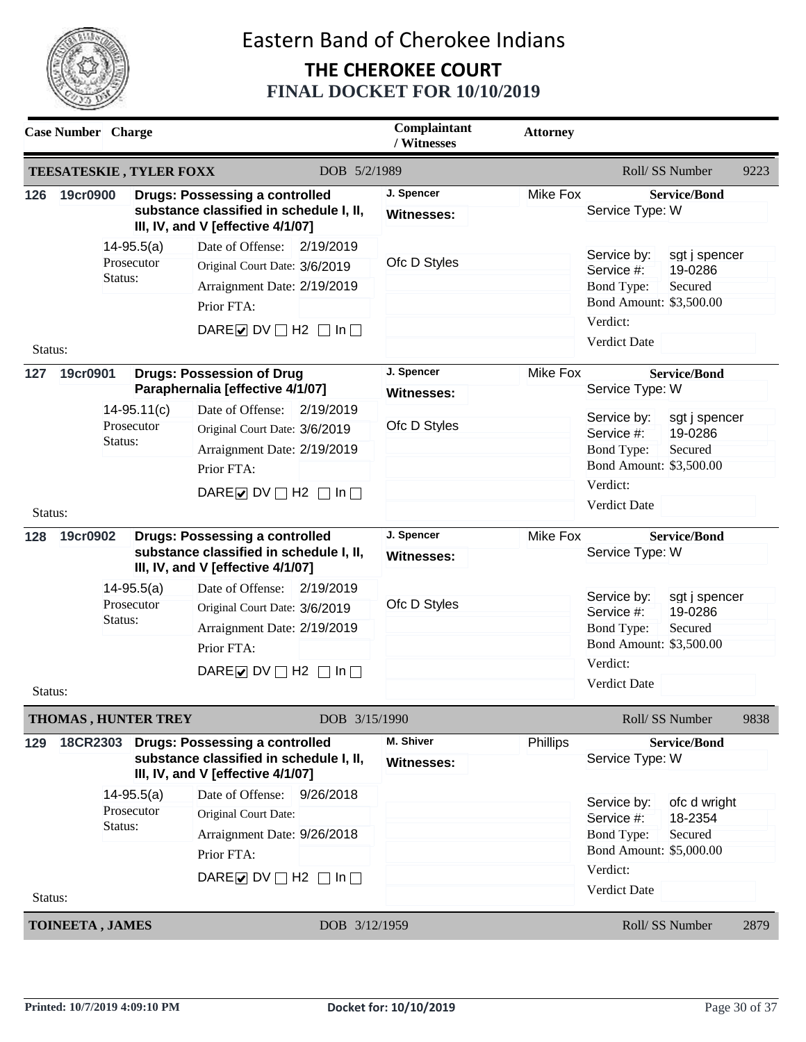

|                            |          | <b>Case Number</b> Charge                |                                                                                                                                                                |               | Complaintant<br>/ Witnesses     | <b>Attorney</b>                            |                                                                                                                                                     |
|----------------------------|----------|------------------------------------------|----------------------------------------------------------------------------------------------------------------------------------------------------------------|---------------|---------------------------------|--------------------------------------------|-----------------------------------------------------------------------------------------------------------------------------------------------------|
|                            |          |                                          | <b>TEESATESKIE, TYLER FOXX</b>                                                                                                                                 | DOB 5/2/1989  |                                 |                                            | Roll/SS Number<br>9223                                                                                                                              |
| 126                        | 19cr0900 |                                          | <b>Drugs: Possessing a controlled</b><br>substance classified in schedule I, II,<br>III, IV, and V [effective 4/1/07]                                          |               | J. Spencer<br><b>Witnesses:</b> | Mike Fox                                   | <b>Service/Bond</b><br>Service Type: W                                                                                                              |
| Status:                    |          | $14 - 95.5(a)$<br>Prosecutor<br>Status:  | Date of Offense:<br>Original Court Date: 3/6/2019<br>Arraignment Date: 2/19/2019<br>Prior FTA:<br>DARE $\triangleright$ DV $\square$ H2 $\square$ In $\square$ | 2/19/2019     | Ofc D Styles                    |                                            | Service by:<br>sgt j spencer<br>19-0286<br>Service #:<br><b>Bond Type:</b><br>Secured<br>Bond Amount: \$3,500.00<br>Verdict:<br><b>Verdict Date</b> |
| 127                        | 19cr0901 |                                          | <b>Drugs: Possession of Drug</b><br>Paraphernalia [effective 4/1/07]                                                                                           |               | J. Spencer<br>Witnesses:        | <b>Mike Fox</b>                            | <b>Service/Bond</b><br>Service Type: W                                                                                                              |
|                            |          | $14 - 95.11(c)$<br>Prosecutor<br>Status: | Date of Offense:<br>Original Court Date: 3/6/2019<br>Arraignment Date: 2/19/2019<br>Prior FTA:<br>DARE $\triangleright$ DV $\square$ H2 $\square$ In $\square$ | 2/19/2019     | Ofc D Styles                    |                                            | Service by:<br>sgt j spencer<br>19-0286<br>Service #:<br><b>Bond Type:</b><br>Secured<br>Bond Amount: \$3,500.00<br>Verdict:                        |
| Status:<br>19cr0902<br>128 |          | <b>Drugs: Possessing a controlled</b>    |                                                                                                                                                                | J. Spencer    | Mike Fox                        | <b>Verdict Date</b><br><b>Service/Bond</b> |                                                                                                                                                     |
|                            |          |                                          | substance classified in schedule I, II,<br>III, IV, and V [effective 4/1/07]                                                                                   |               | Witnesses:                      |                                            | Service Type: W                                                                                                                                     |
|                            |          | $14-95.5(a)$<br>Prosecutor<br>Status:    | Date of Offense:<br>Original Court Date: 3/6/2019<br>Arraignment Date: 2/19/2019<br>Prior FTA:                                                                 | 2/19/2019     | Ofc D Styles                    |                                            | Service by:<br>sgt j spencer<br>19-0286<br>Service #:<br><b>Bond Type:</b><br>Secured<br>Bond Amount: \$3,500.00                                    |
| Status:                    |          |                                          | DARE $\triangledown$ DV $\square$ H2 $\square$ In $\square$                                                                                                    |               |                                 |                                            | Verdict:<br>Verdict Date                                                                                                                            |
|                            |          | THOMAS, HUNTER TREY                      |                                                                                                                                                                | DOB 3/15/1990 |                                 |                                            | Roll/SS Number<br>9838                                                                                                                              |
| 129                        | 18CR2303 |                                          | <b>Drugs: Possessing a controlled</b><br>substance classified in schedule I, II,<br>III, IV, and V [effective 4/1/07]                                          |               | M. Shiver<br><b>Witnesses:</b>  | Phillips                                   | <b>Service/Bond</b><br>Service Type: W                                                                                                              |
|                            |          | $14 - 95.5(a)$<br>Prosecutor<br>Status:  | Date of Offense:<br>Original Court Date:<br>Arraignment Date: 9/26/2018<br>Prior FTA:<br>DARE O DV $\Box$ H2 $\Box$ In $\Box$                                  | 9/26/2018     |                                 |                                            | Service by:<br>ofc d wright<br>Service #:<br>18-2354<br><b>Bond Type:</b><br>Secured<br>Bond Amount: \$5,000.00<br>Verdict:                         |
| Status:                    |          |                                          |                                                                                                                                                                | DOB 3/12/1959 |                                 |                                            | Verdict Date<br>Roll/SS Number                                                                                                                      |
|                            |          | <b>TOINEETA, JAMES</b>                   |                                                                                                                                                                |               |                                 |                                            | 2879                                                                                                                                                |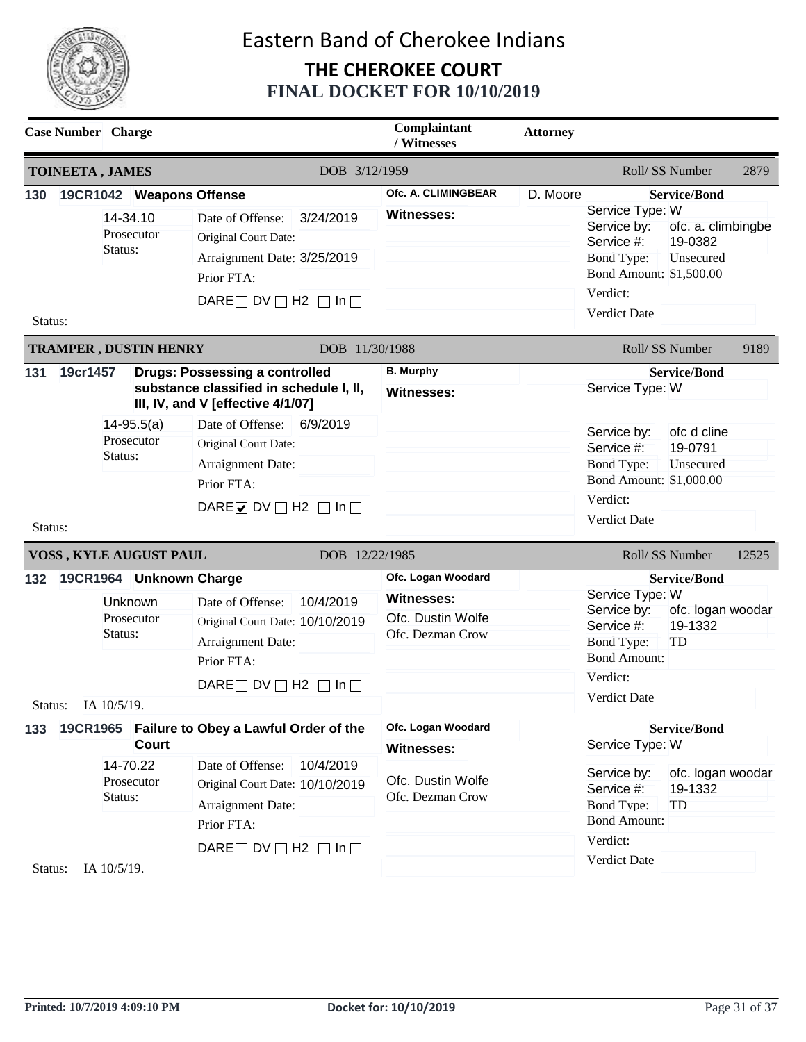

| <b>Case Number</b> Charge               |                                                               |       |                                                                                                                                             |                | Complaintant<br>/ Witnesses                                                      | <b>Attorney</b> |                                                                                                                                 |                                                                   |       |
|-----------------------------------------|---------------------------------------------------------------|-------|---------------------------------------------------------------------------------------------------------------------------------------------|----------------|----------------------------------------------------------------------------------|-----------------|---------------------------------------------------------------------------------------------------------------------------------|-------------------------------------------------------------------|-------|
| <b>TOINEETA, JAMES</b>                  |                                                               |       | DOB 3/12/1959                                                                                                                               |                | Roll/SS Number                                                                   |                 |                                                                                                                                 | 2879                                                              |       |
| 130                                     | 19CR1042 Weapons Offense<br>14-34.10<br>Prosecutor<br>Status: |       | Date of Offense:<br>Original Court Date:<br>Arraignment Date: 3/25/2019<br>Prior FTA:<br>DARE $\Box$ DV $\Box$ H2 $\Box$ In $\Box$          | 3/24/2019      | Ofc. A. CLIMINGBEAR<br><b>Witnesses:</b>                                         | D. Moore        | Service Type: W<br>Service by:<br>Service #:<br><b>Bond Type:</b><br>Bond Amount: \$1,500.00<br>Verdict:<br><b>Verdict Date</b> | <b>Service/Bond</b><br>ofc. a. climbingbe<br>19-0382<br>Unsecured |       |
| Status:<br><b>TRAMPER, DUSTIN HENRY</b> |                                                               |       |                                                                                                                                             | DOB 11/30/1988 |                                                                                  |                 |                                                                                                                                 | Roll/ SS Number                                                   | 9189  |
| 131                                     | 19cr1457                                                      |       | <b>Drugs: Possessing a controlled</b><br>substance classified in schedule I, II,<br>III, IV, and V [effective 4/1/07]                       |                | <b>B.</b> Murphy<br><b>Witnesses:</b>                                            |                 | Service Type: W                                                                                                                 | <b>Service/Bond</b>                                               |       |
| Status:                                 | $14 - 95.5(a)$<br>Prosecutor<br>Status:                       |       | Date of Offense:<br>Original Court Date:<br>Arraignment Date:<br>Prior FTA:<br>DARE $\triangleright$ DV $\square$ H2 $\square$ In $\square$ | 6/9/2019       |                                                                                  |                 | Service by:<br>Service #:<br><b>Bond Type:</b><br>Bond Amount: \$1,000.00<br>Verdict:<br>Verdict Date                           | ofc d cline<br>19-0791<br>Unsecured                               |       |
| VOSS, KYLE AUGUST PAUL                  |                                                               |       |                                                                                                                                             | DOB 12/22/1985 |                                                                                  |                 |                                                                                                                                 | Roll/SS Number                                                    | 12525 |
| 132                                     | 19CR1964 Unknown Charge<br>Unknown<br>Prosecutor<br>Status:   |       | Date of Offense:<br>Original Court Date: 10/10/2019<br>Arraignment Date:<br>Prior FTA:                                                      | 10/4/2019      | Ofc. Logan Woodard<br><b>Witnesses:</b><br>Ofc. Dustin Wolfe<br>Ofc. Dezman Crow |                 | Service Type: W<br>Service by:<br>Service #:<br><b>Bond Type:</b><br><b>Bond Amount:</b><br>Verdict:                            | <b>Service/Bond</b><br>ofc. logan woodar<br>19-1332<br>TD         |       |
|                                         | Status: IA 10/5/19                                            |       | DARE $\Box$ DV $\Box$ H2 $\Box$ In $\Box$                                                                                                   |                |                                                                                  |                 | Verdict Date                                                                                                                    |                                                                   |       |
| 133                                     | 14-70.22<br>Prosecutor<br>Status:                             | Court | 19CR1965 Failure to Obey a Lawful Order of the<br>Date of Offense:<br>Original Court Date: 10/10/2019<br>Arraignment Date:<br>Prior FTA:    | 10/4/2019      | Ofc. Logan Woodard<br><b>Witnesses:</b><br>Ofc. Dustin Wolfe<br>Ofc. Dezman Crow |                 | Service Type: W<br>Service by:<br>Service #:<br>Bond Type:<br><b>Bond Amount:</b>                                               | <b>Service/Bond</b><br>ofc. logan woodar<br>19-1332<br>TD         |       |
| Status:                                 | IA 10/5/19.                                                   |       | DARE $\Box$ DV $\Box$ H2 $\Box$ In $\Box$                                                                                                   |                |                                                                                  |                 | Verdict:<br>Verdict Date                                                                                                        |                                                                   |       |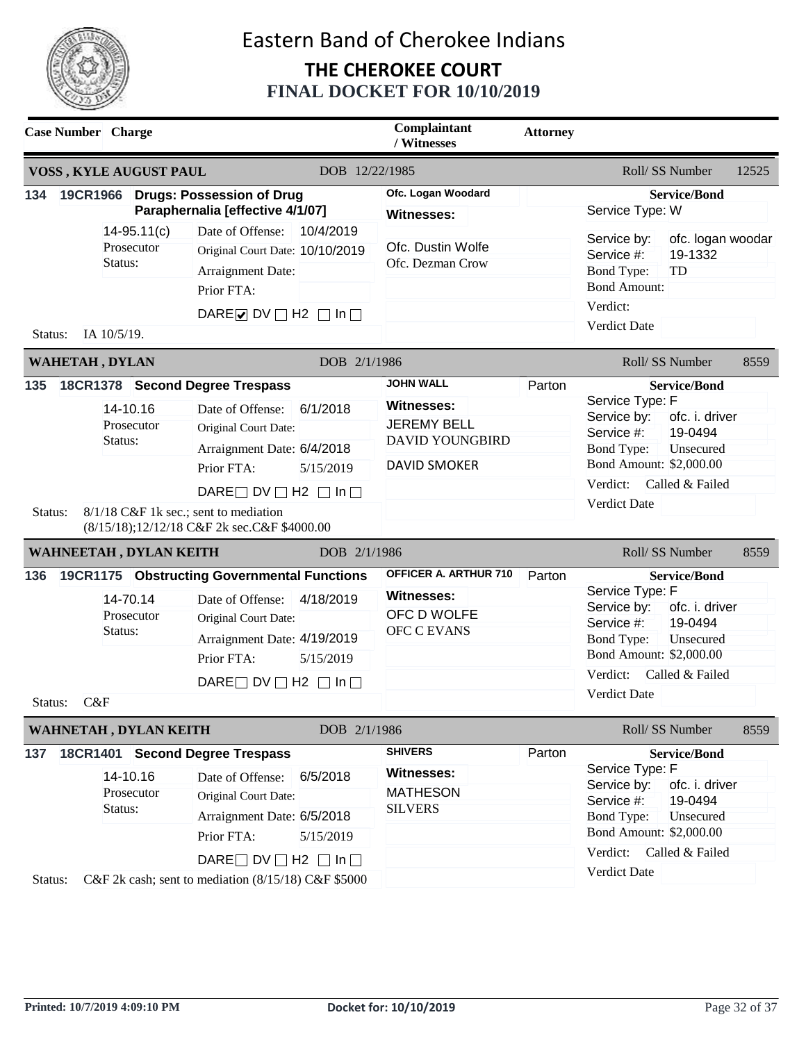

| <b>Case Number</b> Charge |                                          |                                                                                                                                                                                                                                                              |                        | Complaintant<br>/ Witnesses                                                                           | <b>Attorney</b> |                                                                                                                                                                                                                     |       |
|---------------------------|------------------------------------------|--------------------------------------------------------------------------------------------------------------------------------------------------------------------------------------------------------------------------------------------------------------|------------------------|-------------------------------------------------------------------------------------------------------|-----------------|---------------------------------------------------------------------------------------------------------------------------------------------------------------------------------------------------------------------|-------|
| VOSS, KYLE AUGUST PAUL    |                                          |                                                                                                                                                                                                                                                              | DOB 12/22/1985         |                                                                                                       |                 | Roll/SS Number                                                                                                                                                                                                      | 12525 |
| 134                       |                                          | 19CR1966 Drugs: Possession of Drug<br>Paraphernalia [effective 4/1/07]                                                                                                                                                                                       |                        | Ofc. Logan Woodard<br><b>Witnesses:</b>                                                               |                 | <b>Service/Bond</b><br>Service Type: W                                                                                                                                                                              |       |
| IA 10/5/19.<br>Status:    | $14 - 95.11(c)$<br>Prosecutor<br>Status: | Date of Offense:<br>Original Court Date: 10/10/2019<br>Arraignment Date:<br>Prior FTA:<br>DARE $\nabla$ DV $\nabla$ H2 $\nabla$ In $\nabla$                                                                                                                  | 10/4/2019              | Ofc. Dustin Wolfe<br>Ofc. Dezman Crow                                                                 |                 | ofc. logan woodar<br>Service by:<br>19-1332<br>Service #:<br>TD<br><b>Bond Type:</b><br><b>Bond Amount:</b><br>Verdict:<br>Verdict Date                                                                             |       |
| <b>WAHETAH, DYLAN</b>     |                                          |                                                                                                                                                                                                                                                              | DOB 2/1/1986           |                                                                                                       |                 | Roll/ SS Number                                                                                                                                                                                                     | 8559  |
| 135<br>Status:            | 14-10.16<br>Prosecutor<br>Status:        | 18CR1378 Second Degree Trespass<br>Date of Offense:<br>Original Court Date:<br>Arraignment Date: 6/4/2018<br>Prior FTA:<br>DARE $\Box$ DV $\Box$ H2 $\Box$ In $\Box$<br>8/1/18 C&F 1k sec.; sent to mediation<br>(8/15/18);12/12/18 C&F 2k sec.C&F \$4000.00 | 6/1/2018<br>5/15/2019  | <b>JOHN WALL</b><br>Witnesses:<br><b>JEREMY BELL</b><br><b>DAVID YOUNGBIRD</b><br><b>DAVID SMOKER</b> | Parton          | <b>Service/Bond</b><br>Service Type: F<br>Service by:<br>ofc. i. driver<br>19-0494<br>Service #:<br><b>Bond Type:</b><br>Unsecured<br>Bond Amount: \$2,000.00<br>Verdict:<br>Called & Failed<br>Verdict Date        |       |
| WAHNEETAH, DYLAN KEITH    |                                          |                                                                                                                                                                                                                                                              | DOB 2/1/1986           |                                                                                                       |                 | Roll/SS Number                                                                                                                                                                                                      | 8559  |
| 136<br>C&F<br>Status:     | 14-70.14<br>Prosecutor<br>Status:        | 19CR1175 Obstructing Governmental Functions<br>Date of Offense:<br>Original Court Date:<br>Arraignment Date: 4/19/2019<br>Prior FTA:<br>DARE $\Box$ DV $\Box$ H2 $\Box$ In $\Box$                                                                            | 4/18/2019<br>5/15/2019 | OFFICER A. ARTHUR 710<br>Witnesses:<br>OFC D WOLFE<br><b>OFC C EVANS</b>                              | Parton          | <b>Service/Bond</b><br>Service Type: F<br>Service by:<br>ofc. i. driver<br>19-0494<br>Service #:<br><b>Bond Type:</b><br>Unsecured<br>Bond Amount: \$2,000.00<br>Verdict:<br>Called & Failed<br><b>Verdict Date</b> |       |
| WAHNETAH, DYLAN KEITH     |                                          |                                                                                                                                                                                                                                                              | DOB 2/1/1986           |                                                                                                       |                 | Roll/SS Number                                                                                                                                                                                                      | 8559  |
| 137<br>Status:            | 14-10.16<br>Prosecutor<br>Status:        | 18CR1401 Second Degree Trespass<br>Date of Offense:<br>Original Court Date:<br>Arraignment Date: 6/5/2018<br>Prior FTA:<br>DARE $\Box$ DV $\Box$ H2 $\Box$ In $\Box$<br>C&F 2k cash; sent to mediation (8/15/18) C&F \$5000                                  | 6/5/2018<br>5/15/2019  | <b>SHIVERS</b><br>Witnesses:<br><b>MATHESON</b><br><b>SILVERS</b>                                     | Parton          | <b>Service/Bond</b><br>Service Type: F<br>Service by:<br>ofc. i. driver<br>19-0494<br>Service #:<br><b>Bond Type:</b><br>Unsecured<br>Bond Amount: \$2,000.00<br>Verdict: Called & Failed<br>Verdict Date           |       |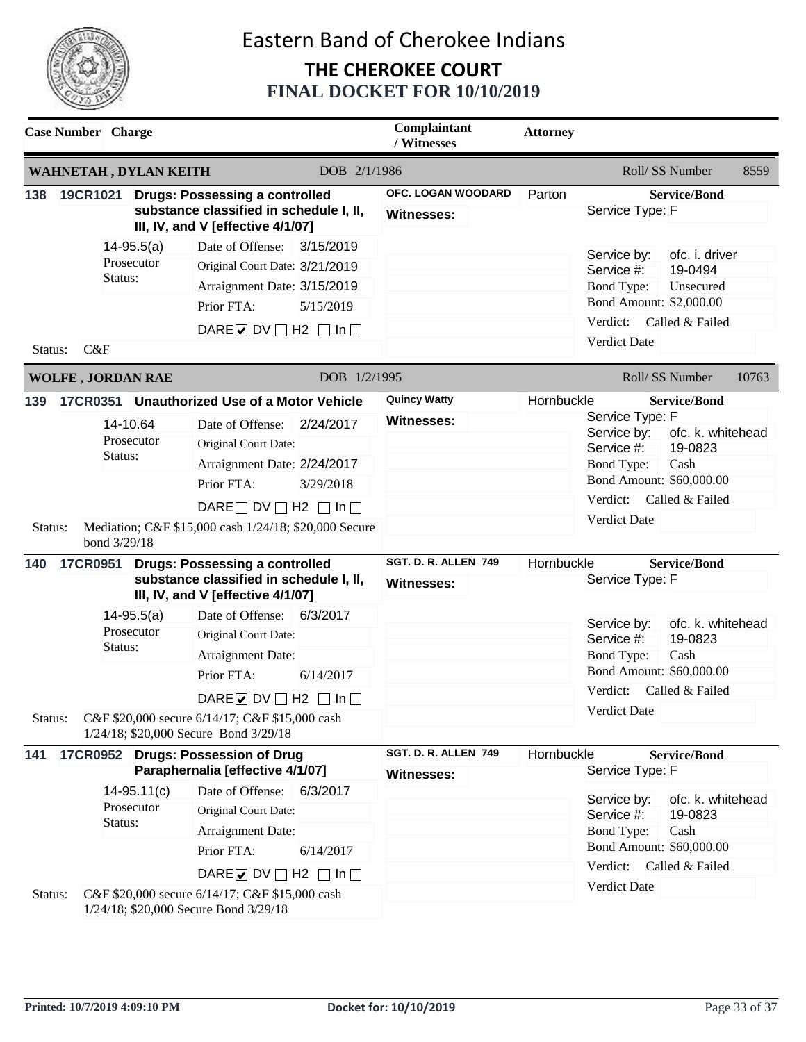

|                | <b>Case Number</b> Charge |                               |                                                                                                                                                                                                                                             |                        | Complaintant<br>/ Witnesses               | <b>Attorney</b> |                                                                                                                           |                                                                                |       |
|----------------|---------------------------|-------------------------------|---------------------------------------------------------------------------------------------------------------------------------------------------------------------------------------------------------------------------------------------|------------------------|-------------------------------------------|-----------------|---------------------------------------------------------------------------------------------------------------------------|--------------------------------------------------------------------------------|-------|
|                |                           | WAHNETAH, DYLAN KEITH         |                                                                                                                                                                                                                                             | DOB 2/1/1986           |                                           |                 | Roll/SS Number                                                                                                            |                                                                                | 8559  |
| 138            |                           |                               | 19CR1021 Drugs: Possessing a controlled<br>substance classified in schedule I, II,<br>III, IV, and V [effective 4/1/07]                                                                                                                     |                        | OFC. LOGAN WOODARD<br><b>Witnesses:</b>   | Parton          | Service Type: F                                                                                                           | <b>Service/Bond</b>                                                            |       |
| Status:        | Status:<br>C&F            | $14 - 95.5(a)$<br>Prosecutor  | Date of Offense:<br>Original Court Date: 3/21/2019<br>Arraignment Date: 3/15/2019<br>Prior FTA:<br>DARE $\triangleright$ DV $\square$ H2 $\square$ In $\square$                                                                             | 3/15/2019<br>5/15/2019 |                                           |                 | Service by:<br>Service #:<br><b>Bond Type:</b><br>Bond Amount: \$2,000.00<br>Verdict:<br><b>Verdict Date</b>              | ofc. i. driver<br>19-0494<br>Unsecured<br>Called & Failed                      |       |
|                | <b>WOLFE, JORDAN RAE</b>  |                               |                                                                                                                                                                                                                                             | DOB 1/2/1995           |                                           |                 |                                                                                                                           | Roll/ SS Number                                                                | 10763 |
| 139<br>Status: | Status:<br>bond 3/29/18   | 14-10.64<br>Prosecutor        | 17CR0351 Unauthorized Use of a Motor Vehicle<br>Date of Offense:<br>Original Court Date:<br>Arraignment Date: 2/24/2017<br>Prior FTA:<br>DARE $\Box$ DV $\Box$ H2 $\Box$ In $\Box$<br>Mediation; C&F \$15,000 cash 1/24/18; \$20,000 Secure | 2/24/2017<br>3/29/2018 | <b>Quincy Watty</b><br><b>Witnesses:</b>  | Hornbuckle      | Service Type: F<br>Service by:<br>Service #:<br>Bond Type:<br>Bond Amount: \$60,000.00<br>Verdict:<br><b>Verdict Date</b> | <b>Service/Bond</b><br>ofc. k. whitehead<br>19-0823<br>Cash<br>Called & Failed |       |
| 140            |                           |                               | 17CR0951 Drugs: Possessing a controlled<br>substance classified in schedule I, II,<br>III, IV, and V [effective 4/1/07]                                                                                                                     |                        | SGT. D. R. ALLEN 749<br><b>Witnesses:</b> | Hornbuckle      | Service Type: F                                                                                                           | <b>Service/Bond</b>                                                            |       |
|                | Status:                   | $14 - 95.5(a)$<br>Prosecutor  | Date of Offense: 6/3/2017<br>Original Court Date:<br>Arraignment Date:<br>Prior FTA:                                                                                                                                                        | 6/14/2017              |                                           |                 | Service by:<br>Service #:<br><b>Bond Type:</b><br>Bond Amount: \$60,000.00                                                | ofc. k. whitehead<br>19-0823<br>Cash                                           |       |
| Status:        |                           |                               | DARE $\triangledown$ DV $\square$ H2 $\square$ In $\square$<br>C&F \$20,000 secure 6/14/17; C&F \$15,000 cash<br>1/24/18; \$20,000 Secure Bond 3/29/18                                                                                      |                        |                                           |                 | Verdict:<br>Verdict Date                                                                                                  | Called & Failed                                                                |       |
| 141            |                           |                               | 17CR0952 Drugs: Possession of Drug<br>Paraphernalia [effective 4/1/07]                                                                                                                                                                      |                        | SGT. D. R. ALLEN 749<br>Witnesses:        | Hornbuckle      | Service Type: F                                                                                                           | <b>Service/Bond</b>                                                            |       |
|                | Status:                   | $14 - 95.11(c)$<br>Prosecutor | Date of Offense:<br>Original Court Date:<br>Arraignment Date:<br>Prior FTA:                                                                                                                                                                 | 6/3/2017<br>6/14/2017  |                                           |                 | Service by:<br>Service #:<br><b>Bond Type:</b><br>Bond Amount: \$60,000.00                                                | ofc. k. whitehead<br>19-0823<br>Cash                                           |       |
| Status:        |                           |                               | DARE $\triangleright$ DV $\square$ H2 $\square$ In $\square$<br>C&F \$20,000 secure 6/14/17; C&F \$15,000 cash<br>1/24/18; \$20,000 Secure Bond 3/29/18                                                                                     |                        |                                           |                 | Verdict:<br>Verdict Date                                                                                                  | Called & Failed                                                                |       |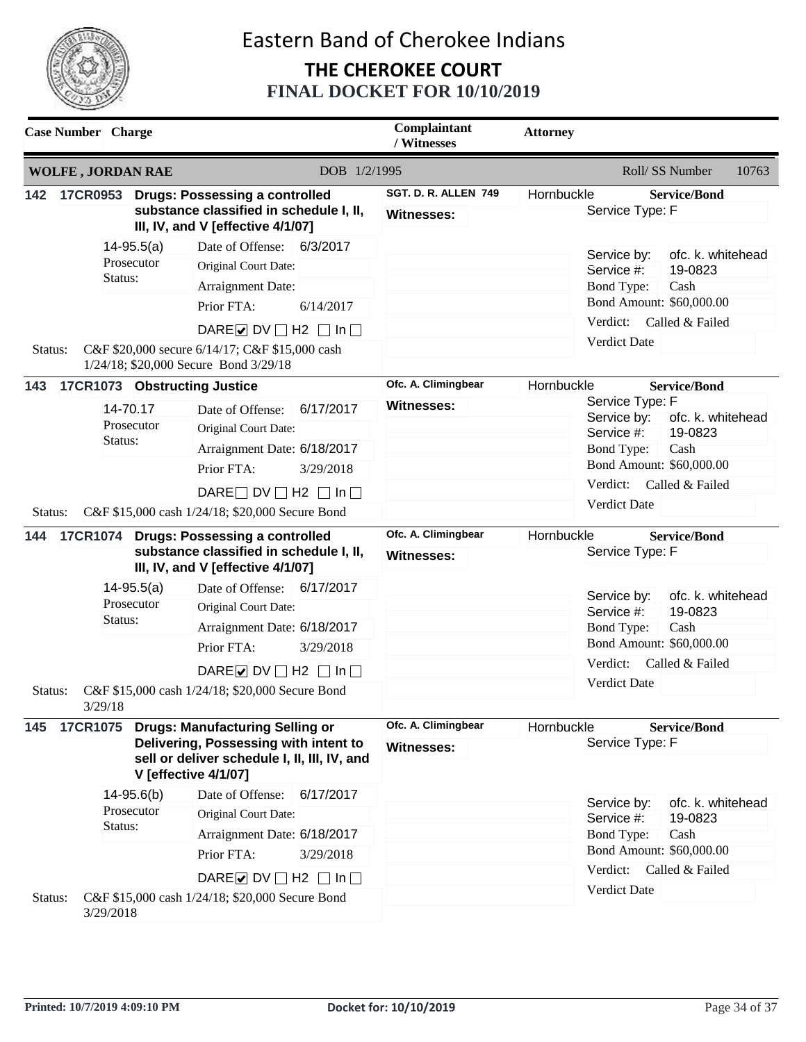

|         | <b>Case Number</b> Charge                        |                                                                                                                                                                                                                                 | Complaintant<br>/ Witnesses              | <b>Attorney</b>                                                                                                                                                                             |
|---------|--------------------------------------------------|---------------------------------------------------------------------------------------------------------------------------------------------------------------------------------------------------------------------------------|------------------------------------------|---------------------------------------------------------------------------------------------------------------------------------------------------------------------------------------------|
|         | <b>WOLFE, JORDAN RAE</b>                         | DOB 1/2/1995                                                                                                                                                                                                                    |                                          | Roll/ SS Number<br>10763                                                                                                                                                                    |
| 142     |                                                  | 17CR0953 Drugs: Possessing a controlled<br>substance classified in schedule I, II,<br>III, IV, and V [effective 4/1/07]                                                                                                         | SGT. D. R. ALLEN 749<br>Witnesses:       | Hornbuckle<br><b>Service/Bond</b><br>Service Type: F                                                                                                                                        |
| Status: | $14 - 95.5(a)$<br>Prosecutor<br>Status:          | 6/3/2017<br>Date of Offense:<br>Original Court Date:<br>Arraignment Date:<br>Prior FTA:<br>6/14/2017<br>DARE $\triangleright$ DV $\square$ H2 $\square$ In $\square$<br>C&F \$20,000 secure 6/14/17; C&F \$15,000 cash          |                                          | ofc. k. whitehead<br>Service by:<br>19-0823<br>Service #:<br>Cash<br>Bond Type:<br>Bond Amount: \$60,000.00<br>Verdict:<br>Called & Failed<br>Verdict Date                                  |
| 143     | 17CR1073 Obstructing Justice                     | 1/24/18; \$20,000 Secure Bond 3/29/18                                                                                                                                                                                           | Ofc. A. Climingbear                      | Hornbuckle<br><b>Service/Bond</b>                                                                                                                                                           |
| Status: | 14-70.17<br>Prosecutor<br>Status:                | Date of Offense:<br>6/17/2017<br>Original Court Date:<br>Arraignment Date: 6/18/2017<br>Prior FTA:<br>3/29/2018<br>DARE $\Box$ DV $\Box$ H2 $\Box$ In $\Box$<br>C&F \$15,000 cash 1/24/18; \$20,000 Secure Bond                 | <b>Witnesses:</b>                        | Service Type: F<br>Service by:<br>ofc. k. whitehead<br>Service #:<br>19-0823<br><b>Bond Type:</b><br>Cash<br>Bond Amount: \$60,000.00<br>Verdict:<br>Called & Failed<br><b>Verdict Date</b> |
| 144     |                                                  | 17CR1074 Drugs: Possessing a controlled<br>substance classified in schedule I, II,<br>III, IV, and V [effective 4/1/07]                                                                                                         | Ofc. A. Climingbear<br><b>Witnesses:</b> | <b>Service/Bond</b><br>Hornbuckle<br>Service Type: F                                                                                                                                        |
| Status: | $14-95.5(a)$<br>Prosecutor<br>Status:<br>3/29/18 | Date of Offense: 6/17/2017<br>Original Court Date:<br>Arraignment Date: 6/18/2017<br>Prior FTA:<br>3/29/2018<br>DARE $\triangleright$ DV $\square$ H2 $\square$ In $\square$<br>C&F \$15,000 cash 1/24/18; \$20,000 Secure Bond |                                          | ofc. k. whitehead<br>Service by:<br>19-0823<br>Service #:<br><b>Bond Type:</b><br>Cash<br>Bond Amount: \$60,000.00<br>Verdict:<br>Called & Failed<br>Verdict Date                           |
| 145     | <b>17CR1075</b>                                  | <b>Drugs: Manufacturing Selling or</b><br>Delivering, Possessing with intent to<br>sell or deliver schedule I, II, III, IV, and<br><b>V</b> [effective 4/1/07]                                                                  | Ofc. A. Climingbear<br><b>Witnesses:</b> | Hornbuckle<br><b>Service/Bond</b><br>Service Type: F                                                                                                                                        |
|         | $14 - 95.6(b)$<br>Prosecutor<br>Status:          | Date of Offense:<br>6/17/2017<br>Original Court Date:<br>Arraignment Date: 6/18/2017<br>Prior FTA:<br>3/29/2018                                                                                                                 |                                          | ofc. k. whitehead<br>Service by:<br>19-0823<br>Service #:<br><b>Bond Type:</b><br>Cash<br>Bond Amount: \$60,000.00                                                                          |
| Status: | 3/29/2018                                        | DARE $\nabla$ DV $\nabla$ H2 $\nabla$ In $\nabla$<br>C&F \$15,000 cash 1/24/18; \$20,000 Secure Bond                                                                                                                            |                                          | Verdict:<br>Called & Failed<br>Verdict Date                                                                                                                                                 |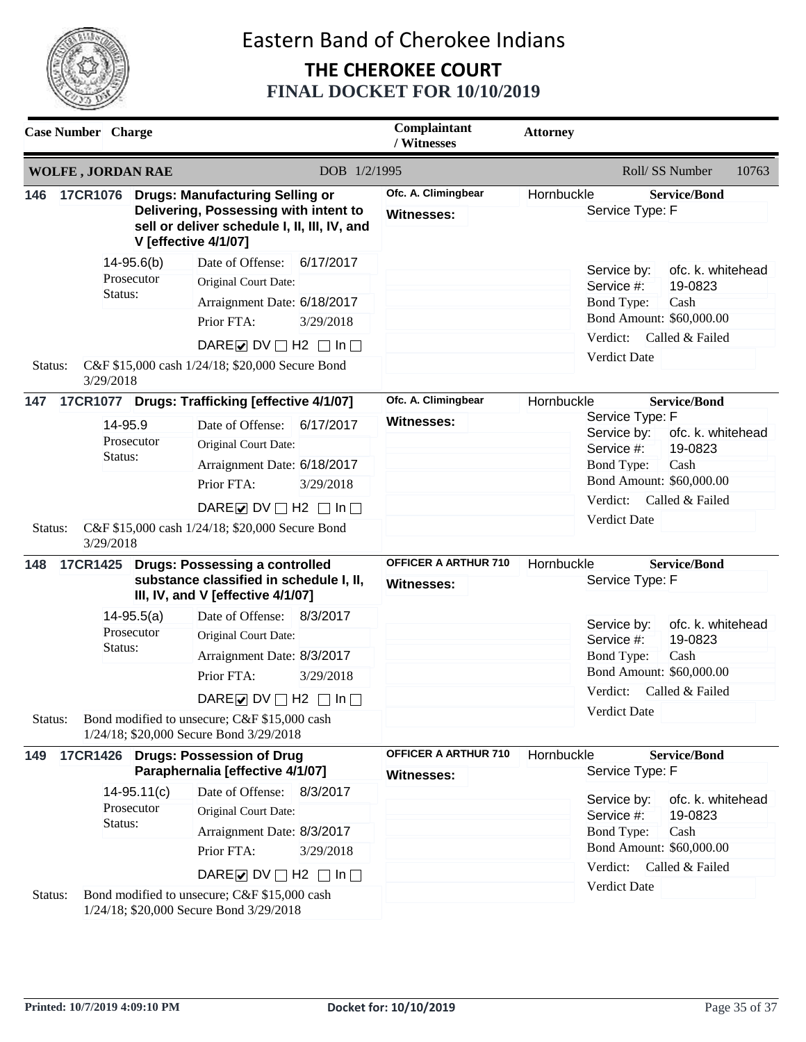

|                           | <b>Case Number</b> Charge                                                                                                |                              |                                                                                                                                                                                                                                                                                                                                                                                                                                                                                                                                                                                                                     |                        | Complaintant<br>/ Witnesses                                    | <b>Attorney</b> |                                                                                                                                                                                                                                                                                                                                                                                                         |
|---------------------------|--------------------------------------------------------------------------------------------------------------------------|------------------------------|---------------------------------------------------------------------------------------------------------------------------------------------------------------------------------------------------------------------------------------------------------------------------------------------------------------------------------------------------------------------------------------------------------------------------------------------------------------------------------------------------------------------------------------------------------------------------------------------------------------------|------------------------|----------------------------------------------------------------|-----------------|---------------------------------------------------------------------------------------------------------------------------------------------------------------------------------------------------------------------------------------------------------------------------------------------------------------------------------------------------------------------------------------------------------|
|                           | <b>WOLFE, JORDAN RAE</b>                                                                                                 |                              |                                                                                                                                                                                                                                                                                                                                                                                                                                                                                                                                                                                                                     | DOB 1/2/1995           |                                                                |                 | Roll/ SS Number<br>10763                                                                                                                                                                                                                                                                                                                                                                                |
| 146                       |                                                                                                                          |                              | 17CR1076 Drugs: Manufacturing Selling or<br>Delivering, Possessing with intent to<br>sell or deliver schedule I, II, III, IV, and<br><b>V</b> [effective 4/1/07]                                                                                                                                                                                                                                                                                                                                                                                                                                                    |                        | Ofc. A. Climingbear<br><b>Witnesses:</b>                       | Hornbuckle      | <b>Service/Bond</b><br>Service Type: F                                                                                                                                                                                                                                                                                                                                                                  |
| Status:                   | Status:                                                                                                                  | $14 - 95.6(b)$<br>Prosecutor | Date of Offense:<br>Original Court Date:<br>Arraignment Date: 6/18/2017<br>Prior FTA:<br>DARE $\triangledown$ DV $\square$ H2 $\square$ In $\square$<br>C&F \$15,000 cash 1/24/18; \$20,000 Secure Bond                                                                                                                                                                                                                                                                                                                                                                                                             | 6/17/2017<br>3/29/2018 |                                                                |                 | ofc. k. whitehead<br>Service by:<br>Service #:<br>19-0823<br><b>Bond Type:</b><br>Cash<br>Bond Amount: \$60,000.00<br>Verdict:<br>Called & Failed<br><b>Verdict Date</b>                                                                                                                                                                                                                                |
|                           |                                                                                                                          |                              |                                                                                                                                                                                                                                                                                                                                                                                                                                                                                                                                                                                                                     |                        | Ofc. A. Climingbear                                            | Hornbuckle      | <b>Service/Bond</b>                                                                                                                                                                                                                                                                                                                                                                                     |
| Status:<br>148<br>Status: | 3/29/2018<br>147<br>14-95.9<br>Prosecutor<br>Status:<br>3/29/2018<br>17CR1425<br>$14 - 95.5(a)$<br>Prosecutor<br>Status: |                              | 17CR1077 Drugs: Trafficking [effective 4/1/07]<br>Date of Offense:<br>6/17/2017<br>Original Court Date:<br>Arraignment Date: 6/18/2017<br>Prior FTA:<br>3/29/2018<br>DARE O DV $\Box$ H2 $\Box$ In $\Box$<br>C&F \$15,000 cash 1/24/18; \$20,000 Secure Bond<br><b>Drugs: Possessing a controlled</b><br>substance classified in schedule I, II,<br>III, IV, and V [effective 4/1/07]<br>Date of Offense: 8/3/2017<br>Original Court Date:<br>Arraignment Date: 8/3/2017<br>Prior FTA:<br>3/29/2018<br>DARE $\triangleright$ DV $\square$ H2 $\square$ In $\square$<br>Bond modified to unsecure; C&F \$15,000 cash |                        | <b>Witnesses:</b><br>OFFICER A ARTHUR 710<br><b>Witnesses:</b> | Hornbuckle      | Service Type: F<br>Service by:<br>ofc. k. whitehead<br>Service #:<br>19-0823<br><b>Bond Type:</b><br>Cash<br>Bond Amount: \$60,000.00<br>Verdict:<br>Called & Failed<br><b>Verdict Date</b><br><b>Service/Bond</b><br>Service Type: F<br>ofc. k. whitehead<br>Service by:<br>Service #:<br>19-0823<br><b>Bond Type:</b><br>Cash<br>Bond Amount: \$60,000.00<br>Verdict: Called & Failed<br>Verdict Date |
| 149<br>Status:            | Status:                                                                                                                  | $14-95.11(c)$<br>Prosecutor  | 1/24/18; \$20,000 Secure Bond 3/29/2018<br>17CR1426 Drugs: Possession of Drug<br>Paraphernalia [effective 4/1/07]<br>Date of Offense: 8/3/2017<br>Original Court Date:<br>Arraignment Date: 8/3/2017<br>Prior FTA:<br>DARE $\triangleright$ DV $\square$ H2 $\square$ In $\square$<br>Bond modified to unsecure; C&F \$15,000 cash<br>1/24/18; \$20,000 Secure Bond 3/29/2018                                                                                                                                                                                                                                       | 3/29/2018              | OFFICER A ARTHUR 710<br><b>Witnesses:</b>                      | Hornbuckle      | <b>Service/Bond</b><br>Service Type: F<br>Service by:<br>ofc. k. whitehead<br>Service #:<br>19-0823<br><b>Bond Type:</b><br>Cash<br>Bond Amount: \$60,000.00<br>Verdict:<br>Called & Failed<br>Verdict Date                                                                                                                                                                                             |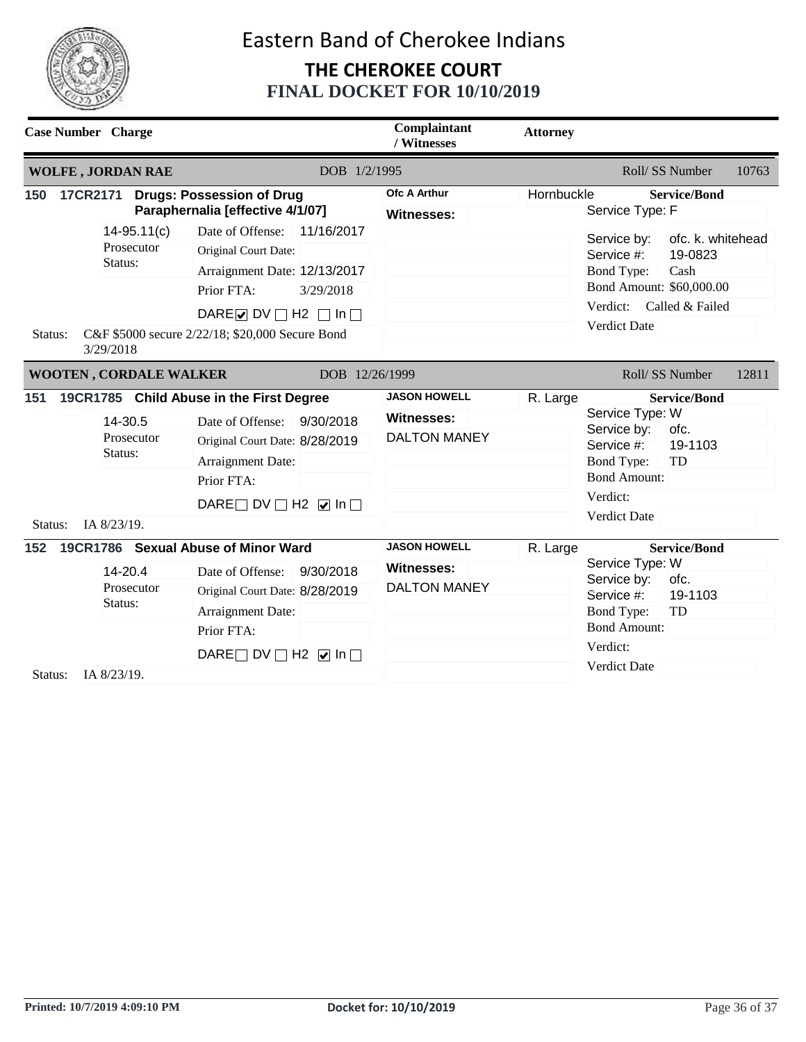

|                | <b>Case Number</b> Charge                           |                                                                                                                                                                                                           |                         | Complaintant<br>/ Witnesses                                     | <b>Attorney</b> |                                                                                                                             |                                                         |       |
|----------------|-----------------------------------------------------|-----------------------------------------------------------------------------------------------------------------------------------------------------------------------------------------------------------|-------------------------|-----------------------------------------------------------------|-----------------|-----------------------------------------------------------------------------------------------------------------------------|---------------------------------------------------------|-------|
|                | <b>WOLFE, JORDAN RAE</b>                            |                                                                                                                                                                                                           | DOB 1/2/1995            |                                                                 |                 |                                                                                                                             | Roll/SS Number                                          | 10763 |
| 150            | 17CR2171                                            | <b>Drugs: Possession of Drug</b><br>Paraphernalia [effective 4/1/07]                                                                                                                                      |                         | <b>Ofc A Arthur</b><br><b>Witnesses:</b>                        | Hornbuckle      | Service Type: F                                                                                                             | <b>Service/Bond</b>                                     |       |
| Status:        | $14-95.11(c)$<br>Prosecutor<br>Status:<br>3/29/2018 | Date of Offense:<br>Original Court Date:<br>Arraignment Date: 12/13/2017<br>Prior FTA:<br>DARE $\triangleright$ DV $\square$ H2 $\square$ In $\square$<br>C&F \$5000 secure 2/22/18; \$20,000 Secure Bond | 11/16/2017<br>3/29/2018 |                                                                 |                 | Service by:<br>Service #:<br><b>Bond Type:</b><br>Bond Amount: \$60,000.00<br>Verdict:<br>Verdict Date                      | ofc. k. whitehead<br>19-0823<br>Cash<br>Called & Failed |       |
|                | <b>WOOTEN, CORDALE WALKER</b>                       |                                                                                                                                                                                                           | DOB 12/26/1999          |                                                                 |                 |                                                                                                                             | Roll/SS Number                                          | 12811 |
| 151<br>Status: | 14-30.5<br>Prosecutor<br>Status:<br>IA 8/23/19.     | 19CR1785 Child Abuse in the First Degree<br>Date of Offense:<br>Original Court Date: 8/28/2019<br>Arraignment Date:<br>Prior FTA:<br>DARE DV $\Box$ H2 $\Box$ In $\Box$                                   | 9/30/2018               | <b>JASON HOWELL</b><br><b>Witnesses:</b><br><b>DALTON MANEY</b> | R. Large        | Service Type: W<br>Service by:<br>Service #:<br><b>Bond Type:</b><br><b>Bond Amount:</b><br>Verdict:<br><b>Verdict Date</b> | <b>Service/Bond</b><br>ofc.<br>19-1103<br>TD            |       |
| 152            | 14-20.4<br>Prosecutor<br>Status:                    | 19CR1786 Sexual Abuse of Minor Ward<br>Date of Offense:<br>Original Court Date: 8/28/2019<br>Arraignment Date:<br>Prior FTA:                                                                              | 9/30/2018               | <b>JASON HOWELL</b><br><b>Witnesses:</b><br><b>DALTON MANEY</b> | R. Large        | Service Type: W<br>Service by:<br>Service #:<br><b>Bond Type:</b><br><b>Bond Amount:</b>                                    | <b>Service/Bond</b><br>ofc.<br>19-1103<br>TD            |       |
| Status:        | IA 8/23/19.                                         | DARE $\Box$ DV $\Box$ H2 $\Box$ In $\Box$                                                                                                                                                                 |                         |                                                                 |                 | Verdict:<br><b>Verdict Date</b>                                                                                             |                                                         |       |